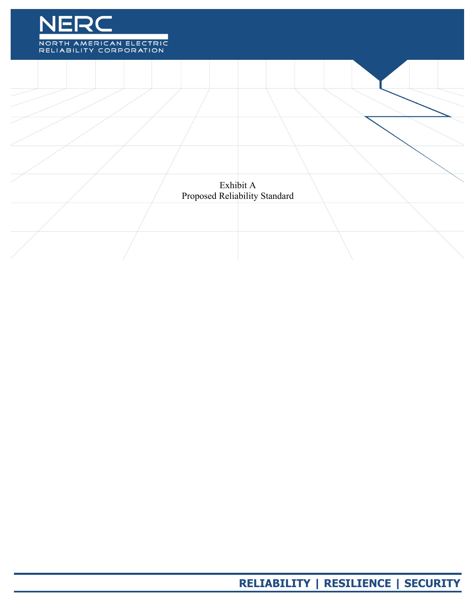

Exhibit A Proposed Reliability Standard

**RELIABILITY | RESILIENCE | SECURITY**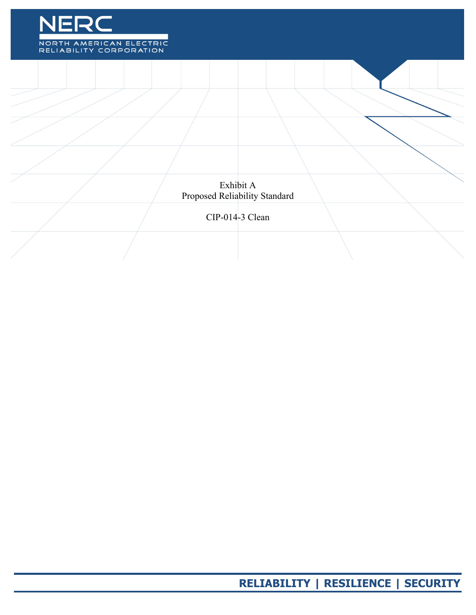

Exhibit A Proposed Reliability Standard

CIP-014-3 Clean

**RELIABILITY | RESILIENCE | SECURITY**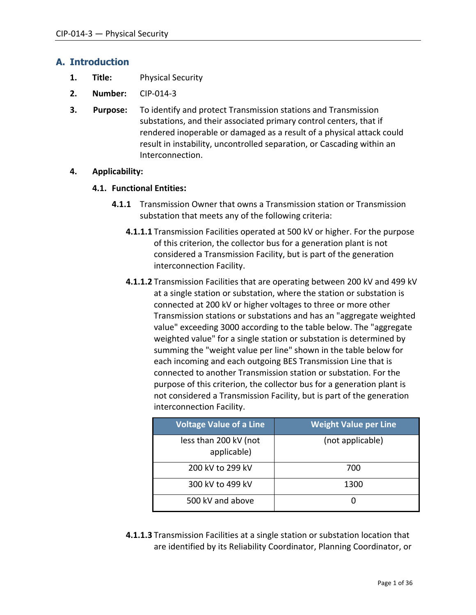### **A. Introduction**

- **1. Title:** Physical Security
- **2. Number:** CIP-014-3
- **3. Purpose:** To identify and protect Transmission stations and Transmission substations, and their associated primary control centers, that if rendered inoperable or damaged as a result of a physical attack could result in instability, uncontrolled separation, or Cascading within an Interconnection.

### **4. Applicability:**

### **4.1. Functional Entities:**

- **4.1.1** Transmission Owner that owns a Transmission station or Transmission substation that meets any of the following criteria:
	- **4.1.1.1** Transmission Facilities operated at 500 kV or higher. For the purpose of this criterion, the collector bus for a generation plant is not considered a Transmission Facility, but is part of the generation interconnection Facility.
	- **4.1.1.2** Transmission Facilities that are operating between 200 kV and 499 kV at a single station or substation, where the station or substation is connected at 200 kV or higher voltages to three or more other Transmission stations or substations and has an "aggregate weighted value" exceeding 3000 according to the table below. The "aggregate weighted value" for a single station or substation is determined by summing the "weight value per line" shown in the table below for each incoming and each outgoing BES Transmission Line that is connected to another Transmission station or substation. For the purpose of this criterion, the collector bus for a generation plant is not considered a Transmission Facility, but is part of the generation interconnection Facility.

| <b>Voltage Value of a Line</b>       | <b>Weight Value per Line</b> |
|--------------------------------------|------------------------------|
| less than 200 kV (not<br>applicable) | (not applicable)             |
| 200 kV to 299 kV                     | 700                          |
| 300 kV to 499 kV                     | 1300                         |
| 500 kV and above                     |                              |

**4.1.1.3** Transmission Facilities at a single station or substation location that are identified by its Reliability Coordinator, Planning Coordinator, or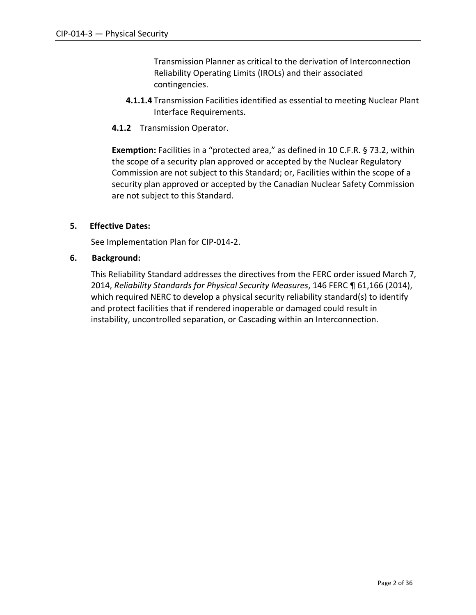Transmission Planner as critical to the derivation of Interconnection Reliability Operating Limits (IROLs) and their associated contingencies.

- **4.1.1.4** Transmission Facilities identified as essential to meeting Nuclear Plant Interface Requirements.
- **4.1.2** Transmission Operator.

**Exemption:** Facilities in a "protected area," as defined in 10 C.F.R. § 73.2, within the scope of a security plan approved or accepted by the Nuclear Regulatory Commission are not subject to this Standard; or, Facilities within the scope of a security plan approved or accepted by the Canadian Nuclear Safety Commission are not subject to this Standard.

### **5. Effective Dates:**

See Implementation Plan for CIP-014-2.

#### **6. Background:**

This Reliability Standard addresses the directives from the FERC order issued March 7, 2014, *Reliability Standards for Physical Security Measures*, 146 FERC ¶ 61,166 (2014), which required NERC to develop a physical security reliability standard(s) to identify and protect facilities that if rendered inoperable or damaged could result in instability, uncontrolled separation, or Cascading within an Interconnection.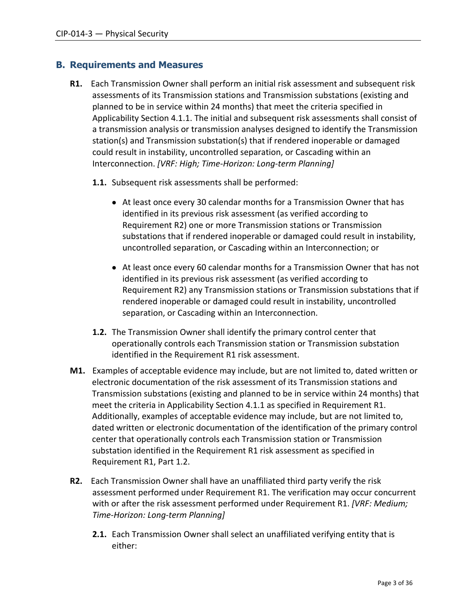### **B. Requirements and Measures**

- **R1.** Each Transmission Owner shall perform an initial risk assessment and subsequent risk assessments of its Transmission stations and Transmission substations (existing and planned to be in service within 24 months) that meet the criteria specified in Applicability Section 4.1.1. The initial and subsequent risk assessments shall consist of a transmission analysis or transmission analyses designed to identify the Transmission station(s) and Transmission substation(s) that if rendered inoperable or damaged could result in instability, uncontrolled separation, or Cascading within an Interconnection. *[VRF: High; Time-Horizon: Long-term Planning]*
	- **1.1.** Subsequent risk assessments shall be performed:
		- At least once every 30 calendar months for a Transmission Owner that has identified in its previous risk assessment (as verified according to Requirement R2) one or more Transmission stations or Transmission substations that if rendered inoperable or damaged could result in instability, uncontrolled separation, or Cascading within an Interconnection; or
		- At least once every 60 calendar months for a Transmission Owner that has not identified in its previous risk assessment (as verified according to Requirement R2) any Transmission stations or Transmission substations that if rendered inoperable or damaged could result in instability, uncontrolled separation, or Cascading within an Interconnection.
	- **1.2.** The Transmission Owner shall identify the primary control center that operationally controls each Transmission station or Transmission substation identified in the Requirement R1 risk assessment.
- **M1.** Examples of acceptable evidence may include, but are not limited to, dated written or electronic documentation of the risk assessment of its Transmission stations and Transmission substations (existing and planned to be in service within 24 months) that meet the criteria in Applicability Section 4.1.1 as specified in Requirement R1. Additionally, examples of acceptable evidence may include, but are not limited to, dated written or electronic documentation of the identification of the primary control center that operationally controls each Transmission station or Transmission substation identified in the Requirement R1 risk assessment as specified in Requirement R1, Part 1.2.
- **R2.** Each Transmission Owner shall have an unaffiliated third party verify the risk assessment performed under Requirement R1. The verification may occur concurrent with or after the risk assessment performed under Requirement R1. *[VRF: Medium; Time-Horizon: Long-term Planning]*
	- **2.1.** Each Transmission Owner shall select an unaffiliated verifying entity that is either: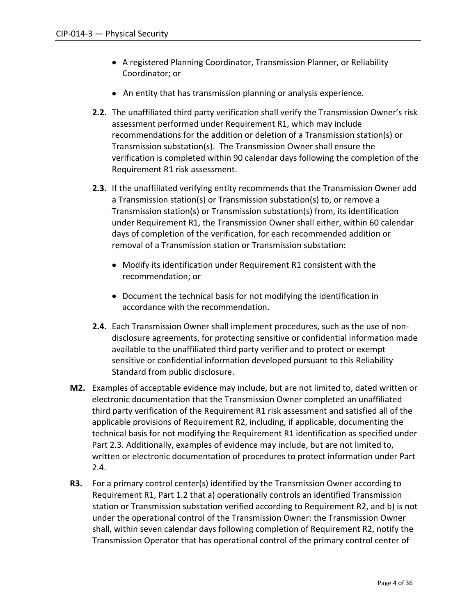- A registered Planning Coordinator, Transmission Planner, or Reliability Coordinator; or
- An entity that has transmission planning or analysis experience.
- **2.2.** The unaffiliated third party verification shall verify the Transmission Owner's risk assessment performed under Requirement R1, which may include recommendations for the addition or deletion of a Transmission station(s) or Transmission substation(s). The Transmission Owner shall ensure the verification is completed within 90 calendar days following the completion of the Requirement R1 risk assessment.
- **2.3.** If the unaffiliated verifying entity recommends that the Transmission Owner add a Transmission station(s) or Transmission substation(s) to, or remove a Transmission station(s) or Transmission substation(s) from, its identification under Requirement R1, the Transmission Owner shall either, within 60 calendar days of completion of the verification, for each recommended addition or removal of a Transmission station or Transmission substation:
	- Modify its identification under Requirement R1 consistent with the recommendation; or
	- Document the technical basis for not modifying the identification in accordance with the recommendation.
- **2.4.** Each Transmission Owner shall implement procedures, such as the use of nondisclosure agreements, for protecting sensitive or confidential information made available to the unaffiliated third party verifier and to protect or exempt sensitive or confidential information developed pursuant to this Reliability Standard from public disclosure.
- **M2.** Examples of acceptable evidence may include, but are not limited to, dated written or electronic documentation that the Transmission Owner completed an unaffiliated third party verification of the Requirement R1 risk assessment and satisfied all of the applicable provisions of Requirement R2, including, if applicable, documenting the technical basis for not modifying the Requirement R1 identification as specified under Part 2.3. Additionally, examples of evidence may include, but are not limited to, written or electronic documentation of procedures to protect information under Part 2.4.
- **R3.** For a primary control center(s) identified by the Transmission Owner according to Requirement R1, Part 1.2 that a) operationally controls an identified Transmission station or Transmission substation verified according to Requirement R2, and b) is not under the operational control of the Transmission Owner: the Transmission Owner shall, within seven calendar days following completion of Requirement R2, notify the Transmission Operator that has operational control of the primary control center of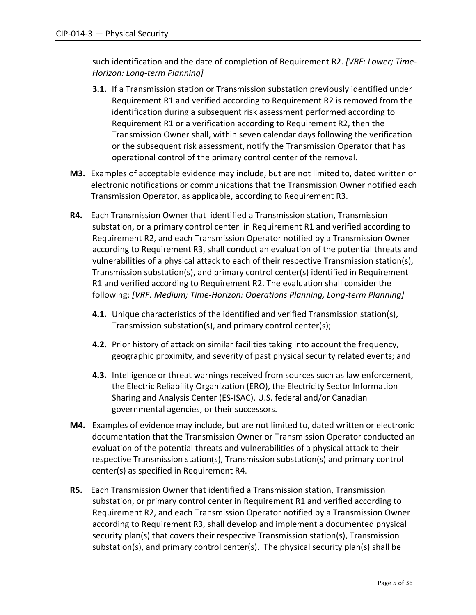such identification and the date of completion of Requirement R2. *[VRF: Lower; Time-Horizon: Long-term Planning]*

- **3.1.** If a Transmission station or Transmission substation previously identified under Requirement R1 and verified according to Requirement R2 is removed from the identification during a subsequent risk assessment performed according to Requirement R1 or a verification according to Requirement R2, then the Transmission Owner shall, within seven calendar days following the verification or the subsequent risk assessment, notify the Transmission Operator that has operational control of the primary control center of the removal.
- **M3.** Examples of acceptable evidence may include, but are not limited to, dated written or electronic notifications or communications that the Transmission Owner notified each Transmission Operator, as applicable, according to Requirement R3.
- **R4.** Each Transmission Owner that identified a Transmission station, Transmission substation, or a primary control center in Requirement R1 and verified according to Requirement R2, and each Transmission Operator notified by a Transmission Owner according to Requirement R3, shall conduct an evaluation of the potential threats and vulnerabilities of a physical attack to each of their respective Transmission station(s), Transmission substation(s), and primary control center(s) identified in Requirement R1 and verified according to Requirement R2. The evaluation shall consider the following: *[VRF: Medium; Time-Horizon: Operations Planning, Long-term Planning]*
	- **4.1.** Unique characteristics of the identified and verified Transmission station(s), Transmission substation(s), and primary control center(s);
	- **4.2.** Prior history of attack on similar facilities taking into account the frequency, geographic proximity, and severity of past physical security related events; and
	- **4.3.** Intelligence or threat warnings received from sources such as law enforcement, the Electric Reliability Organization (ERO), the Electricity Sector Information Sharing and Analysis Center (ES-ISAC), U.S. federal and/or Canadian governmental agencies, or their successors.
- **M4.** Examples of evidence may include, but are not limited to, dated written or electronic documentation that the Transmission Owner or Transmission Operator conducted an evaluation of the potential threats and vulnerabilities of a physical attack to their respective Transmission station(s), Transmission substation(s) and primary control center(s) as specified in Requirement R4.
- **R5.** Each Transmission Owner that identified a Transmission station, Transmission substation, or primary control center in Requirement R1 and verified according to Requirement R2, and each Transmission Operator notified by a Transmission Owner according to Requirement R3, shall develop and implement a documented physical security plan(s) that covers their respective Transmission station(s), Transmission substation(s), and primary control center(s). The physical security plan(s) shall be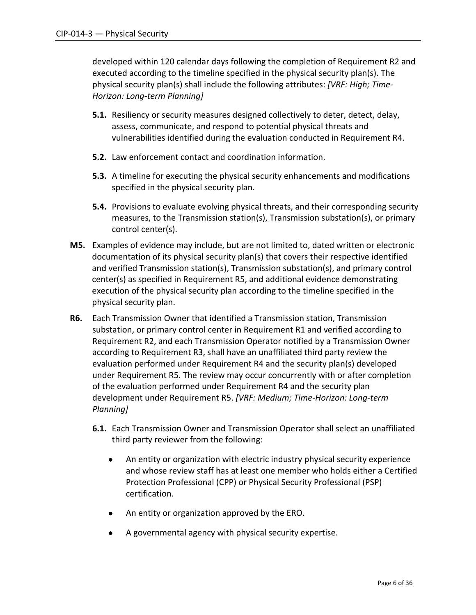developed within 120 calendar days following the completion of Requirement R2 and executed according to the timeline specified in the physical security plan(s). The physical security plan(s) shall include the following attributes: *[VRF: High; Time-Horizon: Long-term Planning]*

- **5.1.** Resiliency or security measures designed collectively to deter, detect, delay, assess, communicate, and respond to potential physical threats and vulnerabilities identified during the evaluation conducted in Requirement R4.
- **5.2.** Law enforcement contact and coordination information.
- **5.3.** A timeline for executing the physical security enhancements and modifications specified in the physical security plan.
- **5.4.** Provisions to evaluate evolving physical threats, and their corresponding security measures, to the Transmission station(s), Transmission substation(s), or primary control center(s).
- **M5.** Examples of evidence may include, but are not limited to, dated written or electronic documentation of its physical security plan(s) that covers their respective identified and verified Transmission station(s), Transmission substation(s), and primary control center(s) as specified in Requirement R5, and additional evidence demonstrating execution of the physical security plan according to the timeline specified in the physical security plan.
- **R6.** Each Transmission Owner that identified a Transmission station, Transmission substation, or primary control center in Requirement R1 and verified according to Requirement R2, and each Transmission Operator notified by a Transmission Owner according to Requirement R3, shall have an unaffiliated third party review the evaluation performed under Requirement R4 and the security plan(s) developed under Requirement R5. The review may occur concurrently with or after completion of the evaluation performed under Requirement R4 and the security plan development under Requirement R5. *[VRF: Medium; Time-Horizon: Long-term Planning]*
	- **6.1.** Each Transmission Owner and Transmission Operator shall select an unaffiliated third party reviewer from the following:
		- An entity or organization with electric industry physical security experience and whose review staff has at least one member who holds either a Certified Protection Professional (CPP) or Physical Security Professional (PSP) certification.
		- An entity or organization approved by the ERO.
		- A governmental agency with physical security expertise.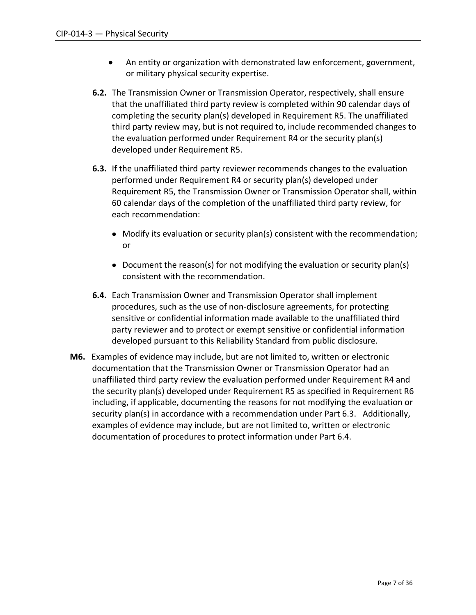- An entity or organization with demonstrated law enforcement, government, or military physical security expertise.
- **6.2.** The Transmission Owner or Transmission Operator, respectively, shall ensure that the unaffiliated third party review is completed within 90 calendar days of completing the security plan(s) developed in Requirement R5. The unaffiliated third party review may, but is not required to, include recommended changes to the evaluation performed under Requirement R4 or the security plan(s) developed under Requirement R5.
- **6.3.** If the unaffiliated third party reviewer recommends changes to the evaluation performed under Requirement R4 or security plan(s) developed under Requirement R5, the Transmission Owner or Transmission Operator shall, within 60 calendar days of the completion of the unaffiliated third party review, for each recommendation:
	- Modify its evaluation or security plan(s) consistent with the recommendation; or
	- Document the reason(s) for not modifying the evaluation or security plan(s) consistent with the recommendation.
- **6.4.** Each Transmission Owner and Transmission Operator shall implement procedures, such as the use of non-disclosure agreements, for protecting sensitive or confidential information made available to the unaffiliated third party reviewer and to protect or exempt sensitive or confidential information developed pursuant to this Reliability Standard from public disclosure.
- **M6.** Examples of evidence may include, but are not limited to, written or electronic documentation that the Transmission Owner or Transmission Operator had an unaffiliated third party review the evaluation performed under Requirement R4 and the security plan(s) developed under Requirement R5 as specified in Requirement R6 including, if applicable, documenting the reasons for not modifying the evaluation or security plan(s) in accordance with a recommendation under Part 6.3. Additionally, examples of evidence may include, but are not limited to, written or electronic documentation of procedures to protect information under Part 6.4.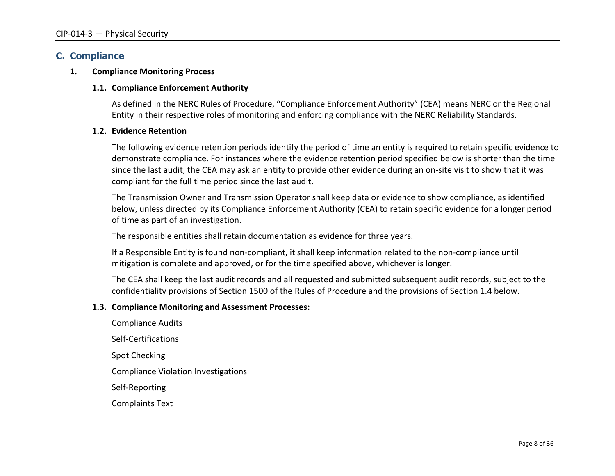### **C. Compliance**

#### **1. Compliance Monitoring Process**

#### **1.1. Compliance Enforcement Authority**

As defined in the NERC Rules of Procedure, "Compliance Enforcement Authority" (CEA) means NERC or the Regional Entity in their respective roles of monitoring and enforcing compliance with the NERC Reliability Standards.

#### **1.2. Evidence Retention**

The following evidence retention periods identify the period of time an entity is required to retain specific evidence to demonstrate compliance. For instances where the evidence retention period specified below is shorter than the time since the last audit, the CEA may ask an entity to provide other evidence during an on-site visit to show that it was compliant for the full time period since the last audit.

The Transmission Owner and Transmission Operator shall keep data or evidence to show compliance, as identified below, unless directed by its Compliance Enforcement Authority (CEA) to retain specific evidence for a longer period of time as part of an investigation.

The responsible entities shall retain documentation as evidence for three years.

If a Responsible Entity is found non-compliant, it shall keep information related to the non-compliance until mitigation is complete and approved, or for the time specified above, whichever is longer.

The CEA shall keep the last audit records and all requested and submitted subsequent audit records, subject to the confidentiality provisions of Section 1500 of the Rules of Procedure and the provisions of Section 1.4 below.

#### **1.3. Compliance Monitoring and Assessment Processes:**

Compliance Audits Self-Certifications Spot Checking Compliance Violation Investigations Self-Reporting Complaints Text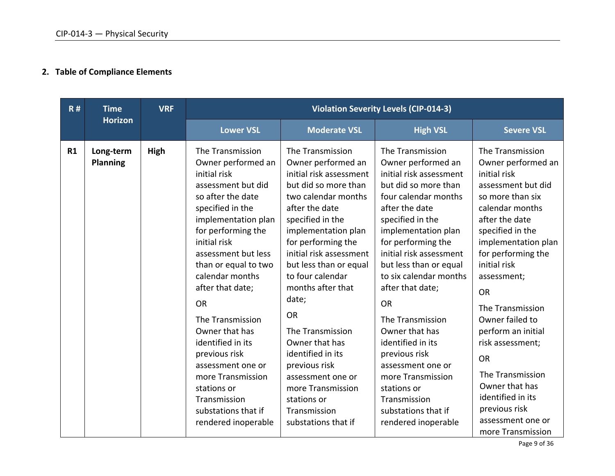# **2. Table of Compliance Elements**

| R# | <b>Time</b>                  | <b>VRF</b>  |                                                                                                                                                                                                                                                                                                                                                                                                                                                                                          |                                                                                                                                                                                                                                                                                                                                                                                                                                                                                                     | <b>Violation Severity Levels (CIP-014-3)</b>                                                                                                                                                                                                                                                                                                                                                                                                                                                                            |                                                                                                                                                                                                                                                                                                                                                                                                                                                                        |
|----|------------------------------|-------------|------------------------------------------------------------------------------------------------------------------------------------------------------------------------------------------------------------------------------------------------------------------------------------------------------------------------------------------------------------------------------------------------------------------------------------------------------------------------------------------|-----------------------------------------------------------------------------------------------------------------------------------------------------------------------------------------------------------------------------------------------------------------------------------------------------------------------------------------------------------------------------------------------------------------------------------------------------------------------------------------------------|-------------------------------------------------------------------------------------------------------------------------------------------------------------------------------------------------------------------------------------------------------------------------------------------------------------------------------------------------------------------------------------------------------------------------------------------------------------------------------------------------------------------------|------------------------------------------------------------------------------------------------------------------------------------------------------------------------------------------------------------------------------------------------------------------------------------------------------------------------------------------------------------------------------------------------------------------------------------------------------------------------|
|    | <b>Horizon</b>               |             | <b>Lower VSL</b>                                                                                                                                                                                                                                                                                                                                                                                                                                                                         | <b>Moderate VSL</b>                                                                                                                                                                                                                                                                                                                                                                                                                                                                                 | <b>High VSL</b>                                                                                                                                                                                                                                                                                                                                                                                                                                                                                                         | <b>Severe VSL</b>                                                                                                                                                                                                                                                                                                                                                                                                                                                      |
| R1 | Long-term<br><b>Planning</b> | <b>High</b> | The Transmission<br>Owner performed an<br>initial risk<br>assessment but did<br>so after the date<br>specified in the<br>implementation plan<br>for performing the<br>initial risk<br>assessment but less<br>than or equal to two<br>calendar months<br>after that date;<br><b>OR</b><br>The Transmission<br>Owner that has<br>identified in its<br>previous risk<br>assessment one or<br>more Transmission<br>stations or<br>Transmission<br>substations that if<br>rendered inoperable | The Transmission<br>Owner performed an<br>initial risk assessment<br>but did so more than<br>two calendar months<br>after the date<br>specified in the<br>implementation plan<br>for performing the<br>initial risk assessment<br>but less than or equal<br>to four calendar<br>months after that<br>date;<br><b>OR</b><br>The Transmission<br>Owner that has<br>identified in its<br>previous risk<br>assessment one or<br>more Transmission<br>stations or<br>Transmission<br>substations that if | The Transmission<br>Owner performed an<br>initial risk assessment<br>but did so more than<br>four calendar months<br>after the date<br>specified in the<br>implementation plan<br>for performing the<br>initial risk assessment<br>but less than or equal<br>to six calendar months<br>after that date;<br><b>OR</b><br>The Transmission<br>Owner that has<br>identified in its<br>previous risk<br>assessment one or<br>more Transmission<br>stations or<br>Transmission<br>substations that if<br>rendered inoperable | The Transmission<br>Owner performed an<br>initial risk<br>assessment but did<br>so more than six<br>calendar months<br>after the date<br>specified in the<br>implementation plan<br>for performing the<br>initial risk<br>assessment;<br><b>OR</b><br>The Transmission<br>Owner failed to<br>perform an initial<br>risk assessment;<br><b>OR</b><br>The Transmission<br>Owner that has<br>identified in its<br>previous risk<br>assessment one or<br>more Transmission |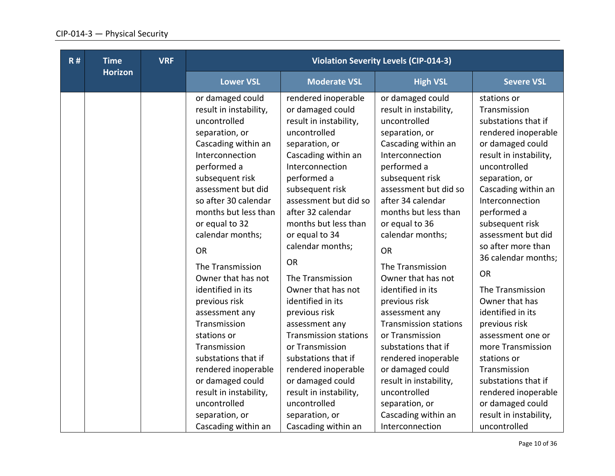| R# | <b>Time</b>    | <b>VRF</b> |                                                                                                                                                                                                                                                                                                                                                                                                                                                                                                                                                                                         |                                                                                                                                                                                                                                                                                                                                                                                                                                                                                                                                                                                                                    | <b>Violation Severity Levels (CIP-014-3)</b>                                                                                                                                                                                                                                                                                                                                                                                                                                                                                                                                                                   |                                                                                                                                                                                                                                                                                                                                                                                                                                                                                                                                                                                        |
|----|----------------|------------|-----------------------------------------------------------------------------------------------------------------------------------------------------------------------------------------------------------------------------------------------------------------------------------------------------------------------------------------------------------------------------------------------------------------------------------------------------------------------------------------------------------------------------------------------------------------------------------------|--------------------------------------------------------------------------------------------------------------------------------------------------------------------------------------------------------------------------------------------------------------------------------------------------------------------------------------------------------------------------------------------------------------------------------------------------------------------------------------------------------------------------------------------------------------------------------------------------------------------|----------------------------------------------------------------------------------------------------------------------------------------------------------------------------------------------------------------------------------------------------------------------------------------------------------------------------------------------------------------------------------------------------------------------------------------------------------------------------------------------------------------------------------------------------------------------------------------------------------------|----------------------------------------------------------------------------------------------------------------------------------------------------------------------------------------------------------------------------------------------------------------------------------------------------------------------------------------------------------------------------------------------------------------------------------------------------------------------------------------------------------------------------------------------------------------------------------------|
|    | <b>Horizon</b> |            | <b>Lower VSL</b>                                                                                                                                                                                                                                                                                                                                                                                                                                                                                                                                                                        | <b>Moderate VSL</b>                                                                                                                                                                                                                                                                                                                                                                                                                                                                                                                                                                                                | <b>High VSL</b>                                                                                                                                                                                                                                                                                                                                                                                                                                                                                                                                                                                                | <b>Severe VSL</b>                                                                                                                                                                                                                                                                                                                                                                                                                                                                                                                                                                      |
|    |                |            | or damaged could<br>result in instability,<br>uncontrolled<br>separation, or<br>Cascading within an<br>Interconnection<br>performed a<br>subsequent risk<br>assessment but did<br>so after 30 calendar<br>months but less than<br>or equal to 32<br>calendar months;<br><b>OR</b><br>The Transmission<br>Owner that has not<br>identified in its<br>previous risk<br>assessment any<br>Transmission<br>stations or<br>Transmission<br>substations that if<br>rendered inoperable<br>or damaged could<br>result in instability,<br>uncontrolled<br>separation, or<br>Cascading within an | rendered inoperable<br>or damaged could<br>result in instability,<br>uncontrolled<br>separation, or<br>Cascading within an<br>Interconnection<br>performed a<br>subsequent risk<br>assessment but did so<br>after 32 calendar<br>months but less than<br>or equal to 34<br>calendar months;<br><b>OR</b><br>The Transmission<br>Owner that has not<br>identified in its<br>previous risk<br>assessment any<br><b>Transmission stations</b><br>or Transmission<br>substations that if<br>rendered inoperable<br>or damaged could<br>result in instability,<br>uncontrolled<br>separation, or<br>Cascading within an | or damaged could<br>result in instability,<br>uncontrolled<br>separation, or<br>Cascading within an<br>Interconnection<br>performed a<br>subsequent risk<br>assessment but did so<br>after 34 calendar<br>months but less than<br>or equal to 36<br>calendar months;<br><b>OR</b><br>The Transmission<br>Owner that has not<br>identified in its<br>previous risk<br>assessment any<br><b>Transmission stations</b><br>or Transmission<br>substations that if<br>rendered inoperable<br>or damaged could<br>result in instability,<br>uncontrolled<br>separation, or<br>Cascading within an<br>Interconnection | stations or<br>Transmission<br>substations that if<br>rendered inoperable<br>or damaged could<br>result in instability,<br>uncontrolled<br>separation, or<br>Cascading within an<br>Interconnection<br>performed a<br>subsequent risk<br>assessment but did<br>so after more than<br>36 calendar months;<br><b>OR</b><br>The Transmission<br>Owner that has<br>identified in its<br>previous risk<br>assessment one or<br>more Transmission<br>stations or<br>Transmission<br>substations that if<br>rendered inoperable<br>or damaged could<br>result in instability,<br>uncontrolled |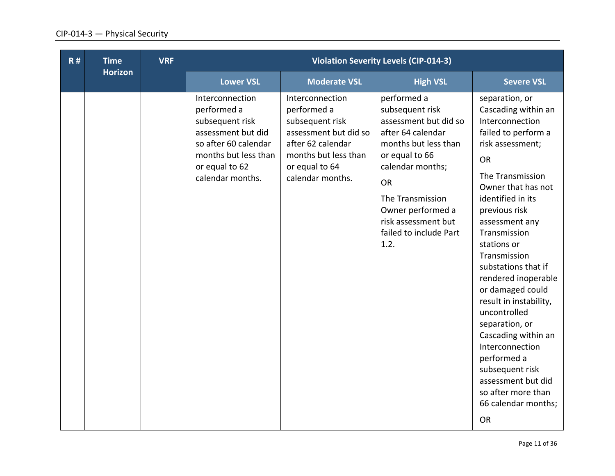| R# | <b>Time</b><br><b>Horizon</b> | <b>VRF</b> |                                                                                                                                                               |                                                                                                                                                               | <b>Violation Severity Levels (CIP-014-3)</b>                                                                                                                                                                                                              |                                                                                                                                                                                                                                                                                                                                                                                                                                                                                                                                                      |  |
|----|-------------------------------|------------|---------------------------------------------------------------------------------------------------------------------------------------------------------------|---------------------------------------------------------------------------------------------------------------------------------------------------------------|-----------------------------------------------------------------------------------------------------------------------------------------------------------------------------------------------------------------------------------------------------------|------------------------------------------------------------------------------------------------------------------------------------------------------------------------------------------------------------------------------------------------------------------------------------------------------------------------------------------------------------------------------------------------------------------------------------------------------------------------------------------------------------------------------------------------------|--|
|    |                               |            | <b>Lower VSL</b>                                                                                                                                              | <b>Moderate VSL</b>                                                                                                                                           | <b>High VSL</b>                                                                                                                                                                                                                                           | <b>Severe VSL</b>                                                                                                                                                                                                                                                                                                                                                                                                                                                                                                                                    |  |
|    |                               |            | Interconnection<br>performed a<br>subsequent risk<br>assessment but did<br>so after 60 calendar<br>months but less than<br>or equal to 62<br>calendar months. | Interconnection<br>performed a<br>subsequent risk<br>assessment but did so<br>after 62 calendar<br>months but less than<br>or equal to 64<br>calendar months. | performed a<br>subsequent risk<br>assessment but did so<br>after 64 calendar<br>months but less than<br>or equal to 66<br>calendar months;<br><b>OR</b><br>The Transmission<br>Owner performed a<br>risk assessment but<br>failed to include Part<br>1.2. | separation, or<br>Cascading within an<br>Interconnection<br>failed to perform a<br>risk assessment;<br>OR<br>The Transmission<br>Owner that has not<br>identified in its<br>previous risk<br>assessment any<br>Transmission<br>stations or<br>Transmission<br>substations that if<br>rendered inoperable<br>or damaged could<br>result in instability,<br>uncontrolled<br>separation, or<br>Cascading within an<br>Interconnection<br>performed a<br>subsequent risk<br>assessment but did<br>so after more than<br>66 calendar months;<br><b>OR</b> |  |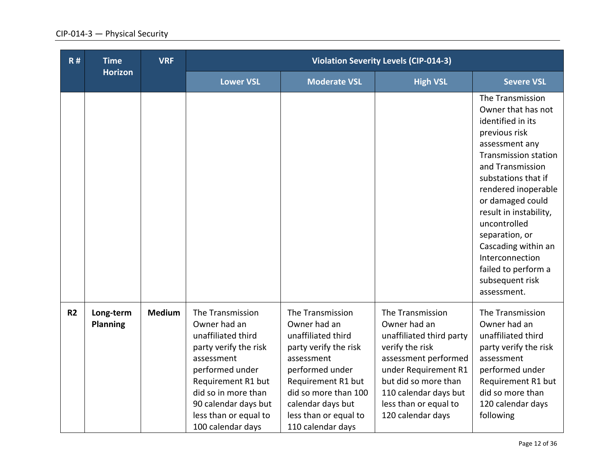| R#             | <b>Time</b><br><b>Horizon</b> | <b>VRF</b>    |                                                                                                                                                                                                                                     |                                                                                                                                                                                                                                   | <b>Violation Severity Levels (CIP-014-3)</b>                                                                                                                                                                                   |                                                                                                                                                                                                                                                                                                                                                                                    |
|----------------|-------------------------------|---------------|-------------------------------------------------------------------------------------------------------------------------------------------------------------------------------------------------------------------------------------|-----------------------------------------------------------------------------------------------------------------------------------------------------------------------------------------------------------------------------------|--------------------------------------------------------------------------------------------------------------------------------------------------------------------------------------------------------------------------------|------------------------------------------------------------------------------------------------------------------------------------------------------------------------------------------------------------------------------------------------------------------------------------------------------------------------------------------------------------------------------------|
|                |                               |               | <b>Lower VSL</b>                                                                                                                                                                                                                    | <b>Moderate VSL</b>                                                                                                                                                                                                               | <b>High VSL</b>                                                                                                                                                                                                                | <b>Severe VSL</b>                                                                                                                                                                                                                                                                                                                                                                  |
|                |                               |               |                                                                                                                                                                                                                                     |                                                                                                                                                                                                                                   |                                                                                                                                                                                                                                | The Transmission<br>Owner that has not<br>identified in its<br>previous risk<br>assessment any<br><b>Transmission station</b><br>and Transmission<br>substations that if<br>rendered inoperable<br>or damaged could<br>result in instability,<br>uncontrolled<br>separation, or<br>Cascading within an<br>Interconnection<br>failed to perform a<br>subsequent risk<br>assessment. |
| R <sub>2</sub> | Long-term<br><b>Planning</b>  | <b>Medium</b> | The Transmission<br>Owner had an<br>unaffiliated third<br>party verify the risk<br>assessment<br>performed under<br>Requirement R1 but<br>did so in more than<br>90 calendar days but<br>less than or equal to<br>100 calendar days | The Transmission<br>Owner had an<br>unaffiliated third<br>party verify the risk<br>assessment<br>performed under<br>Requirement R1 but<br>did so more than 100<br>calendar days but<br>less than or equal to<br>110 calendar days | The Transmission<br>Owner had an<br>unaffiliated third party<br>verify the risk<br>assessment performed<br>under Requirement R1<br>but did so more than<br>110 calendar days but<br>less than or equal to<br>120 calendar days | The Transmission<br>Owner had an<br>unaffiliated third<br>party verify the risk<br>assessment<br>performed under<br>Requirement R1 but<br>did so more than<br>120 calendar days<br>following                                                                                                                                                                                       |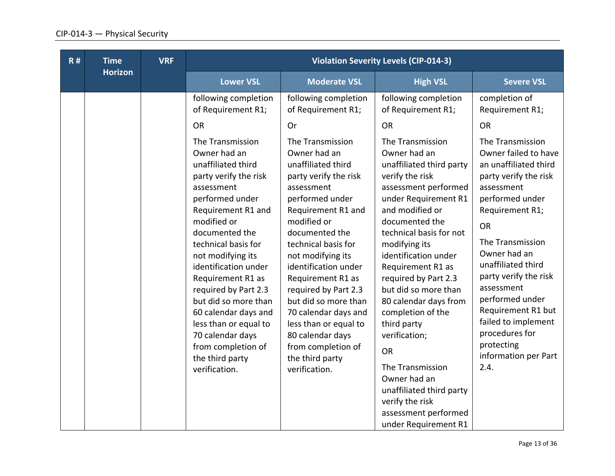| <b>Horizon</b><br><b>Lower VSL</b><br><b>Moderate VSL</b><br><b>Severe VSL</b><br><b>High VSL</b><br>following completion<br>following completion<br>following completion<br>completion of<br>of Requirement R1;<br>of Requirement R1;<br>of Requirement R1;<br>Requirement R1;<br><b>OR</b><br><b>OR</b><br><b>OR</b><br>Or<br>The Transmission<br>The Transmission<br>The Transmission<br>The Transmission<br>Owner had an<br>Owner had an<br>Owner had an<br>unaffiliated third<br>unaffiliated third<br>unaffiliated third party<br>verify the risk<br>party verify the risk<br>party verify the risk<br>assessment performed<br>assessment<br>assessment<br>assessment<br>performed under<br>performed under<br>under Requirement R1<br>performed under<br>and modified or<br>Requirement R1 and<br>Requirement R1 and<br>Requirement R1;<br>modified or<br>modified or<br>documented the<br><b>OR</b><br>documented the<br>documented the<br>technical basis for not<br>The Transmission<br>technical basis for<br>technical basis for<br>modifying its<br>Owner had an<br>identification under<br>not modifying its<br>not modifying its<br>unaffiliated third<br>identification under<br>identification under<br>Requirement R1 as<br>required by Part 2.3<br>Requirement R1 as<br>Requirement R1 as<br>assessment<br>but did so more than<br>required by Part 2.3<br>required by Part 2.3<br>performed under<br>but did so more than<br>but did so more than<br>80 calendar days from<br>60 calendar days and<br>70 calendar days and<br>completion of the<br>less than or equal to<br>less than or equal to<br>third party<br>procedures for<br>70 calendar days<br>80 calendar days<br>verification;<br>protecting | R# | <b>Time</b> | <b>VRF</b> |                    |                    | <b>Violation Severity Levels (CIP-014-3)</b> |                                                                                                                                                                      |
|-------------------------------------------------------------------------------------------------------------------------------------------------------------------------------------------------------------------------------------------------------------------------------------------------------------------------------------------------------------------------------------------------------------------------------------------------------------------------------------------------------------------------------------------------------------------------------------------------------------------------------------------------------------------------------------------------------------------------------------------------------------------------------------------------------------------------------------------------------------------------------------------------------------------------------------------------------------------------------------------------------------------------------------------------------------------------------------------------------------------------------------------------------------------------------------------------------------------------------------------------------------------------------------------------------------------------------------------------------------------------------------------------------------------------------------------------------------------------------------------------------------------------------------------------------------------------------------------------------------------------------------------------------------------------------------------------------------------------------|----|-------------|------------|--------------------|--------------------|----------------------------------------------|----------------------------------------------------------------------------------------------------------------------------------------------------------------------|
|                                                                                                                                                                                                                                                                                                                                                                                                                                                                                                                                                                                                                                                                                                                                                                                                                                                                                                                                                                                                                                                                                                                                                                                                                                                                                                                                                                                                                                                                                                                                                                                                                                                                                                                               |    |             |            |                    |                    |                                              |                                                                                                                                                                      |
| the third party<br>the third party<br>The Transmission<br>2.4.<br>verification.<br>verification.<br>Owner had an<br>unaffiliated third party                                                                                                                                                                                                                                                                                                                                                                                                                                                                                                                                                                                                                                                                                                                                                                                                                                                                                                                                                                                                                                                                                                                                                                                                                                                                                                                                                                                                                                                                                                                                                                                  |    |             |            | from completion of | from completion of | <b>OR</b>                                    | Owner failed to have<br>an unaffiliated third<br>party verify the risk<br>party verify the risk<br>Requirement R1 but<br>failed to implement<br>information per Part |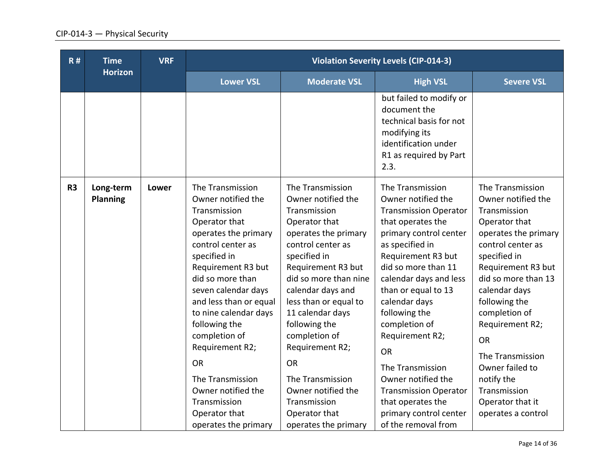| R#             | <b>Time</b>                  | <b>VRF</b><br><b>Horizon</b> |                                                                                                                                                                                                                                                                                                                                                                                                                               |                                                                                                                                                                                                                                                                                                                                                                                                                            | <b>Violation Severity Levels (CIP-014-3)</b>                                                                                                                                                                                                                                                                                                                                                                                                                              |                                                                                                                                                                                                                                                                                                                                                                                     |
|----------------|------------------------------|------------------------------|-------------------------------------------------------------------------------------------------------------------------------------------------------------------------------------------------------------------------------------------------------------------------------------------------------------------------------------------------------------------------------------------------------------------------------|----------------------------------------------------------------------------------------------------------------------------------------------------------------------------------------------------------------------------------------------------------------------------------------------------------------------------------------------------------------------------------------------------------------------------|---------------------------------------------------------------------------------------------------------------------------------------------------------------------------------------------------------------------------------------------------------------------------------------------------------------------------------------------------------------------------------------------------------------------------------------------------------------------------|-------------------------------------------------------------------------------------------------------------------------------------------------------------------------------------------------------------------------------------------------------------------------------------------------------------------------------------------------------------------------------------|
|                |                              |                              | <b>Lower VSL</b>                                                                                                                                                                                                                                                                                                                                                                                                              | <b>Moderate VSL</b>                                                                                                                                                                                                                                                                                                                                                                                                        | <b>High VSL</b>                                                                                                                                                                                                                                                                                                                                                                                                                                                           | <b>Severe VSL</b>                                                                                                                                                                                                                                                                                                                                                                   |
|                |                              |                              |                                                                                                                                                                                                                                                                                                                                                                                                                               |                                                                                                                                                                                                                                                                                                                                                                                                                            | but failed to modify or<br>document the<br>technical basis for not<br>modifying its<br>identification under<br>R1 as required by Part<br>2.3.                                                                                                                                                                                                                                                                                                                             |                                                                                                                                                                                                                                                                                                                                                                                     |
| R <sub>3</sub> | Long-term<br><b>Planning</b> | <b>Lower</b>                 | The Transmission<br>Owner notified the<br>Transmission<br>Operator that<br>operates the primary<br>control center as<br>specified in<br>Requirement R3 but<br>did so more than<br>seven calendar days<br>and less than or equal<br>to nine calendar days<br>following the<br>completion of<br>Requirement R2;<br><b>OR</b><br>The Transmission<br>Owner notified the<br>Transmission<br>Operator that<br>operates the primary | The Transmission<br>Owner notified the<br>Transmission<br>Operator that<br>operates the primary<br>control center as<br>specified in<br>Requirement R3 but<br>did so more than nine<br>calendar days and<br>less than or equal to<br>11 calendar days<br>following the<br>completion of<br>Requirement R2;<br><b>OR</b><br>The Transmission<br>Owner notified the<br>Transmission<br>Operator that<br>operates the primary | The Transmission<br>Owner notified the<br><b>Transmission Operator</b><br>that operates the<br>primary control center<br>as specified in<br>Requirement R3 but<br>did so more than 11<br>calendar days and less<br>than or equal to 13<br>calendar days<br>following the<br>completion of<br>Requirement R2;<br><b>OR</b><br>The Transmission<br>Owner notified the<br><b>Transmission Operator</b><br>that operates the<br>primary control center<br>of the removal from | The Transmission<br>Owner notified the<br>Transmission<br>Operator that<br>operates the primary<br>control center as<br>specified in<br>Requirement R3 but<br>did so more than 13<br>calendar days<br>following the<br>completion of<br>Requirement R2;<br><b>OR</b><br>The Transmission<br>Owner failed to<br>notify the<br>Transmission<br>Operator that it<br>operates a control |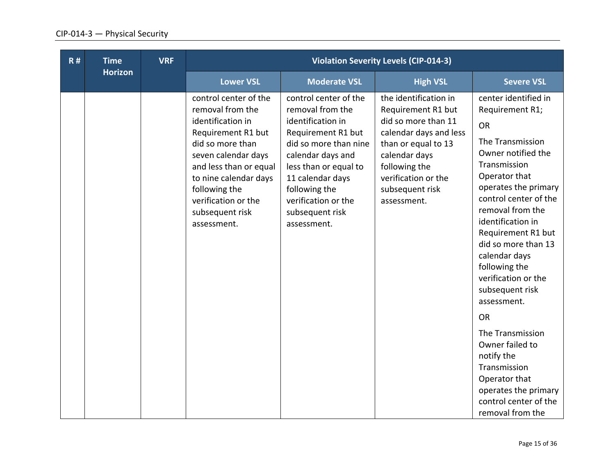| R# | <b>Time</b>    | <b>VRF</b> |                                                                                                                                                                                                                                                              |                                                                                                                                                                                                                                                           | <b>Violation Severity Levels (CIP-014-3)</b>                                                                                                                                                                   |                                                                                                                                                                                                                                                                                                                                                                   |
|----|----------------|------------|--------------------------------------------------------------------------------------------------------------------------------------------------------------------------------------------------------------------------------------------------------------|-----------------------------------------------------------------------------------------------------------------------------------------------------------------------------------------------------------------------------------------------------------|----------------------------------------------------------------------------------------------------------------------------------------------------------------------------------------------------------------|-------------------------------------------------------------------------------------------------------------------------------------------------------------------------------------------------------------------------------------------------------------------------------------------------------------------------------------------------------------------|
|    | <b>Horizon</b> |            | <b>Lower VSL</b>                                                                                                                                                                                                                                             | <b>Moderate VSL</b>                                                                                                                                                                                                                                       | <b>High VSL</b>                                                                                                                                                                                                | <b>Severe VSL</b>                                                                                                                                                                                                                                                                                                                                                 |
|    |                |            | control center of the<br>removal from the<br>identification in<br>Requirement R1 but<br>did so more than<br>seven calendar days<br>and less than or equal<br>to nine calendar days<br>following the<br>verification or the<br>subsequent risk<br>assessment. | control center of the<br>removal from the<br>identification in<br>Requirement R1 but<br>did so more than nine<br>calendar days and<br>less than or equal to<br>11 calendar days<br>following the<br>verification or the<br>subsequent risk<br>assessment. | the identification in<br>Requirement R1 but<br>did so more than 11<br>calendar days and less<br>than or equal to 13<br>calendar days<br>following the<br>verification or the<br>subsequent risk<br>assessment. | center identified in<br>Requirement R1;<br><b>OR</b><br>The Transmission<br>Owner notified the<br>Transmission<br>Operator that<br>operates the primary<br>control center of the<br>removal from the<br>identification in<br>Requirement R1 but<br>did so more than 13<br>calendar days<br>following the<br>verification or the<br>subsequent risk<br>assessment. |
|    |                |            |                                                                                                                                                                                                                                                              |                                                                                                                                                                                                                                                           |                                                                                                                                                                                                                | <b>OR</b><br>The Transmission<br>Owner failed to<br>notify the<br>Transmission<br>Operator that<br>operates the primary<br>control center of the<br>removal from the                                                                                                                                                                                              |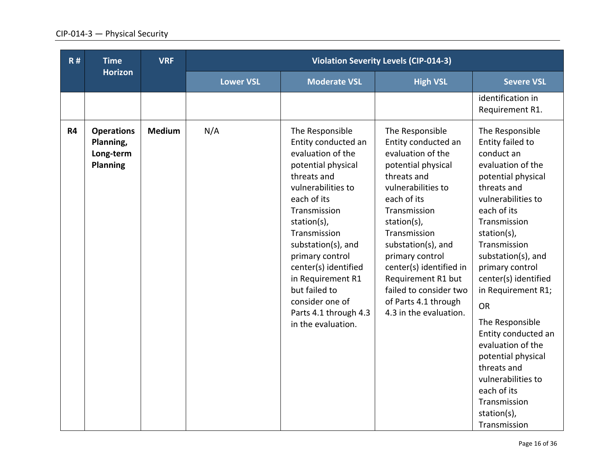| R# | <b>Time</b>                                                    | <b>VRF</b>    |                  |                                                                                                                                                                                                                                                                                                                                                               | <b>Violation Severity Levels (CIP-014-3)</b>                                                                                                                                                                                                                                                                                                               |                                                                                                                                                                                                                                                                                                                                                                                                                                                                                             |
|----|----------------------------------------------------------------|---------------|------------------|---------------------------------------------------------------------------------------------------------------------------------------------------------------------------------------------------------------------------------------------------------------------------------------------------------------------------------------------------------------|------------------------------------------------------------------------------------------------------------------------------------------------------------------------------------------------------------------------------------------------------------------------------------------------------------------------------------------------------------|---------------------------------------------------------------------------------------------------------------------------------------------------------------------------------------------------------------------------------------------------------------------------------------------------------------------------------------------------------------------------------------------------------------------------------------------------------------------------------------------|
|    | <b>Horizon</b>                                                 |               | <b>Lower VSL</b> | <b>Moderate VSL</b>                                                                                                                                                                                                                                                                                                                                           | <b>High VSL</b>                                                                                                                                                                                                                                                                                                                                            | <b>Severe VSL</b>                                                                                                                                                                                                                                                                                                                                                                                                                                                                           |
|    |                                                                |               |                  |                                                                                                                                                                                                                                                                                                                                                               |                                                                                                                                                                                                                                                                                                                                                            | identification in<br>Requirement R1.                                                                                                                                                                                                                                                                                                                                                                                                                                                        |
| R4 | <b>Operations</b><br>Planning,<br>Long-term<br><b>Planning</b> | <b>Medium</b> | N/A              | The Responsible<br>Entity conducted an<br>evaluation of the<br>potential physical<br>threats and<br>vulnerabilities to<br>each of its<br>Transmission<br>station(s),<br>Transmission<br>substation(s), and<br>primary control<br>center(s) identified<br>in Requirement R1<br>but failed to<br>consider one of<br>Parts 4.1 through 4.3<br>in the evaluation. | The Responsible<br>Entity conducted an<br>evaluation of the<br>potential physical<br>threats and<br>vulnerabilities to<br>each of its<br>Transmission<br>station(s),<br>Transmission<br>substation(s), and<br>primary control<br>center(s) identified in<br>Requirement R1 but<br>failed to consider two<br>of Parts 4.1 through<br>4.3 in the evaluation. | The Responsible<br>Entity failed to<br>conduct an<br>evaluation of the<br>potential physical<br>threats and<br>vulnerabilities to<br>each of its<br>Transmission<br>station(s),<br>Transmission<br>substation(s), and<br>primary control<br>center(s) identified<br>in Requirement R1;<br><b>OR</b><br>The Responsible<br>Entity conducted an<br>evaluation of the<br>potential physical<br>threats and<br>vulnerabilities to<br>each of its<br>Transmission<br>station(s),<br>Transmission |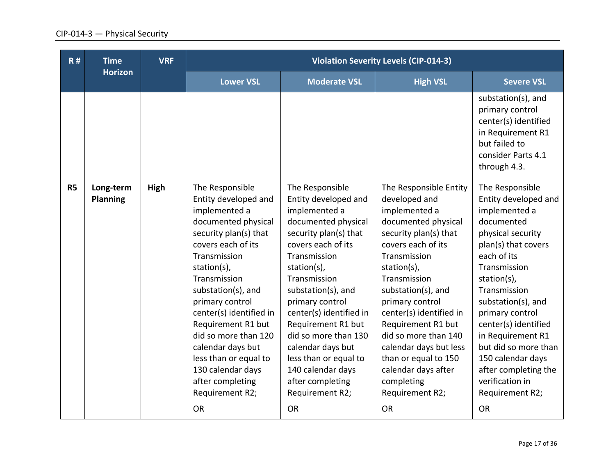| R#        | <b>Time</b>                  | <b>VRF</b> |                                                                                                                                                                                                                                                                                                                                                                                                                        |                                                                                                                                                                                                                                                                                                                                                                                                                        | <b>Violation Severity Levels (CIP-014-3)</b>                                                                                                                                                                                                                                                                                                                                                                           |                                                                                                                                                                                                                                                                                                                                                                                                |
|-----------|------------------------------|------------|------------------------------------------------------------------------------------------------------------------------------------------------------------------------------------------------------------------------------------------------------------------------------------------------------------------------------------------------------------------------------------------------------------------------|------------------------------------------------------------------------------------------------------------------------------------------------------------------------------------------------------------------------------------------------------------------------------------------------------------------------------------------------------------------------------------------------------------------------|------------------------------------------------------------------------------------------------------------------------------------------------------------------------------------------------------------------------------------------------------------------------------------------------------------------------------------------------------------------------------------------------------------------------|------------------------------------------------------------------------------------------------------------------------------------------------------------------------------------------------------------------------------------------------------------------------------------------------------------------------------------------------------------------------------------------------|
|           | <b>Horizon</b>               |            | <b>Lower VSL</b>                                                                                                                                                                                                                                                                                                                                                                                                       | <b>Moderate VSL</b>                                                                                                                                                                                                                                                                                                                                                                                                    | <b>High VSL</b>                                                                                                                                                                                                                                                                                                                                                                                                        | <b>Severe VSL</b>                                                                                                                                                                                                                                                                                                                                                                              |
|           |                              |            |                                                                                                                                                                                                                                                                                                                                                                                                                        |                                                                                                                                                                                                                                                                                                                                                                                                                        |                                                                                                                                                                                                                                                                                                                                                                                                                        | substation(s), and<br>primary control<br>center(s) identified<br>in Requirement R1<br>but failed to<br>consider Parts 4.1<br>through 4.3.                                                                                                                                                                                                                                                      |
| <b>R5</b> | Long-term<br><b>Planning</b> | High       | The Responsible<br>Entity developed and<br>implemented a<br>documented physical<br>security plan(s) that<br>covers each of its<br>Transmission<br>station(s),<br>Transmission<br>substation(s), and<br>primary control<br>center(s) identified in<br>Requirement R1 but<br>did so more than 120<br>calendar days but<br>less than or equal to<br>130 calendar days<br>after completing<br>Requirement R2;<br><b>OR</b> | The Responsible<br>Entity developed and<br>implemented a<br>documented physical<br>security plan(s) that<br>covers each of its<br>Transmission<br>station(s),<br>Transmission<br>substation(s), and<br>primary control<br>center(s) identified in<br>Requirement R1 but<br>did so more than 130<br>calendar days but<br>less than or equal to<br>140 calendar days<br>after completing<br>Requirement R2;<br><b>OR</b> | The Responsible Entity<br>developed and<br>implemented a<br>documented physical<br>security plan(s) that<br>covers each of its<br>Transmission<br>station(s),<br>Transmission<br>substation(s), and<br>primary control<br>center(s) identified in<br>Requirement R1 but<br>did so more than 140<br>calendar days but less<br>than or equal to 150<br>calendar days after<br>completing<br>Requirement R2;<br><b>OR</b> | The Responsible<br>Entity developed and<br>implemented a<br>documented<br>physical security<br>plan(s) that covers<br>each of its<br>Transmission<br>station(s),<br>Transmission<br>substation(s), and<br>primary control<br>center(s) identified<br>in Requirement R1<br>but did so more than<br>150 calendar days<br>after completing the<br>verification in<br>Requirement R2;<br><b>OR</b> |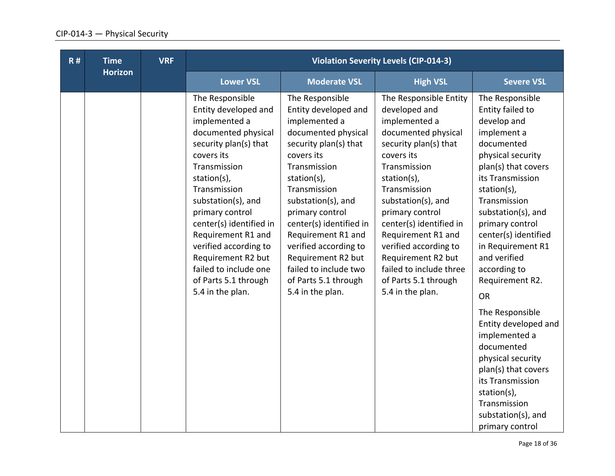| R# | <b>Time</b>    | <b>VRF</b> |                                                                                                                                                                                                                                                                                                                                                                                     |                                                                                                                                                                                                                                                                                                                                                                                     | <b>Violation Severity Levels (CIP-014-3)</b>                                                                                                                                                                                                                                                                                                                                          |                                                                                                                                                                                                                                                                                                                                      |
|----|----------------|------------|-------------------------------------------------------------------------------------------------------------------------------------------------------------------------------------------------------------------------------------------------------------------------------------------------------------------------------------------------------------------------------------|-------------------------------------------------------------------------------------------------------------------------------------------------------------------------------------------------------------------------------------------------------------------------------------------------------------------------------------------------------------------------------------|---------------------------------------------------------------------------------------------------------------------------------------------------------------------------------------------------------------------------------------------------------------------------------------------------------------------------------------------------------------------------------------|--------------------------------------------------------------------------------------------------------------------------------------------------------------------------------------------------------------------------------------------------------------------------------------------------------------------------------------|
|    | <b>Horizon</b> |            | <b>Lower VSL</b>                                                                                                                                                                                                                                                                                                                                                                    | <b>Moderate VSL</b>                                                                                                                                                                                                                                                                                                                                                                 | <b>High VSL</b>                                                                                                                                                                                                                                                                                                                                                                       | <b>Severe VSL</b>                                                                                                                                                                                                                                                                                                                    |
|    |                |            | The Responsible<br>Entity developed and<br>implemented a<br>documented physical<br>security plan(s) that<br>covers its<br>Transmission<br>station(s),<br>Transmission<br>substation(s), and<br>primary control<br>center(s) identified in<br>Requirement R1 and<br>verified according to<br>Requirement R2 but<br>failed to include one<br>of Parts 5.1 through<br>5.4 in the plan. | The Responsible<br>Entity developed and<br>implemented a<br>documented physical<br>security plan(s) that<br>covers its<br>Transmission<br>station(s),<br>Transmission<br>substation(s), and<br>primary control<br>center(s) identified in<br>Requirement R1 and<br>verified according to<br>Requirement R2 but<br>failed to include two<br>of Parts 5.1 through<br>5.4 in the plan. | The Responsible Entity<br>developed and<br>implemented a<br>documented physical<br>security plan(s) that<br>covers its<br>Transmission<br>station(s),<br>Transmission<br>substation(s), and<br>primary control<br>center(s) identified in<br>Requirement R1 and<br>verified according to<br>Requirement R2 but<br>failed to include three<br>of Parts 5.1 through<br>5.4 in the plan. | The Responsible<br>Entity failed to<br>develop and<br>implement a<br>documented<br>physical security<br>plan(s) that covers<br>its Transmission<br>station(s),<br>Transmission<br>substation(s), and<br>primary control<br>center(s) identified<br>in Requirement R1<br>and verified<br>according to<br>Requirement R2.<br><b>OR</b> |
|    |                |            |                                                                                                                                                                                                                                                                                                                                                                                     |                                                                                                                                                                                                                                                                                                                                                                                     |                                                                                                                                                                                                                                                                                                                                                                                       | The Responsible<br>Entity developed and<br>implemented a<br>documented<br>physical security<br>plan(s) that covers<br>its Transmission<br>station(s),<br>Transmission<br>substation(s), and<br>primary control                                                                                                                       |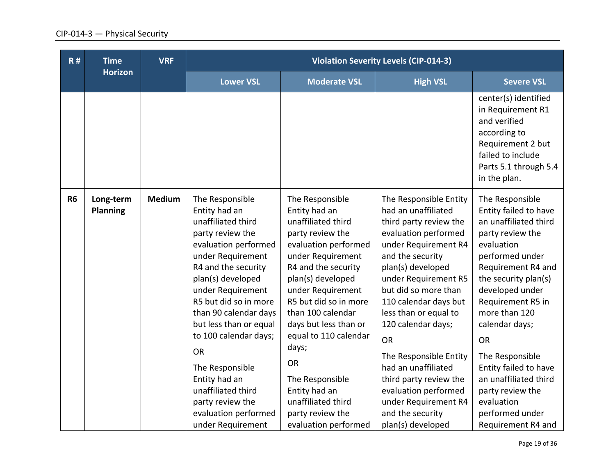| R#        | <b>Time</b>                  | <b>VRF</b>    |                                                                                                                                                                                                                                                                                                                                                                                                                                       |                                                                                                                                                                                                                                                                                                                                                                                                                      | <b>Violation Severity Levels (CIP-014-3)</b>                                                                                                                                                                                                                                                                                                                                                                                                                              |                                                                                                                                                                                                                                                                                                                                                                                                              |
|-----------|------------------------------|---------------|---------------------------------------------------------------------------------------------------------------------------------------------------------------------------------------------------------------------------------------------------------------------------------------------------------------------------------------------------------------------------------------------------------------------------------------|----------------------------------------------------------------------------------------------------------------------------------------------------------------------------------------------------------------------------------------------------------------------------------------------------------------------------------------------------------------------------------------------------------------------|---------------------------------------------------------------------------------------------------------------------------------------------------------------------------------------------------------------------------------------------------------------------------------------------------------------------------------------------------------------------------------------------------------------------------------------------------------------------------|--------------------------------------------------------------------------------------------------------------------------------------------------------------------------------------------------------------------------------------------------------------------------------------------------------------------------------------------------------------------------------------------------------------|
|           | <b>Horizon</b>               |               | <b>Lower VSL</b>                                                                                                                                                                                                                                                                                                                                                                                                                      | <b>Moderate VSL</b>                                                                                                                                                                                                                                                                                                                                                                                                  | <b>High VSL</b>                                                                                                                                                                                                                                                                                                                                                                                                                                                           | <b>Severe VSL</b>                                                                                                                                                                                                                                                                                                                                                                                            |
|           |                              |               |                                                                                                                                                                                                                                                                                                                                                                                                                                       |                                                                                                                                                                                                                                                                                                                                                                                                                      |                                                                                                                                                                                                                                                                                                                                                                                                                                                                           | center(s) identified<br>in Requirement R1<br>and verified<br>according to<br>Requirement 2 but<br>failed to include<br>Parts 5.1 through 5.4<br>in the plan.                                                                                                                                                                                                                                                 |
| <b>R6</b> | Long-term<br><b>Planning</b> | <b>Medium</b> | The Responsible<br>Entity had an<br>unaffiliated third<br>party review the<br>evaluation performed<br>under Requirement<br>R4 and the security<br>plan(s) developed<br>under Requirement<br>R5 but did so in more<br>than 90 calendar days<br>but less than or equal<br>to 100 calendar days;<br><b>OR</b><br>The Responsible<br>Entity had an<br>unaffiliated third<br>party review the<br>evaluation performed<br>under Requirement | The Responsible<br>Entity had an<br>unaffiliated third<br>party review the<br>evaluation performed<br>under Requirement<br>R4 and the security<br>plan(s) developed<br>under Requirement<br>R5 but did so in more<br>than 100 calendar<br>days but less than or<br>equal to 110 calendar<br>days;<br><b>OR</b><br>The Responsible<br>Entity had an<br>unaffiliated third<br>party review the<br>evaluation performed | The Responsible Entity<br>had an unaffiliated<br>third party review the<br>evaluation performed<br>under Requirement R4<br>and the security<br>plan(s) developed<br>under Requirement R5<br>but did so more than<br>110 calendar days but<br>less than or equal to<br>120 calendar days;<br><b>OR</b><br>The Responsible Entity<br>had an unaffiliated<br>third party review the<br>evaluation performed<br>under Requirement R4<br>and the security<br>plan(s) developed | The Responsible<br>Entity failed to have<br>an unaffiliated third<br>party review the<br>evaluation<br>performed under<br>Requirement R4 and<br>the security plan(s)<br>developed under<br>Requirement R5 in<br>more than 120<br>calendar days;<br><b>OR</b><br>The Responsible<br>Entity failed to have<br>an unaffiliated third<br>party review the<br>evaluation<br>performed under<br>Requirement R4 and |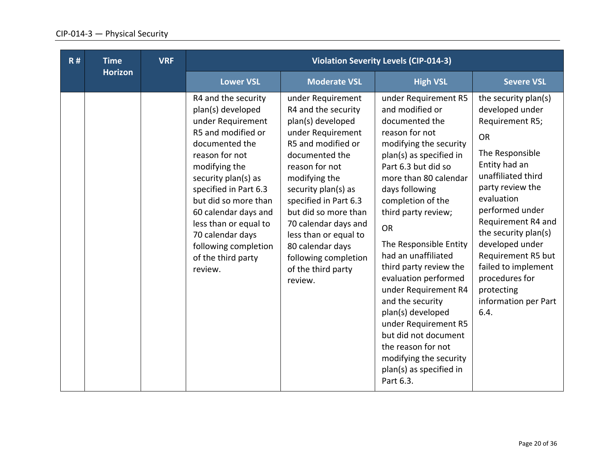| R# | <b>Time</b>    | <b>VRF</b> | <b>Violation Severity Levels (CIP-014-3)</b>                                                                                                                                                                                                                                                                                                   |                                                                                                                                                                                                                                                                                                                                                                     |                                                                                                                                                                                                                                                                                                                                                                                                                                                                                                                                                                         |                                                                                                                                                                                                                                                                                                                                                                      |
|----|----------------|------------|------------------------------------------------------------------------------------------------------------------------------------------------------------------------------------------------------------------------------------------------------------------------------------------------------------------------------------------------|---------------------------------------------------------------------------------------------------------------------------------------------------------------------------------------------------------------------------------------------------------------------------------------------------------------------------------------------------------------------|-------------------------------------------------------------------------------------------------------------------------------------------------------------------------------------------------------------------------------------------------------------------------------------------------------------------------------------------------------------------------------------------------------------------------------------------------------------------------------------------------------------------------------------------------------------------------|----------------------------------------------------------------------------------------------------------------------------------------------------------------------------------------------------------------------------------------------------------------------------------------------------------------------------------------------------------------------|
|    | <b>Horizon</b> |            | <b>Lower VSL</b>                                                                                                                                                                                                                                                                                                                               | <b>Moderate VSL</b>                                                                                                                                                                                                                                                                                                                                                 | <b>High VSL</b>                                                                                                                                                                                                                                                                                                                                                                                                                                                                                                                                                         | <b>Severe VSL</b>                                                                                                                                                                                                                                                                                                                                                    |
|    |                |            | R4 and the security<br>plan(s) developed<br>under Requirement<br>R5 and modified or<br>documented the<br>reason for not<br>modifying the<br>security plan(s) as<br>specified in Part 6.3<br>but did so more than<br>60 calendar days and<br>less than or equal to<br>70 calendar days<br>following completion<br>of the third party<br>review. | under Requirement<br>R4 and the security<br>plan(s) developed<br>under Requirement<br>R5 and modified or<br>documented the<br>reason for not<br>modifying the<br>security plan(s) as<br>specified in Part 6.3<br>but did so more than<br>70 calendar days and<br>less than or equal to<br>80 calendar days<br>following completion<br>of the third party<br>review. | under Requirement R5<br>and modified or<br>documented the<br>reason for not<br>modifying the security<br>plan(s) as specified in<br>Part 6.3 but did so<br>more than 80 calendar<br>days following<br>completion of the<br>third party review;<br><b>OR</b><br>The Responsible Entity<br>had an unaffiliated<br>third party review the<br>evaluation performed<br>under Requirement R4<br>and the security<br>plan(s) developed<br>under Requirement R5<br>but did not document<br>the reason for not<br>modifying the security<br>plan(s) as specified in<br>Part 6.3. | the security plan(s)<br>developed under<br>Requirement R5;<br><b>OR</b><br>The Responsible<br>Entity had an<br>unaffiliated third<br>party review the<br>evaluation<br>performed under<br>Requirement R4 and<br>the security plan(s)<br>developed under<br>Requirement R5 but<br>failed to implement<br>procedures for<br>protecting<br>information per Part<br>6.4. |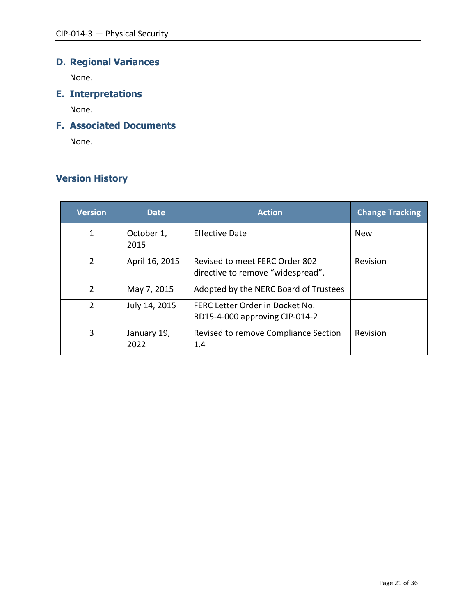# **D. Regional Variances**

None.

**E. Interpretations**

None.

# **F. Associated Documents**

None.

# **Version History**

| <b>Version</b> | <b>Date</b>         | <b>Action</b>                                                       | <b>Change Tracking</b> |
|----------------|---------------------|---------------------------------------------------------------------|------------------------|
| 1              | October 1,<br>2015  | Effective Date                                                      | <b>New</b>             |
| $\overline{2}$ | April 16, 2015      | Revised to meet FERC Order 802<br>directive to remove "widespread". | Revision               |
| $\overline{2}$ | May 7, 2015         | Adopted by the NERC Board of Trustees                               |                        |
| 2              | July 14, 2015       | FERC Letter Order in Docket No.<br>RD15-4-000 approving CIP-014-2   |                        |
| 3              | January 19,<br>2022 | Revised to remove Compliance Section<br>1.4                         | Revision               |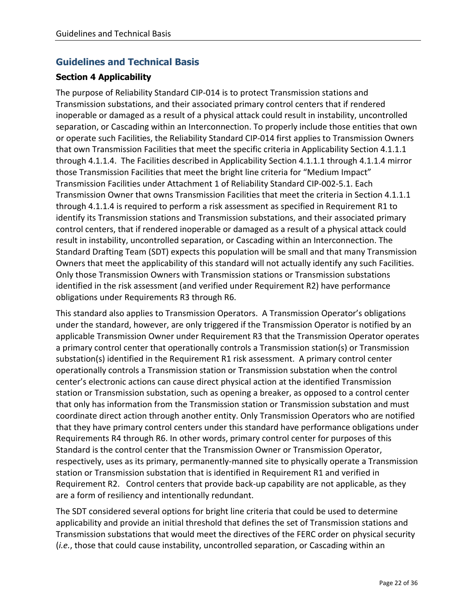## **Guidelines and Technical Basis**

### **Section 4 Applicability**

The purpose of Reliability Standard CIP-014 is to protect Transmission stations and Transmission substations, and their associated primary control centers that if rendered inoperable or damaged as a result of a physical attack could result in instability, uncontrolled separation, or Cascading within an Interconnection. To properly include those entities that own or operate such Facilities, the Reliability Standard CIP-014 first applies to Transmission Owners that own Transmission Facilities that meet the specific criteria in Applicability Section 4.1.1.1 through 4.1.1.4. The Facilities described in Applicability Section 4.1.1.1 through 4.1.1.4 mirror those Transmission Facilities that meet the bright line criteria for "Medium Impact" Transmission Facilities under Attachment 1 of Reliability Standard CIP-002-5.1. Each Transmission Owner that owns Transmission Facilities that meet the criteria in Section 4.1.1.1 through 4.1.1.4 is required to perform a risk assessment as specified in Requirement R1 to identify its Transmission stations and Transmission substations, and their associated primary control centers, that if rendered inoperable or damaged as a result of a physical attack could result in instability, uncontrolled separation, or Cascading within an Interconnection. The Standard Drafting Team (SDT) expects this population will be small and that many Transmission Owners that meet the applicability of this standard will not actually identify any such Facilities. Only those Transmission Owners with Transmission stations or Transmission substations identified in the risk assessment (and verified under Requirement R2) have performance obligations under Requirements R3 through R6.

This standard also applies to Transmission Operators. A Transmission Operator's obligations under the standard, however, are only triggered if the Transmission Operator is notified by an applicable Transmission Owner under Requirement R3 that the Transmission Operator operates a primary control center that operationally controls a Transmission station(s) or Transmission substation(s) identified in the Requirement R1 risk assessment. A primary control center operationally controls a Transmission station or Transmission substation when the control center's electronic actions can cause direct physical action at the identified Transmission station or Transmission substation, such as opening a breaker, as opposed to a control center that only has information from the Transmission station or Transmission substation and must coordinate direct action through another entity. Only Transmission Operators who are notified that they have primary control centers under this standard have performance obligations under Requirements R4 through R6. In other words, primary control center for purposes of this Standard is the control center that the Transmission Owner or Transmission Operator, respectively, uses as its primary, permanently-manned site to physically operate a Transmission station or Transmission substation that is identified in Requirement R1 and verified in Requirement R2. Control centers that provide back-up capability are not applicable, as they are a form of resiliency and intentionally redundant.

The SDT considered several options for bright line criteria that could be used to determine applicability and provide an initial threshold that defines the set of Transmission stations and Transmission substations that would meet the directives of the FERC order on physical security (*i.e.*, those that could cause instability, uncontrolled separation, or Cascading within an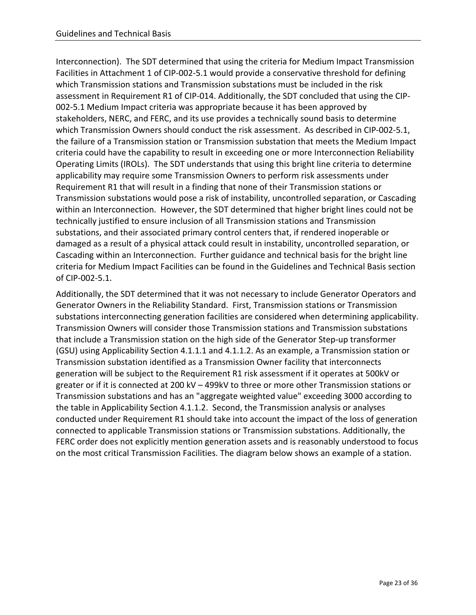Interconnection). The SDT determined that using the criteria for Medium Impact Transmission Facilities in Attachment 1 of CIP-002-5.1 would provide a conservative threshold for defining which Transmission stations and Transmission substations must be included in the risk assessment in Requirement R1 of CIP-014. Additionally, the SDT concluded that using the CIP-002-5.1 Medium Impact criteria was appropriate because it has been approved by stakeholders, NERC, and FERC, and its use provides a technically sound basis to determine which Transmission Owners should conduct the risk assessment. As described in CIP-002-5.1, the failure of a Transmission station or Transmission substation that meets the Medium Impact criteria could have the capability to result in exceeding one or more Interconnection Reliability Operating Limits (IROLs). The SDT understands that using this bright line criteria to determine applicability may require some Transmission Owners to perform risk assessments under Requirement R1 that will result in a finding that none of their Transmission stations or Transmission substations would pose a risk of instability, uncontrolled separation, or Cascading within an Interconnection. However, the SDT determined that higher bright lines could not be technically justified to ensure inclusion of all Transmission stations and Transmission substations, and their associated primary control centers that, if rendered inoperable or damaged as a result of a physical attack could result in instability, uncontrolled separation, or Cascading within an Interconnection. Further guidance and technical basis for the bright line criteria for Medium Impact Facilities can be found in the Guidelines and Technical Basis section of CIP-002-5.1.

Additionally, the SDT determined that it was not necessary to include Generator Operators and Generator Owners in the Reliability Standard. First, Transmission stations or Transmission substations interconnecting generation facilities are considered when determining applicability. Transmission Owners will consider those Transmission stations and Transmission substations that include a Transmission station on the high side of the Generator Step-up transformer (GSU) using Applicability Section 4.1.1.1 and 4.1.1.2. As an example, a Transmission station or Transmission substation identified as a Transmission Owner facility that interconnects generation will be subject to the Requirement R1 risk assessment if it operates at 500kV or greater or if it is connected at 200 kV – 499kV to three or more other Transmission stations or Transmission substations and has an "aggregate weighted value" exceeding 3000 according to the table in Applicability Section 4.1.1.2. Second, the Transmission analysis or analyses conducted under Requirement R1 should take into account the impact of the loss of generation connected to applicable Transmission stations or Transmission substations. Additionally, the FERC order does not explicitly mention generation assets and is reasonably understood to focus on the most critical Transmission Facilities. The diagram below shows an example of a station.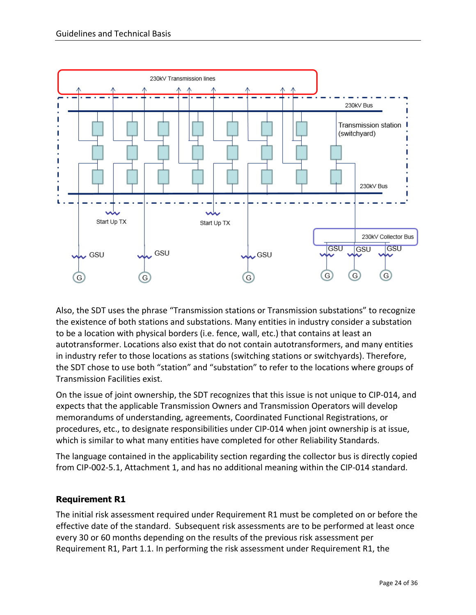

Also, the SDT uses the phrase "Transmission stations or Transmission substations" to recognize the existence of both stations and substations. Many entities in industry consider a substation to be a location with physical borders (i.e. fence, wall, etc.) that contains at least an autotransformer. Locations also exist that do not contain autotransformers, and many entities in industry refer to those locations as stations (switching stations or switchyards). Therefore, the SDT chose to use both "station" and "substation" to refer to the locations where groups of Transmission Facilities exist.

On the issue of joint ownership, the SDT recognizes that this issue is not unique to CIP-014, and expects that the applicable Transmission Owners and Transmission Operators will develop memorandums of understanding, agreements, Coordinated Functional Registrations, or procedures, etc., to designate responsibilities under CIP-014 when joint ownership is at issue, which is similar to what many entities have completed for other Reliability Standards.

The language contained in the applicability section regarding the collector bus is directly copied from CIP-002-5.1, Attachment 1, and has no additional meaning within the CIP-014 standard.

### **Requirement R1**

The initial risk assessment required under Requirement R1 must be completed on or before the effective date of the standard. Subsequent risk assessments are to be performed at least once every 30 or 60 months depending on the results of the previous risk assessment per Requirement R1, Part 1.1. In performing the risk assessment under Requirement R1, the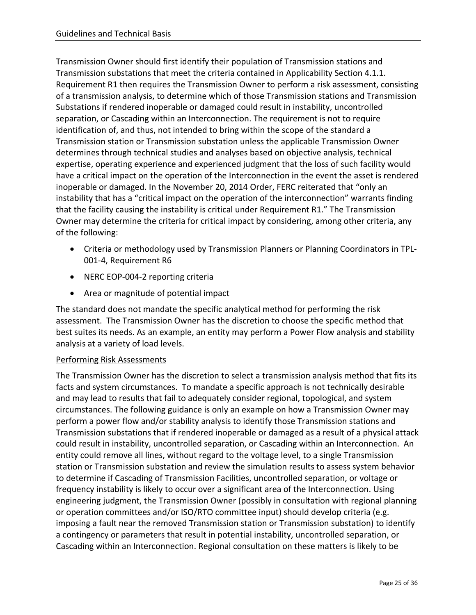Transmission Owner should first identify their population of Transmission stations and Transmission substations that meet the criteria contained in Applicability Section 4.1.1. Requirement R1 then requires the Transmission Owner to perform a risk assessment, consisting of a transmission analysis, to determine which of those Transmission stations and Transmission Substations if rendered inoperable or damaged could result in instability, uncontrolled separation, or Cascading within an Interconnection. The requirement is not to require identification of, and thus, not intended to bring within the scope of the standard a Transmission station or Transmission substation unless the applicable Transmission Owner determines through technical studies and analyses based on objective analysis, technical expertise, operating experience and experienced judgment that the loss of such facility would have a critical impact on the operation of the Interconnection in the event the asset is rendered inoperable or damaged. In the November 20, 2014 Order, FERC reiterated that "only an instability that has a "critical impact on the operation of the interconnection" warrants finding that the facility causing the instability is critical under Requirement R1." The Transmission Owner may determine the criteria for critical impact by considering, among other criteria, any of the following:

- Criteria or methodology used by Transmission Planners or Planning Coordinators in TPL-001-4, Requirement R6
- NERC EOP-004-2 reporting criteria
- Area or magnitude of potential impact

The standard does not mandate the specific analytical method for performing the risk assessment. The Transmission Owner has the discretion to choose the specific method that best suites its needs. As an example, an entity may perform a Power Flow analysis and stability analysis at a variety of load levels.

### Performing Risk Assessments

The Transmission Owner has the discretion to select a transmission analysis method that fits its facts and system circumstances. To mandate a specific approach is not technically desirable and may lead to results that fail to adequately consider regional, topological, and system circumstances. The following guidance is only an example on how a Transmission Owner may perform a power flow and/or stability analysis to identify those Transmission stations and Transmission substations that if rendered inoperable or damaged as a result of a physical attack could result in instability, uncontrolled separation, or Cascading within an Interconnection. An entity could remove all lines, without regard to the voltage level, to a single Transmission station or Transmission substation and review the simulation results to assess system behavior to determine if Cascading of Transmission Facilities, uncontrolled separation, or voltage or frequency instability is likely to occur over a significant area of the Interconnection. Using engineering judgment, the Transmission Owner (possibly in consultation with regional planning or operation committees and/or ISO/RTO committee input) should develop criteria (e.g. imposing a fault near the removed Transmission station or Transmission substation) to identify a contingency or parameters that result in potential instability, uncontrolled separation, or Cascading within an Interconnection. Regional consultation on these matters is likely to be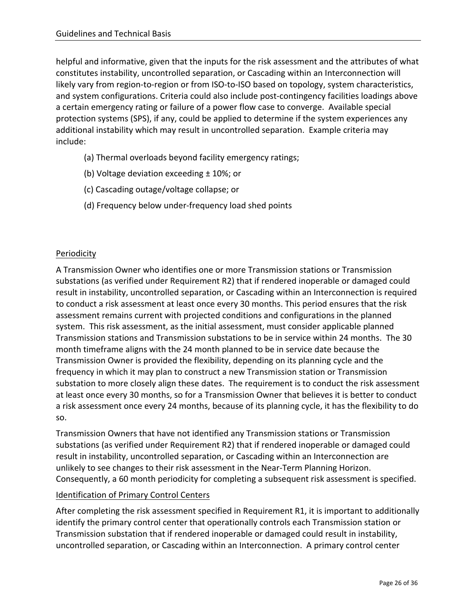helpful and informative, given that the inputs for the risk assessment and the attributes of what constitutes instability, uncontrolled separation, or Cascading within an Interconnection will likely vary from region-to-region or from ISO-to-ISO based on topology, system characteristics, and system configurations. Criteria could also include post-contingency facilities loadings above a certain emergency rating or failure of a power flow case to converge. Available special protection systems (SPS), if any, could be applied to determine if the system experiences any additional instability which may result in uncontrolled separation. Example criteria may include:

- (a) Thermal overloads beyond facility emergency ratings;
- (b) Voltage deviation exceeding ± 10%; or
- (c) Cascading outage/voltage collapse; or
- (d) Frequency below under-frequency load shed points

### Periodicity

A Transmission Owner who identifies one or more Transmission stations or Transmission substations (as verified under Requirement R2) that if rendered inoperable or damaged could result in instability, uncontrolled separation, or Cascading within an Interconnection is required to conduct a risk assessment at least once every 30 months. This period ensures that the risk assessment remains current with projected conditions and configurations in the planned system. This risk assessment, as the initial assessment, must consider applicable planned Transmission stations and Transmission substations to be in service within 24 months. The 30 month timeframe aligns with the 24 month planned to be in service date because the Transmission Owner is provided the flexibility, depending on its planning cycle and the frequency in which it may plan to construct a new Transmission station or Transmission substation to more closely align these dates. The requirement is to conduct the risk assessment at least once every 30 months, so for a Transmission Owner that believes it is better to conduct a risk assessment once every 24 months, because of its planning cycle, it has the flexibility to do so.

Transmission Owners that have not identified any Transmission stations or Transmission substations (as verified under Requirement R2) that if rendered inoperable or damaged could result in instability, uncontrolled separation, or Cascading within an Interconnection are unlikely to see changes to their risk assessment in the Near-Term Planning Horizon. Consequently, a 60 month periodicity for completing a subsequent risk assessment is specified.

### Identification of Primary Control Centers

After completing the risk assessment specified in Requirement R1, it is important to additionally identify the primary control center that operationally controls each Transmission station or Transmission substation that if rendered inoperable or damaged could result in instability, uncontrolled separation, or Cascading within an Interconnection. A primary control center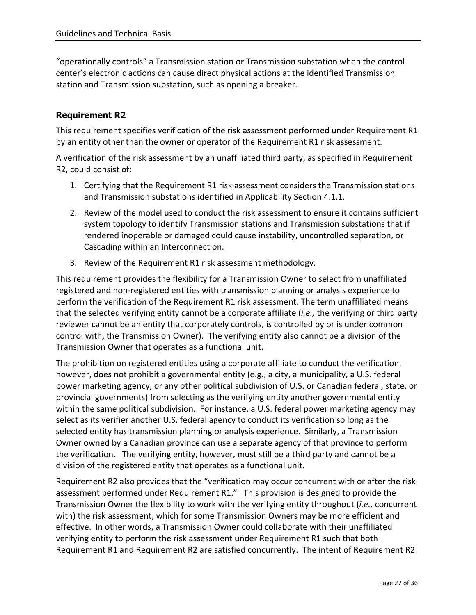"operationally controls" a Transmission station or Transmission substation when the control center's electronic actions can cause direct physical actions at the identified Transmission station and Transmission substation, such as opening a breaker.

### **Requirement R2**

This requirement specifies verification of the risk assessment performed under Requirement R1 by an entity other than the owner or operator of the Requirement R1 risk assessment.

A verification of the risk assessment by an unaffiliated third party, as specified in Requirement R2, could consist of:

- 1. Certifying that the Requirement R1 risk assessment considers the Transmission stations and Transmission substations identified in Applicability Section 4.1.1.
- 2. Review of the model used to conduct the risk assessment to ensure it contains sufficient system topology to identify Transmission stations and Transmission substations that if rendered inoperable or damaged could cause instability, uncontrolled separation, or Cascading within an Interconnection.
- 3. Review of the Requirement R1 risk assessment methodology.

This requirement provides the flexibility for a Transmission Owner to select from unaffiliated registered and non-registered entities with transmission planning or analysis experience to perform the verification of the Requirement R1 risk assessment. The term unaffiliated means that the selected verifying entity cannot be a corporate affiliate (*i.e.,* the verifying or third party reviewer cannot be an entity that corporately controls, is controlled by or is under common control with, the Transmission Owner). The verifying entity also cannot be a division of the Transmission Owner that operates as a functional unit.

The prohibition on registered entities using a corporate affiliate to conduct the verification, however, does not prohibit a governmental entity (e.g., a city, a municipality, a U.S. federal power marketing agency, or any other political subdivision of U.S. or Canadian federal, state, or provincial governments) from selecting as the verifying entity another governmental entity within the same political subdivision. For instance, a U.S. federal power marketing agency may select as its verifier another U.S. federal agency to conduct its verification so long as the selected entity has transmission planning or analysis experience. Similarly, a Transmission Owner owned by a Canadian province can use a separate agency of that province to perform the verification. The verifying entity, however, must still be a third party and cannot be a division of the registered entity that operates as a functional unit.

Requirement R2 also provides that the "verification may occur concurrent with or after the risk assessment performed under Requirement R1." This provision is designed to provide the Transmission Owner the flexibility to work with the verifying entity throughout (*i.e.,* concurrent with) the risk assessment, which for some Transmission Owners may be more efficient and effective. In other words, a Transmission Owner could collaborate with their unaffiliated verifying entity to perform the risk assessment under Requirement R1 such that both Requirement R1 and Requirement R2 are satisfied concurrently. The intent of Requirement R2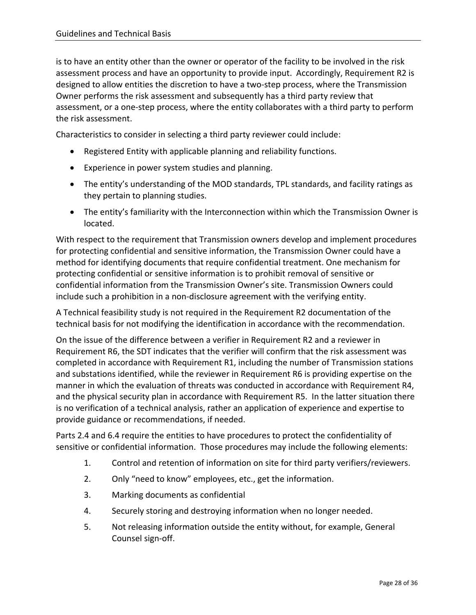is to have an entity other than the owner or operator of the facility to be involved in the risk assessment process and have an opportunity to provide input. Accordingly, Requirement R2 is designed to allow entities the discretion to have a two-step process, where the Transmission Owner performs the risk assessment and subsequently has a third party review that assessment, or a one-step process, where the entity collaborates with a third party to perform the risk assessment.

Characteristics to consider in selecting a third party reviewer could include:

- Registered Entity with applicable planning and reliability functions.
- Experience in power system studies and planning.
- The entity's understanding of the MOD standards, TPL standards, and facility ratings as they pertain to planning studies.
- The entity's familiarity with the Interconnection within which the Transmission Owner is located.

With respect to the requirement that Transmission owners develop and implement procedures for protecting confidential and sensitive information, the Transmission Owner could have a method for identifying documents that require confidential treatment. One mechanism for protecting confidential or sensitive information is to prohibit removal of sensitive or confidential information from the Transmission Owner's site. Transmission Owners could include such a prohibition in a non-disclosure agreement with the verifying entity.

A Technical feasibility study is not required in the Requirement R2 documentation of the technical basis for not modifying the identification in accordance with the recommendation.

On the issue of the difference between a verifier in Requirement R2 and a reviewer in Requirement R6, the SDT indicates that the verifier will confirm that the risk assessment was completed in accordance with Requirement R1, including the number of Transmission stations and substations identified, while the reviewer in Requirement R6 is providing expertise on the manner in which the evaluation of threats was conducted in accordance with Requirement R4, and the physical security plan in accordance with Requirement R5. In the latter situation there is no verification of a technical analysis, rather an application of experience and expertise to provide guidance or recommendations, if needed.

Parts 2.4 and 6.4 require the entities to have procedures to protect the confidentiality of sensitive or confidential information. Those procedures may include the following elements:

- 1. Control and retention of information on site for third party verifiers/reviewers.
- 2. Only "need to know" employees, etc., get the information.
- 3. Marking documents as confidential
- 4. Securely storing and destroying information when no longer needed.
- 5. Not releasing information outside the entity without, for example, General Counsel sign-off.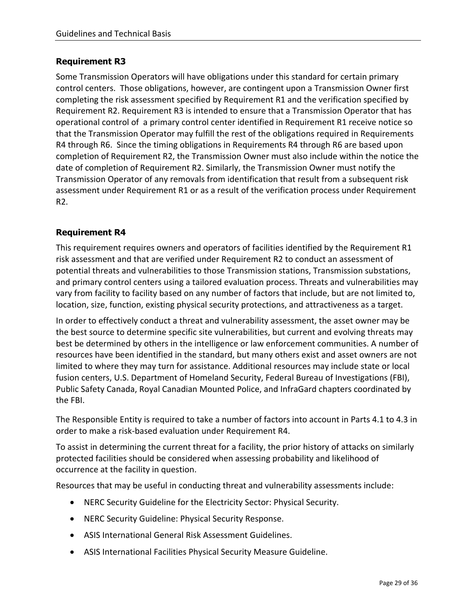#### **Requirement R3**

Some Transmission Operators will have obligations under this standard for certain primary control centers. Those obligations, however, are contingent upon a Transmission Owner first completing the risk assessment specified by Requirement R1 and the verification specified by Requirement R2. Requirement R3 is intended to ensure that a Transmission Operator that has operational control of a primary control center identified in Requirement R1 receive notice so that the Transmission Operator may fulfill the rest of the obligations required in Requirements R4 through R6. Since the timing obligations in Requirements R4 through R6 are based upon completion of Requirement R2, the Transmission Owner must also include within the notice the date of completion of Requirement R2. Similarly, the Transmission Owner must notify the Transmission Operator of any removals from identification that result from a subsequent risk assessment under Requirement R1 or as a result of the verification process under Requirement R2.

### **Requirement R4**

This requirement requires owners and operators of facilities identified by the Requirement R1 risk assessment and that are verified under Requirement R2 to conduct an assessment of potential threats and vulnerabilities to those Transmission stations, Transmission substations, and primary control centers using a tailored evaluation process. Threats and vulnerabilities may vary from facility to facility based on any number of factors that include, but are not limited to, location, size, function, existing physical security protections, and attractiveness as a target.

In order to effectively conduct a threat and vulnerability assessment, the asset owner may be the best source to determine specific site vulnerabilities, but current and evolving threats may best be determined by others in the intelligence or law enforcement communities. A number of resources have been identified in the standard, but many others exist and asset owners are not limited to where they may turn for assistance. Additional resources may include state or local fusion centers, U.S. Department of Homeland Security, Federal Bureau of Investigations (FBI), Public Safety Canada, Royal Canadian Mounted Police, and InfraGard chapters coordinated by the FBI.

The Responsible Entity is required to take a number of factors into account in Parts 4.1 to 4.3 in order to make a risk-based evaluation under Requirement R4.

To assist in determining the current threat for a facility, the prior history of attacks on similarly protected facilities should be considered when assessing probability and likelihood of occurrence at the facility in question.

Resources that may be useful in conducting threat and vulnerability assessments include:

- NERC Security Guideline for the Electricity Sector: Physical Security.
- NERC Security Guideline: Physical Security Response.
- ASIS International General Risk Assessment Guidelines.
- ASIS International Facilities Physical Security Measure Guideline.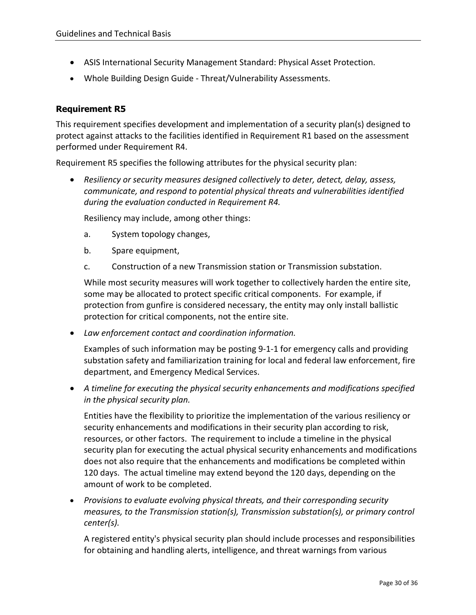- ASIS International Security Management Standard: Physical Asset Protection.
- Whole Building Design Guide Threat/Vulnerability Assessments.

### **Requirement R5**

This requirement specifies development and implementation of a security plan(s) designed to protect against attacks to the facilities identified in Requirement R1 based on the assessment performed under Requirement R4.

Requirement R5 specifies the following attributes for the physical security plan:

• *Resiliency or security measures designed collectively to deter, detect, delay, assess, communicate, and respond to potential physical threats and vulnerabilities identified during the evaluation conducted in Requirement R4.*

Resiliency may include, among other things:

- a. System topology changes,
- b. Spare equipment,
- c. Construction of a new Transmission station or Transmission substation.

While most security measures will work together to collectively harden the entire site, some may be allocated to protect specific critical components. For example, if protection from gunfire is considered necessary, the entity may only install ballistic protection for critical components, not the entire site.

• *Law enforcement contact and coordination information.*

Examples of such information may be posting 9-1-1 for emergency calls and providing substation safety and familiarization training for local and federal law enforcement, fire department, and Emergency Medical Services.

• *A timeline for executing the physical security enhancements and modifications specified in the physical security plan.*

Entities have the flexibility to prioritize the implementation of the various resiliency or security enhancements and modifications in their security plan according to risk, resources, or other factors. The requirement to include a timeline in the physical security plan for executing the actual physical security enhancements and modifications does not also require that the enhancements and modifications be completed within 120 days. The actual timeline may extend beyond the 120 days, depending on the amount of work to be completed.

• *Provisions to evaluate evolving physical threats, and their corresponding security measures, to the Transmission station(s), Transmission substation(s), or primary control center(s).*

A registered entity's physical security plan should include processes and responsibilities for obtaining and handling alerts, intelligence, and threat warnings from various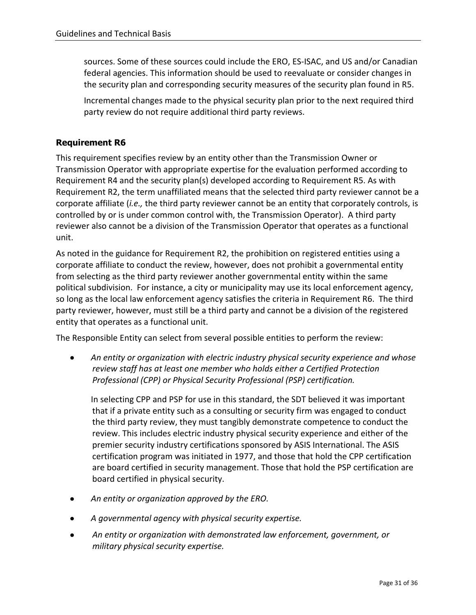sources. Some of these sources could include the ERO, ES-ISAC, and US and/or Canadian federal agencies. This information should be used to reevaluate or consider changes in the security plan and corresponding security measures of the security plan found in R5.

Incremental changes made to the physical security plan prior to the next required third party review do not require additional third party reviews.

### **Requirement R6**

This requirement specifies review by an entity other than the Transmission Owner or Transmission Operator with appropriate expertise for the evaluation performed according to Requirement R4 and the security plan(s) developed according to Requirement R5. As with Requirement R2, the term unaffiliated means that the selected third party reviewer cannot be a corporate affiliate (*i.e.,* the third party reviewer cannot be an entity that corporately controls, is controlled by or is under common control with, the Transmission Operator). A third party reviewer also cannot be a division of the Transmission Operator that operates as a functional unit.

As noted in the guidance for Requirement R2, the prohibition on registered entities using a corporate affiliate to conduct the review, however, does not prohibit a governmental entity from selecting as the third party reviewer another governmental entity within the same political subdivision. For instance, a city or municipality may use its local enforcement agency, so long as the local law enforcement agency satisfies the criteria in Requirement R6. The third party reviewer, however, must still be a third party and cannot be a division of the registered entity that operates as a functional unit.

The Responsible Entity can select from several possible entities to perform the review:

• *An entity or organization with electric industry physical security experience and whose review staff has at least one member who holds either a Certified Protection Professional (CPP) or Physical Security Professional (PSP) certification.*

In selecting CPP and PSP for use in this standard, the SDT believed it was important that if a private entity such as a consulting or security firm was engaged to conduct the third party review, they must tangibly demonstrate competence to conduct the review. This includes electric industry physical security experience and either of the premier security industry certifications sponsored by ASIS International. The ASIS certification program was initiated in 1977, and those that hold the CPP certification are board certified in security management. Those that hold the PSP certification are board certified in physical security.

- *An entity or organization approved by the ERO.*
- *A governmental agency with physical security expertise.*
- *An entity or organization with demonstrated law enforcement, government, or military physical security expertise.*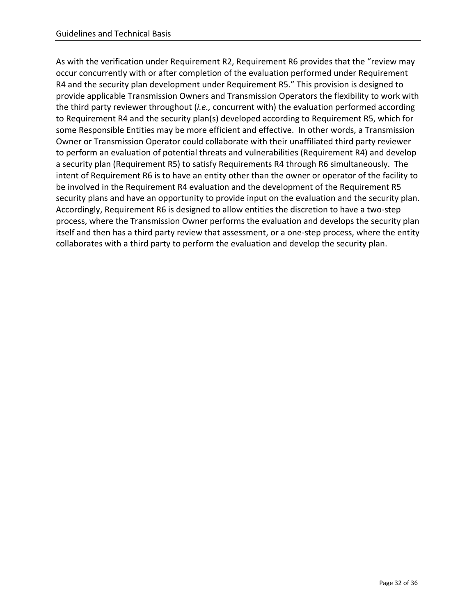As with the verification under Requirement R2, Requirement R6 provides that the "review may occur concurrently with or after completion of the evaluation performed under Requirement R4 and the security plan development under Requirement R5." This provision is designed to provide applicable Transmission Owners and Transmission Operators the flexibility to work with the third party reviewer throughout (*i.e.,* concurrent with) the evaluation performed according to Requirement R4 and the security plan(s) developed according to Requirement R5, which for some Responsible Entities may be more efficient and effective. In other words, a Transmission Owner or Transmission Operator could collaborate with their unaffiliated third party reviewer to perform an evaluation of potential threats and vulnerabilities (Requirement R4) and develop a security plan (Requirement R5) to satisfy Requirements R4 through R6 simultaneously. The intent of Requirement R6 is to have an entity other than the owner or operator of the facility to be involved in the Requirement R4 evaluation and the development of the Requirement R5 security plans and have an opportunity to provide input on the evaluation and the security plan. Accordingly, Requirement R6 is designed to allow entities the discretion to have a two-step process, where the Transmission Owner performs the evaluation and develops the security plan itself and then has a third party review that assessment, or a one-step process, where the entity collaborates with a third party to perform the evaluation and develop the security plan.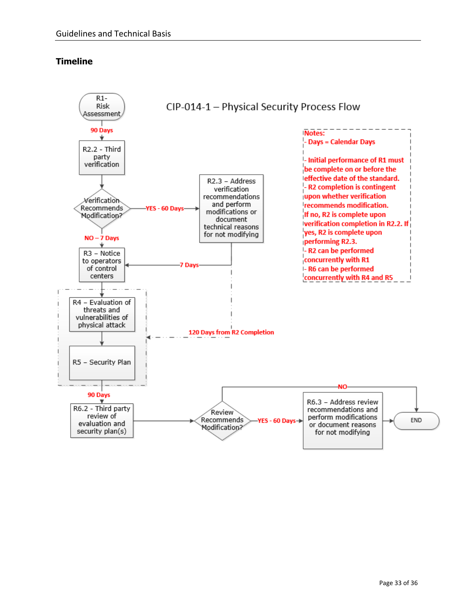### **Timeline**

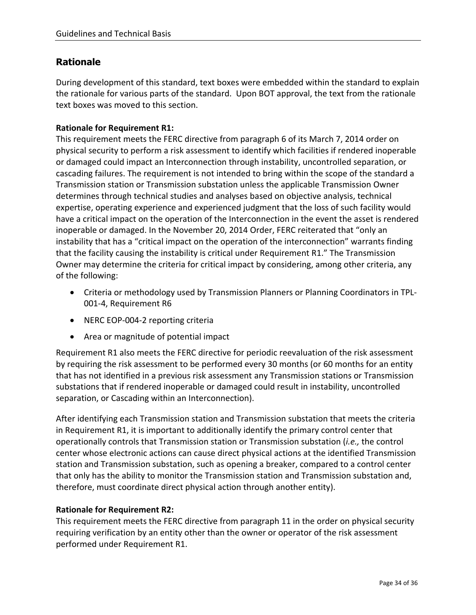# **Rationale**

During development of this standard, text boxes were embedded within the standard to explain the rationale for various parts of the standard. Upon BOT approval, the text from the rationale text boxes was moved to this section.

### **Rationale for Requirement R1:**

This requirement meets the FERC directive from paragraph 6 of its March 7, 2014 order on physical security to perform a risk assessment to identify which facilities if rendered inoperable or damaged could impact an Interconnection through instability, uncontrolled separation, or cascading failures. The requirement is not intended to bring within the scope of the standard a Transmission station or Transmission substation unless the applicable Transmission Owner determines through technical studies and analyses based on objective analysis, technical expertise, operating experience and experienced judgment that the loss of such facility would have a critical impact on the operation of the Interconnection in the event the asset is rendered inoperable or damaged. In the November 20, 2014 Order, FERC reiterated that "only an instability that has a "critical impact on the operation of the interconnection" warrants finding that the facility causing the instability is critical under Requirement R1." The Transmission Owner may determine the criteria for critical impact by considering, among other criteria, any of the following:

- Criteria or methodology used by Transmission Planners or Planning Coordinators in TPL-001-4, Requirement R6
- NERC EOP-004-2 reporting criteria
- Area or magnitude of potential impact

Requirement R1 also meets the FERC directive for periodic reevaluation of the risk assessment by requiring the risk assessment to be performed every 30 months (or 60 months for an entity that has not identified in a previous risk assessment any Transmission stations or Transmission substations that if rendered inoperable or damaged could result in instability, uncontrolled separation, or Cascading within an Interconnection).

After identifying each Transmission station and Transmission substation that meets the criteria in Requirement R1, it is important to additionally identify the primary control center that operationally controls that Transmission station or Transmission substation (*i.e.,* the control center whose electronic actions can cause direct physical actions at the identified Transmission station and Transmission substation, such as opening a breaker, compared to a control center that only has the ability to monitor the Transmission station and Transmission substation and, therefore, must coordinate direct physical action through another entity).

### **Rationale for Requirement R2:**

This requirement meets the FERC directive from paragraph 11 in the order on physical security requiring verification by an entity other than the owner or operator of the risk assessment performed under Requirement R1.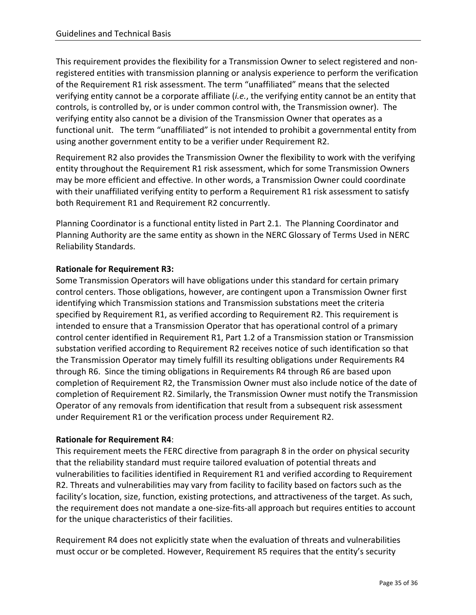This requirement provides the flexibility for a Transmission Owner to select registered and nonregistered entities with transmission planning or analysis experience to perform the verification of the Requirement R1 risk assessment. The term "unaffiliated" means that the selected verifying entity cannot be a corporate affiliate (*i.e.*, the verifying entity cannot be an entity that controls, is controlled by, or is under common control with, the Transmission owner). The verifying entity also cannot be a division of the Transmission Owner that operates as a functional unit. The term "unaffiliated" is not intended to prohibit a governmental entity from using another government entity to be a verifier under Requirement R2.

Requirement R2 also provides the Transmission Owner the flexibility to work with the verifying entity throughout the Requirement R1 risk assessment, which for some Transmission Owners may be more efficient and effective. In other words, a Transmission Owner could coordinate with their unaffiliated verifying entity to perform a Requirement R1 risk assessment to satisfy both Requirement R1 and Requirement R2 concurrently.

Planning Coordinator is a functional entity listed in Part 2.1. The Planning Coordinator and Planning Authority are the same entity as shown in the NERC Glossary of Terms Used in NERC Reliability Standards.

## **Rationale for Requirement R3:**

Some Transmission Operators will have obligations under this standard for certain primary control centers. Those obligations, however, are contingent upon a Transmission Owner first identifying which Transmission stations and Transmission substations meet the criteria specified by Requirement R1, as verified according to Requirement R2. This requirement is intended to ensure that a Transmission Operator that has operational control of a primary control center identified in Requirement R1, Part 1.2 of a Transmission station or Transmission substation verified according to Requirement R2 receives notice of such identification so that the Transmission Operator may timely fulfill its resulting obligations under Requirements R4 through R6. Since the timing obligations in Requirements R4 through R6 are based upon completion of Requirement R2, the Transmission Owner must also include notice of the date of completion of Requirement R2. Similarly, the Transmission Owner must notify the Transmission Operator of any removals from identification that result from a subsequent risk assessment under Requirement R1 or the verification process under Requirement R2.

#### **Rationale for Requirement R4**:

This requirement meets the FERC directive from paragraph 8 in the order on physical security that the reliability standard must require tailored evaluation of potential threats and vulnerabilities to facilities identified in Requirement R1 and verified according to Requirement R2. Threats and vulnerabilities may vary from facility to facility based on factors such as the facility's location, size, function, existing protections, and attractiveness of the target. As such, the requirement does not mandate a one-size-fits-all approach but requires entities to account for the unique characteristics of their facilities.

Requirement R4 does not explicitly state when the evaluation of threats and vulnerabilities must occur or be completed. However, Requirement R5 requires that the entity's security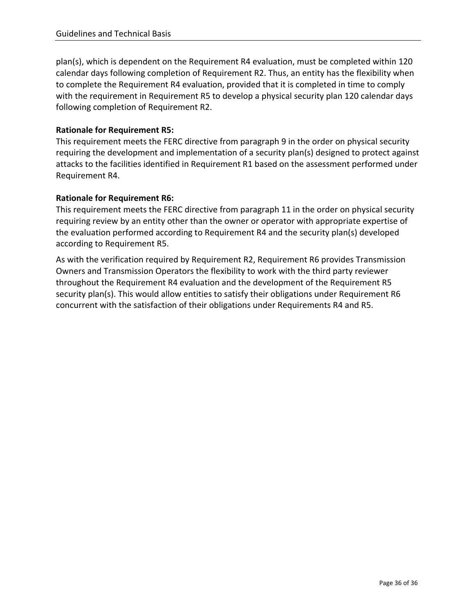plan(s), which is dependent on the Requirement R4 evaluation, must be completed within 120 calendar days following completion of Requirement R2. Thus, an entity has the flexibility when to complete the Requirement R4 evaluation, provided that it is completed in time to comply with the requirement in Requirement R5 to develop a physical security plan 120 calendar days following completion of Requirement R2.

#### **Rationale for Requirement R5:**

This requirement meets the FERC directive from paragraph 9 in the order on physical security requiring the development and implementation of a security plan(s) designed to protect against attacks to the facilities identified in Requirement R1 based on the assessment performed under Requirement R4.

#### **Rationale for Requirement R6:**

This requirement meets the FERC directive from paragraph 11 in the order on physical security requiring review by an entity other than the owner or operator with appropriate expertise of the evaluation performed according to Requirement R4 and the security plan(s) developed according to Requirement R5.

As with the verification required by Requirement R2, Requirement R6 provides Transmission Owners and Transmission Operators the flexibility to work with the third party reviewer throughout the Requirement R4 evaluation and the development of the Requirement R5 security plan(s). This would allow entities to satisfy their obligations under Requirement R6 concurrent with the satisfaction of their obligations under Requirements R4 and R5.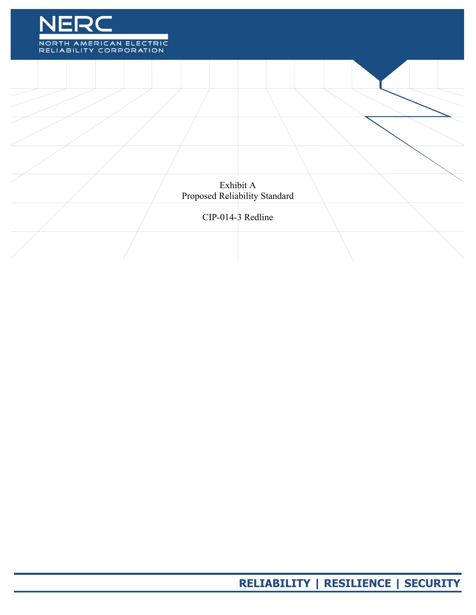

Exhibit A Proposed Reliability Standard

## CIP-014-3 Redline

**RELIABILITY | RESILIENCE | SECURITY**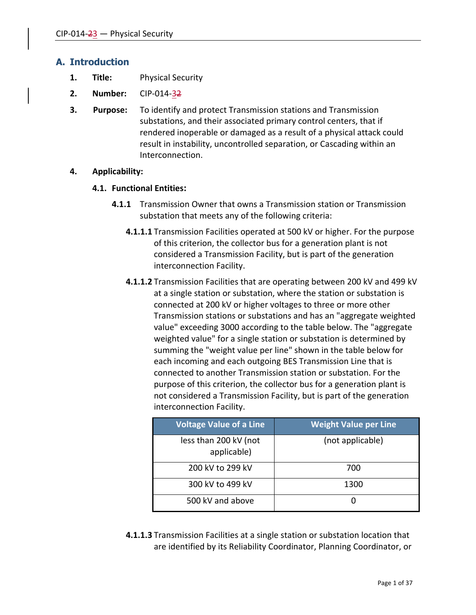## **A. Introduction**

- **1. Title:** Physical Security
- **2. Number:** CIP-014-32
- **3. Purpose:** To identify and protect Transmission stations and Transmission substations, and their associated primary control centers, that if rendered inoperable or damaged as a result of a physical attack could result in instability, uncontrolled separation, or Cascading within an Interconnection.

#### **4. Applicability:**

#### **4.1. Functional Entities:**

- **4.1.1** Transmission Owner that owns a Transmission station or Transmission substation that meets any of the following criteria:
	- **4.1.1.1** Transmission Facilities operated at 500 kV or higher. For the purpose of this criterion, the collector bus for a generation plant is not considered a Transmission Facility, but is part of the generation interconnection Facility.
	- **4.1.1.2** Transmission Facilities that are operating between 200 kV and 499 kV at a single station or substation, where the station or substation is connected at 200 kV or higher voltages to three or more other Transmission stations or substations and has an "aggregate weighted value" exceeding 3000 according to the table below. The "aggregate weighted value" for a single station or substation is determined by summing the "weight value per line" shown in the table below for each incoming and each outgoing BES Transmission Line that is connected to another Transmission station or substation. For the purpose of this criterion, the collector bus for a generation plant is not considered a Transmission Facility, but is part of the generation interconnection Facility.

| <b>Voltage Value of a Line</b>       | <b>Weight Value per Line</b> |
|--------------------------------------|------------------------------|
| less than 200 kV (not<br>applicable) | (not applicable)             |
| 200 kV to 299 kV                     | 700                          |
| 300 kV to 499 kV                     | 1300                         |
| 500 kV and above                     |                              |

**4.1.1.3** Transmission Facilities at a single station or substation location that are identified by its Reliability Coordinator, Planning Coordinator, or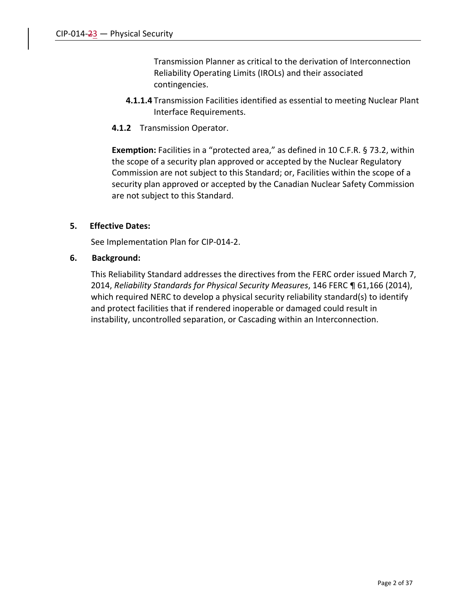Transmission Planner as critical to the derivation of Interconnection Reliability Operating Limits (IROLs) and their associated contingencies.

- **4.1.1.4** Transmission Facilities identified as essential to meeting Nuclear Plant Interface Requirements.
- **4.1.2** Transmission Operator.

**Exemption:** Facilities in a "protected area," as defined in 10 C.F.R. § 73.2, within the scope of a security plan approved or accepted by the Nuclear Regulatory Commission are not subject to this Standard; or, Facilities within the scope of a security plan approved or accepted by the Canadian Nuclear Safety Commission are not subject to this Standard.

#### **5. Effective Dates:**

See Implementation Plan for CIP-014-2.

#### **6. Background:**

This Reliability Standard addresses the directives from the FERC order issued March 7, 2014, *Reliability Standards for Physical Security Measures*, 146 FERC ¶ 61,166 (2014), which required NERC to develop a physical security reliability standard(s) to identify and protect facilities that if rendered inoperable or damaged could result in instability, uncontrolled separation, or Cascading within an Interconnection.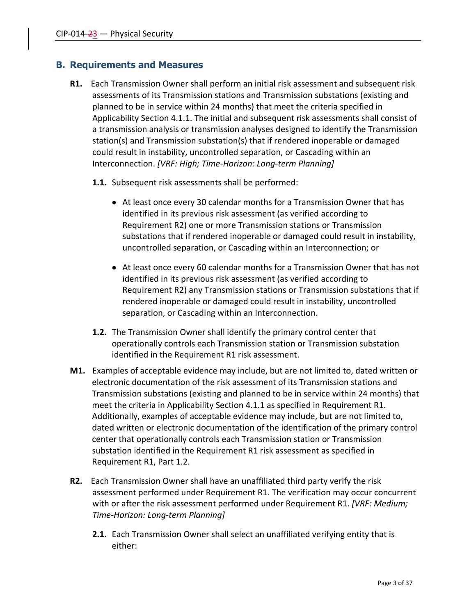## **B. Requirements and Measures**

- **R1.** Each Transmission Owner shall perform an initial risk assessment and subsequent risk assessments of its Transmission stations and Transmission substations (existing and planned to be in service within 24 months) that meet the criteria specified in Applicability Section 4.1.1. The initial and subsequent risk assessments shall consist of a transmission analysis or transmission analyses designed to identify the Transmission station(s) and Transmission substation(s) that if rendered inoperable or damaged could result in instability, uncontrolled separation, or Cascading within an Interconnection. *[VRF: High; Time-Horizon: Long-term Planning]*
	- **1.1.** Subsequent risk assessments shall be performed:
		- At least once every 30 calendar months for a Transmission Owner that has identified in its previous risk assessment (as verified according to Requirement R2) one or more Transmission stations or Transmission substations that if rendered inoperable or damaged could result in instability, uncontrolled separation, or Cascading within an Interconnection; or
		- At least once every 60 calendar months for a Transmission Owner that has not identified in its previous risk assessment (as verified according to Requirement R2) any Transmission stations or Transmission substations that if rendered inoperable or damaged could result in instability, uncontrolled separation, or Cascading within an Interconnection.
	- **1.2.** The Transmission Owner shall identify the primary control center that operationally controls each Transmission station or Transmission substation identified in the Requirement R1 risk assessment.
- **M1.** Examples of acceptable evidence may include, but are not limited to, dated written or electronic documentation of the risk assessment of its Transmission stations and Transmission substations (existing and planned to be in service within 24 months) that meet the criteria in Applicability Section 4.1.1 as specified in Requirement R1. Additionally, examples of acceptable evidence may include, but are not limited to, dated written or electronic documentation of the identification of the primary control center that operationally controls each Transmission station or Transmission substation identified in the Requirement R1 risk assessment as specified in Requirement R1, Part 1.2.
- **R2.** Each Transmission Owner shall have an unaffiliated third party verify the risk assessment performed under Requirement R1. The verification may occur concurrent with or after the risk assessment performed under Requirement R1. *[VRF: Medium; Time-Horizon: Long-term Planning]*
	- **2.1.** Each Transmission Owner shall select an unaffiliated verifying entity that is either: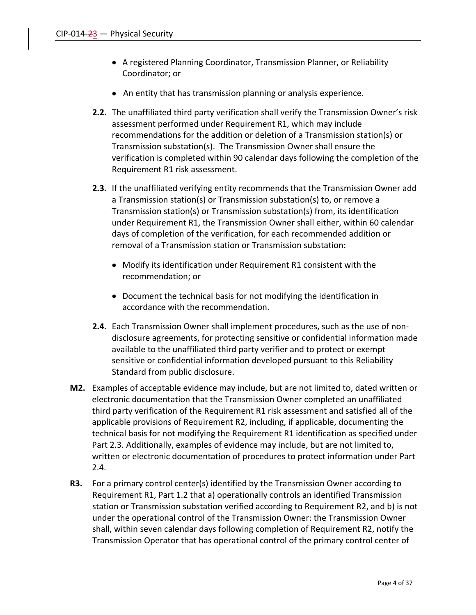- A registered Planning Coordinator, Transmission Planner, or Reliability Coordinator; or
- An entity that has transmission planning or analysis experience.
- **2.2.** The unaffiliated third party verification shall verify the Transmission Owner's risk assessment performed under Requirement R1, which may include recommendations for the addition or deletion of a Transmission station(s) or Transmission substation(s). The Transmission Owner shall ensure the verification is completed within 90 calendar days following the completion of the Requirement R1 risk assessment.
- **2.3.** If the unaffiliated verifying entity recommends that the Transmission Owner add a Transmission station(s) or Transmission substation(s) to, or remove a Transmission station(s) or Transmission substation(s) from, its identification under Requirement R1, the Transmission Owner shall either, within 60 calendar days of completion of the verification, for each recommended addition or removal of a Transmission station or Transmission substation:
	- Modify its identification under Requirement R1 consistent with the recommendation; or
	- Document the technical basis for not modifying the identification in accordance with the recommendation.
- **2.4.** Each Transmission Owner shall implement procedures, such as the use of nondisclosure agreements, for protecting sensitive or confidential information made available to the unaffiliated third party verifier and to protect or exempt sensitive or confidential information developed pursuant to this Reliability Standard from public disclosure.
- **M2.** Examples of acceptable evidence may include, but are not limited to, dated written or electronic documentation that the Transmission Owner completed an unaffiliated third party verification of the Requirement R1 risk assessment and satisfied all of the applicable provisions of Requirement R2, including, if applicable, documenting the technical basis for not modifying the Requirement R1 identification as specified under Part 2.3. Additionally, examples of evidence may include, but are not limited to, written or electronic documentation of procedures to protect information under Part 2.4.
- **R3.** For a primary control center(s) identified by the Transmission Owner according to Requirement R1, Part 1.2 that a) operationally controls an identified Transmission station or Transmission substation verified according to Requirement R2, and b) is not under the operational control of the Transmission Owner: the Transmission Owner shall, within seven calendar days following completion of Requirement R2, notify the Transmission Operator that has operational control of the primary control center of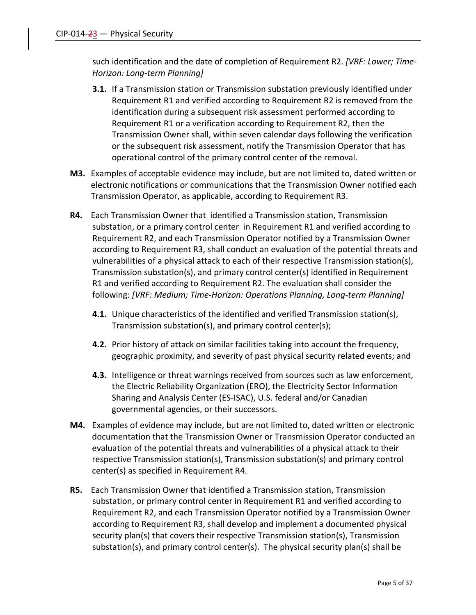such identification and the date of completion of Requirement R2. *[VRF: Lower; Time-Horizon: Long-term Planning]*

- **3.1.** If a Transmission station or Transmission substation previously identified under Requirement R1 and verified according to Requirement R2 is removed from the identification during a subsequent risk assessment performed according to Requirement R1 or a verification according to Requirement R2, then the Transmission Owner shall, within seven calendar days following the verification or the subsequent risk assessment, notify the Transmission Operator that has operational control of the primary control center of the removal.
- **M3.** Examples of acceptable evidence may include, but are not limited to, dated written or electronic notifications or communications that the Transmission Owner notified each Transmission Operator, as applicable, according to Requirement R3.
- **R4.** Each Transmission Owner that identified a Transmission station, Transmission substation, or a primary control center in Requirement R1 and verified according to Requirement R2, and each Transmission Operator notified by a Transmission Owner according to Requirement R3, shall conduct an evaluation of the potential threats and vulnerabilities of a physical attack to each of their respective Transmission station(s), Transmission substation(s), and primary control center(s) identified in Requirement R1 and verified according to Requirement R2. The evaluation shall consider the following: *[VRF: Medium; Time-Horizon: Operations Planning, Long-term Planning]*
	- **4.1.** Unique characteristics of the identified and verified Transmission station(s), Transmission substation(s), and primary control center(s);
	- **4.2.** Prior history of attack on similar facilities taking into account the frequency, geographic proximity, and severity of past physical security related events; and
	- **4.3.** Intelligence or threat warnings received from sources such as law enforcement, the Electric Reliability Organization (ERO), the Electricity Sector Information Sharing and Analysis Center (ES-ISAC), U.S. federal and/or Canadian governmental agencies, or their successors.
- **M4.** Examples of evidence may include, but are not limited to, dated written or electronic documentation that the Transmission Owner or Transmission Operator conducted an evaluation of the potential threats and vulnerabilities of a physical attack to their respective Transmission station(s), Transmission substation(s) and primary control center(s) as specified in Requirement R4.
- **R5.** Each Transmission Owner that identified a Transmission station, Transmission substation, or primary control center in Requirement R1 and verified according to Requirement R2, and each Transmission Operator notified by a Transmission Owner according to Requirement R3, shall develop and implement a documented physical security plan(s) that covers their respective Transmission station(s), Transmission substation(s), and primary control center(s). The physical security plan(s) shall be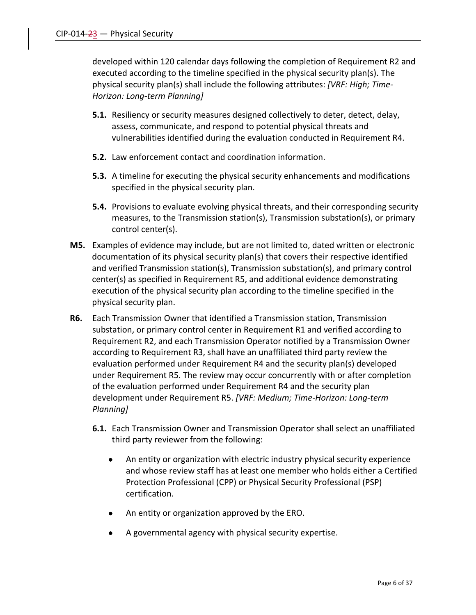developed within 120 calendar days following the completion of Requirement R2 and executed according to the timeline specified in the physical security plan(s). The physical security plan(s) shall include the following attributes: *[VRF: High; Time-Horizon: Long-term Planning]*

- **5.1.** Resiliency or security measures designed collectively to deter, detect, delay, assess, communicate, and respond to potential physical threats and vulnerabilities identified during the evaluation conducted in Requirement R4.
- **5.2.** Law enforcement contact and coordination information.
- **5.3.** A timeline for executing the physical security enhancements and modifications specified in the physical security plan.
- **5.4.** Provisions to evaluate evolving physical threats, and their corresponding security measures, to the Transmission station(s), Transmission substation(s), or primary control center(s).
- **M5.** Examples of evidence may include, but are not limited to, dated written or electronic documentation of its physical security plan(s) that covers their respective identified and verified Transmission station(s), Transmission substation(s), and primary control center(s) as specified in Requirement R5, and additional evidence demonstrating execution of the physical security plan according to the timeline specified in the physical security plan.
- **R6.** Each Transmission Owner that identified a Transmission station, Transmission substation, or primary control center in Requirement R1 and verified according to Requirement R2, and each Transmission Operator notified by a Transmission Owner according to Requirement R3, shall have an unaffiliated third party review the evaluation performed under Requirement R4 and the security plan(s) developed under Requirement R5. The review may occur concurrently with or after completion of the evaluation performed under Requirement R4 and the security plan development under Requirement R5. *[VRF: Medium; Time-Horizon: Long-term Planning]*
	- **6.1.** Each Transmission Owner and Transmission Operator shall select an unaffiliated third party reviewer from the following:
		- An entity or organization with electric industry physical security experience and whose review staff has at least one member who holds either a Certified Protection Professional (CPP) or Physical Security Professional (PSP) certification.
		- An entity or organization approved by the ERO.
		- A governmental agency with physical security expertise.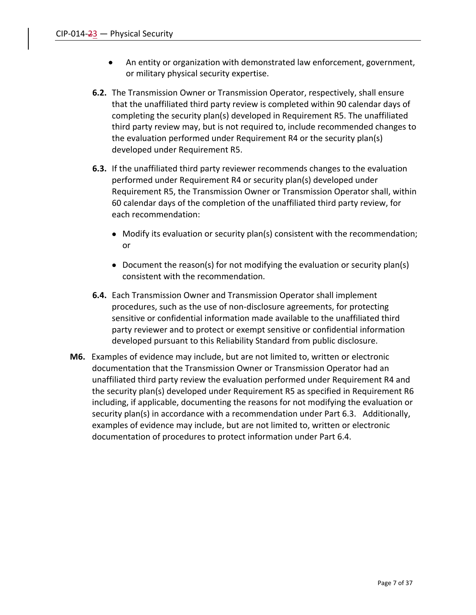- An entity or organization with demonstrated law enforcement, government, or military physical security expertise.
- **6.2.** The Transmission Owner or Transmission Operator, respectively, shall ensure that the unaffiliated third party review is completed within 90 calendar days of completing the security plan(s) developed in Requirement R5. The unaffiliated third party review may, but is not required to, include recommended changes to the evaluation performed under Requirement R4 or the security plan(s) developed under Requirement R5.
- **6.3.** If the unaffiliated third party reviewer recommends changes to the evaluation performed under Requirement R4 or security plan(s) developed under Requirement R5, the Transmission Owner or Transmission Operator shall, within 60 calendar days of the completion of the unaffiliated third party review, for each recommendation:
	- Modify its evaluation or security plan(s) consistent with the recommendation; or
	- Document the reason(s) for not modifying the evaluation or security plan(s) consistent with the recommendation.
- **6.4.** Each Transmission Owner and Transmission Operator shall implement procedures, such as the use of non-disclosure agreements, for protecting sensitive or confidential information made available to the unaffiliated third party reviewer and to protect or exempt sensitive or confidential information developed pursuant to this Reliability Standard from public disclosure.
- **M6.** Examples of evidence may include, but are not limited to, written or electronic documentation that the Transmission Owner or Transmission Operator had an unaffiliated third party review the evaluation performed under Requirement R4 and the security plan(s) developed under Requirement R5 as specified in Requirement R6 including, if applicable, documenting the reasons for not modifying the evaluation or security plan(s) in accordance with a recommendation under Part 6.3. Additionally, examples of evidence may include, but are not limited to, written or electronic documentation of procedures to protect information under Part 6.4.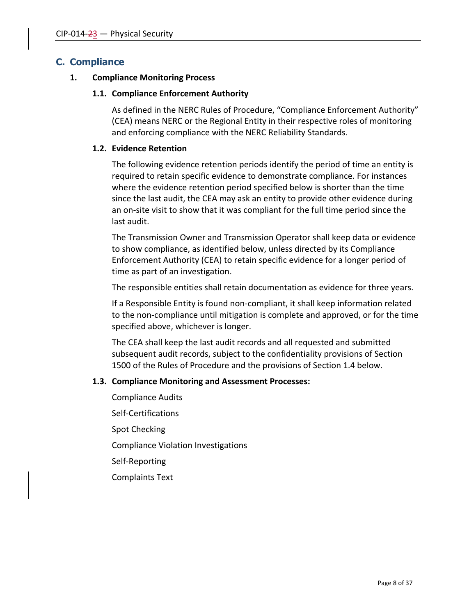## **C. Compliance**

#### **1. Compliance Monitoring Process**

#### **1.1. Compliance Enforcement Authority**

As defined in the NERC Rules of Procedure, "Compliance Enforcement Authority" (CEA) means NERC or the Regional Entity in their respective roles of monitoring and enforcing compliance with the NERC Reliability Standards.

#### **1.2. Evidence Retention**

The following evidence retention periods identify the period of time an entity is required to retain specific evidence to demonstrate compliance. For instances where the evidence retention period specified below is shorter than the time since the last audit, the CEA may ask an entity to provide other evidence during an on-site visit to show that it was compliant for the full time period since the last audit.

The Transmission Owner and Transmission Operator shall keep data or evidence to show compliance, as identified below, unless directed by its Compliance Enforcement Authority (CEA) to retain specific evidence for a longer period of time as part of an investigation.

The responsible entities shall retain documentation as evidence for three years.

If a Responsible Entity is found non-compliant, it shall keep information related to the non-compliance until mitigation is complete and approved, or for the time specified above, whichever is longer.

The CEA shall keep the last audit records and all requested and submitted subsequent audit records, subject to the confidentiality provisions of Section 1500 of the Rules of Procedure and the provisions of Section 1.4 below.

#### **1.3. Compliance Monitoring and Assessment Processes:**

Compliance Audits Self-Certifications Spot Checking Compliance Violation Investigations Self-Reporting Complaints Text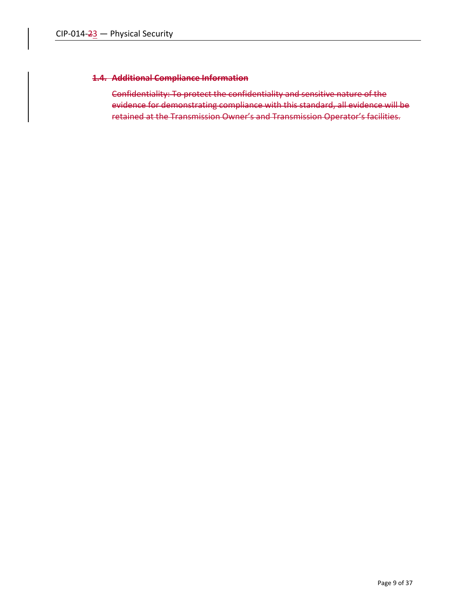#### **1.4. Additional Compliance Information**

Confidentiality: To protect the confidentiality and sensitive nature of the evidence for demonstrating compliance with this standard, all evidence will be retained at the Transmission Owner's and Transmission Operator's facilities.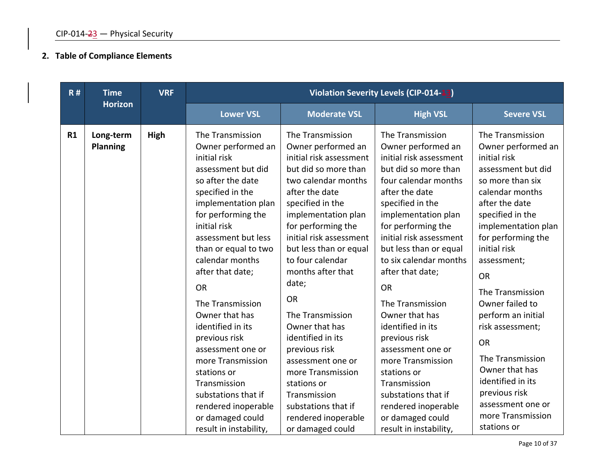# **2. Table of Compliance Elements**

| R# | <b>VRF</b><br><b>Time</b>    |      |                                                                                                                                                                                                                                                                                                                                                                                                                                                                                                                                        |                                                                                                                                                                                                                                                                                                                                                                                                                                                                                                                                                | Violation Severity Levels (CIP-014-13)                                                                                                                                                                                                                                                                                                                                                                                                                                                                                                                                |                                                                                                                                                                                                                                                                                                                                                                                                                                                                                       |
|----|------------------------------|------|----------------------------------------------------------------------------------------------------------------------------------------------------------------------------------------------------------------------------------------------------------------------------------------------------------------------------------------------------------------------------------------------------------------------------------------------------------------------------------------------------------------------------------------|------------------------------------------------------------------------------------------------------------------------------------------------------------------------------------------------------------------------------------------------------------------------------------------------------------------------------------------------------------------------------------------------------------------------------------------------------------------------------------------------------------------------------------------------|-----------------------------------------------------------------------------------------------------------------------------------------------------------------------------------------------------------------------------------------------------------------------------------------------------------------------------------------------------------------------------------------------------------------------------------------------------------------------------------------------------------------------------------------------------------------------|---------------------------------------------------------------------------------------------------------------------------------------------------------------------------------------------------------------------------------------------------------------------------------------------------------------------------------------------------------------------------------------------------------------------------------------------------------------------------------------|
|    | <b>Horizon</b>               |      | <b>Lower VSL</b>                                                                                                                                                                                                                                                                                                                                                                                                                                                                                                                       | <b>Moderate VSL</b>                                                                                                                                                                                                                                                                                                                                                                                                                                                                                                                            | <b>High VSL</b>                                                                                                                                                                                                                                                                                                                                                                                                                                                                                                                                                       | <b>Severe VSL</b>                                                                                                                                                                                                                                                                                                                                                                                                                                                                     |
| R1 | Long-term<br><b>Planning</b> | High | The Transmission<br>Owner performed an<br>initial risk<br>assessment but did<br>so after the date<br>specified in the<br>implementation plan<br>for performing the<br>initial risk<br>assessment but less<br>than or equal to two<br>calendar months<br>after that date;<br><b>OR</b><br>The Transmission<br>Owner that has<br>identified in its<br>previous risk<br>assessment one or<br>more Transmission<br>stations or<br>Transmission<br>substations that if<br>rendered inoperable<br>or damaged could<br>result in instability, | The Transmission<br>Owner performed an<br>initial risk assessment<br>but did so more than<br>two calendar months<br>after the date<br>specified in the<br>implementation plan<br>for performing the<br>initial risk assessment<br>but less than or equal<br>to four calendar<br>months after that<br>date;<br><b>OR</b><br>The Transmission<br>Owner that has<br>identified in its<br>previous risk<br>assessment one or<br>more Transmission<br>stations or<br>Transmission<br>substations that if<br>rendered inoperable<br>or damaged could | The Transmission<br>Owner performed an<br>initial risk assessment<br>but did so more than<br>four calendar months<br>after the date<br>specified in the<br>implementation plan<br>for performing the<br>initial risk assessment<br>but less than or equal<br>to six calendar months<br>after that date;<br><b>OR</b><br>The Transmission<br>Owner that has<br>identified in its<br>previous risk<br>assessment one or<br>more Transmission<br>stations or<br>Transmission<br>substations that if<br>rendered inoperable<br>or damaged could<br>result in instability, | The Transmission<br>Owner performed an<br>initial risk<br>assessment but did<br>so more than six<br>calendar months<br>after the date<br>specified in the<br>implementation plan<br>for performing the<br>initial risk<br>assessment;<br><b>OR</b><br>The Transmission<br>Owner failed to<br>perform an initial<br>risk assessment;<br><b>OR</b><br>The Transmission<br>Owner that has<br>identified in its<br>previous risk<br>assessment one or<br>more Transmission<br>stations or |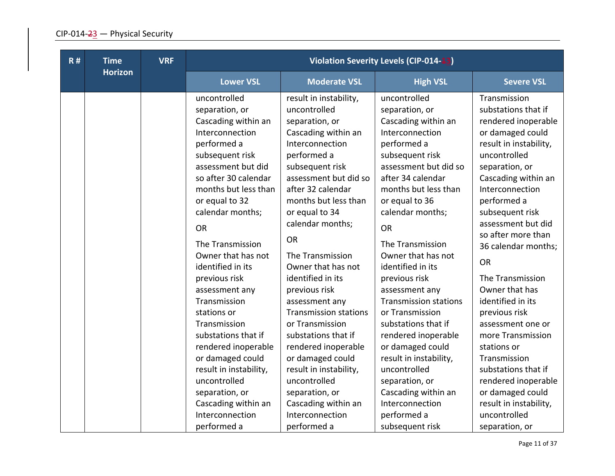| <b>R#</b> | <b>Time</b>    | <b>VRF</b> |                                                                                                                                                                                                                                                                                                                                                                                                                                                                                                                                                                             |                                                                                                                                                                                                                                                                                                                                                                                                                                                                                                                                                                                                           | <b>Violation Severity Levels (CIP-014-13)</b>                                                                                                                                                                                                                                                                                                                                                                                                                                                                                                                                                      |                                                                                                                                                                                                                                                                                                                                                                                                                                                                                                                                                                                           |
|-----------|----------------|------------|-----------------------------------------------------------------------------------------------------------------------------------------------------------------------------------------------------------------------------------------------------------------------------------------------------------------------------------------------------------------------------------------------------------------------------------------------------------------------------------------------------------------------------------------------------------------------------|-----------------------------------------------------------------------------------------------------------------------------------------------------------------------------------------------------------------------------------------------------------------------------------------------------------------------------------------------------------------------------------------------------------------------------------------------------------------------------------------------------------------------------------------------------------------------------------------------------------|----------------------------------------------------------------------------------------------------------------------------------------------------------------------------------------------------------------------------------------------------------------------------------------------------------------------------------------------------------------------------------------------------------------------------------------------------------------------------------------------------------------------------------------------------------------------------------------------------|-------------------------------------------------------------------------------------------------------------------------------------------------------------------------------------------------------------------------------------------------------------------------------------------------------------------------------------------------------------------------------------------------------------------------------------------------------------------------------------------------------------------------------------------------------------------------------------------|
|           | <b>Horizon</b> |            | <b>Lower VSL</b>                                                                                                                                                                                                                                                                                                                                                                                                                                                                                                                                                            | <b>Moderate VSL</b>                                                                                                                                                                                                                                                                                                                                                                                                                                                                                                                                                                                       | <b>High VSL</b>                                                                                                                                                                                                                                                                                                                                                                                                                                                                                                                                                                                    | <b>Severe VSL</b>                                                                                                                                                                                                                                                                                                                                                                                                                                                                                                                                                                         |
|           |                |            | uncontrolled<br>separation, or<br>Cascading within an<br>Interconnection<br>performed a<br>subsequent risk<br>assessment but did<br>so after 30 calendar<br>months but less than<br>or equal to 32<br>calendar months;<br><b>OR</b><br>The Transmission<br>Owner that has not<br>identified in its<br>previous risk<br>assessment any<br>Transmission<br>stations or<br>Transmission<br>substations that if<br>rendered inoperable<br>or damaged could<br>result in instability,<br>uncontrolled<br>separation, or<br>Cascading within an<br>Interconnection<br>performed a | result in instability,<br>uncontrolled<br>separation, or<br>Cascading within an<br>Interconnection<br>performed a<br>subsequent risk<br>assessment but did so<br>after 32 calendar<br>months but less than<br>or equal to 34<br>calendar months;<br><b>OR</b><br>The Transmission<br>Owner that has not<br>identified in its<br>previous risk<br>assessment any<br><b>Transmission stations</b><br>or Transmission<br>substations that if<br>rendered inoperable<br>or damaged could<br>result in instability,<br>uncontrolled<br>separation, or<br>Cascading within an<br>Interconnection<br>performed a | uncontrolled<br>separation, or<br>Cascading within an<br>Interconnection<br>performed a<br>subsequent risk<br>assessment but did so<br>after 34 calendar<br>months but less than<br>or equal to 36<br>calendar months;<br><b>OR</b><br>The Transmission<br>Owner that has not<br>identified in its<br>previous risk<br>assessment any<br><b>Transmission stations</b><br>or Transmission<br>substations that if<br>rendered inoperable<br>or damaged could<br>result in instability,<br>uncontrolled<br>separation, or<br>Cascading within an<br>Interconnection<br>performed a<br>subsequent risk | Transmission<br>substations that if<br>rendered inoperable<br>or damaged could<br>result in instability,<br>uncontrolled<br>separation, or<br>Cascading within an<br>Interconnection<br>performed a<br>subsequent risk<br>assessment but did<br>so after more than<br>36 calendar months;<br><b>OR</b><br>The Transmission<br>Owner that has<br>identified in its<br>previous risk<br>assessment one or<br>more Transmission<br>stations or<br>Transmission<br>substations that if<br>rendered inoperable<br>or damaged could<br>result in instability,<br>uncontrolled<br>separation, or |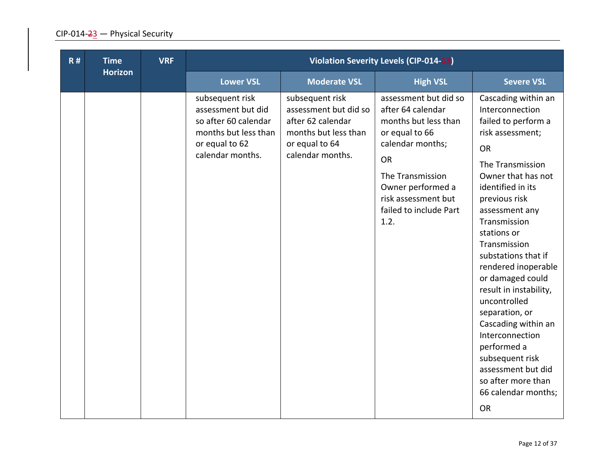| R# | <b>Time</b>    | <b>VRF</b> | <b>Violation Severity Levels (CIP-014-13)</b>                                                                               |                                                                                                                             |                                                                                                                                                                                                                  |                                                                                                                                                                                                                                                                                                                                                                                                                                                                                                                                           |  |
|----|----------------|------------|-----------------------------------------------------------------------------------------------------------------------------|-----------------------------------------------------------------------------------------------------------------------------|------------------------------------------------------------------------------------------------------------------------------------------------------------------------------------------------------------------|-------------------------------------------------------------------------------------------------------------------------------------------------------------------------------------------------------------------------------------------------------------------------------------------------------------------------------------------------------------------------------------------------------------------------------------------------------------------------------------------------------------------------------------------|--|
|    | <b>Horizon</b> |            | <b>Lower VSL</b>                                                                                                            | <b>Moderate VSL</b>                                                                                                         | <b>High VSL</b>                                                                                                                                                                                                  | <b>Severe VSL</b>                                                                                                                                                                                                                                                                                                                                                                                                                                                                                                                         |  |
|    |                |            | subsequent risk<br>assessment but did<br>so after 60 calendar<br>months but less than<br>or equal to 62<br>calendar months. | subsequent risk<br>assessment but did so<br>after 62 calendar<br>months but less than<br>or equal to 64<br>calendar months. | assessment but did so<br>after 64 calendar<br>months but less than<br>or equal to 66<br>calendar months;<br>OR<br>The Transmission<br>Owner performed a<br>risk assessment but<br>failed to include Part<br>1.2. | Cascading within an<br>Interconnection<br>failed to perform a<br>risk assessment;<br><b>OR</b><br>The Transmission<br>Owner that has not<br>identified in its<br>previous risk<br>assessment any<br>Transmission<br>stations or<br>Transmission<br>substations that if<br>rendered inoperable<br>or damaged could<br>result in instability,<br>uncontrolled<br>separation, or<br>Cascading within an<br>Interconnection<br>performed a<br>subsequent risk<br>assessment but did<br>so after more than<br>66 calendar months;<br><b>OR</b> |  |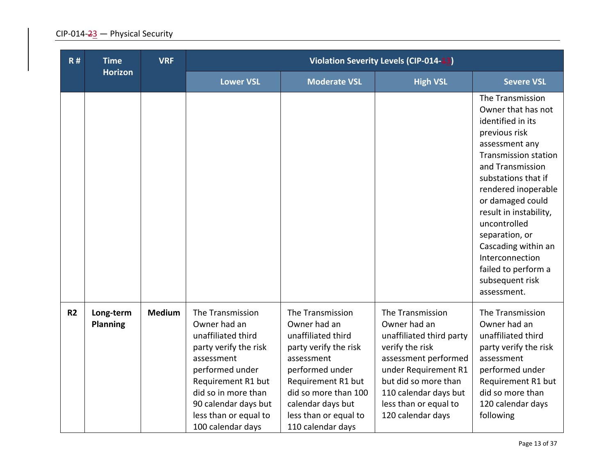| R#             | <b>Time</b>                  | <b>VRF</b>    |                                                                                                                                                                                                                                     |                                                                                                                                                                                                                                   | <b>Violation Severity Levels (CIP-014-13)</b>                                                                                                                                                                                  |                                                                                                                                                                                                                                                                                                                                                                                    |
|----------------|------------------------------|---------------|-------------------------------------------------------------------------------------------------------------------------------------------------------------------------------------------------------------------------------------|-----------------------------------------------------------------------------------------------------------------------------------------------------------------------------------------------------------------------------------|--------------------------------------------------------------------------------------------------------------------------------------------------------------------------------------------------------------------------------|------------------------------------------------------------------------------------------------------------------------------------------------------------------------------------------------------------------------------------------------------------------------------------------------------------------------------------------------------------------------------------|
|                | <b>Horizon</b>               |               | <b>Lower VSL</b>                                                                                                                                                                                                                    | <b>Moderate VSL</b>                                                                                                                                                                                                               | <b>High VSL</b>                                                                                                                                                                                                                | <b>Severe VSL</b>                                                                                                                                                                                                                                                                                                                                                                  |
|                |                              |               |                                                                                                                                                                                                                                     |                                                                                                                                                                                                                                   |                                                                                                                                                                                                                                | The Transmission<br>Owner that has not<br>identified in its<br>previous risk<br>assessment any<br><b>Transmission station</b><br>and Transmission<br>substations that if<br>rendered inoperable<br>or damaged could<br>result in instability,<br>uncontrolled<br>separation, or<br>Cascading within an<br>Interconnection<br>failed to perform a<br>subsequent risk<br>assessment. |
| R <sub>2</sub> | Long-term<br><b>Planning</b> | <b>Medium</b> | The Transmission<br>Owner had an<br>unaffiliated third<br>party verify the risk<br>assessment<br>performed under<br>Requirement R1 but<br>did so in more than<br>90 calendar days but<br>less than or equal to<br>100 calendar days | The Transmission<br>Owner had an<br>unaffiliated third<br>party verify the risk<br>assessment<br>performed under<br>Requirement R1 but<br>did so more than 100<br>calendar days but<br>less than or equal to<br>110 calendar days | The Transmission<br>Owner had an<br>unaffiliated third party<br>verify the risk<br>assessment performed<br>under Requirement R1<br>but did so more than<br>110 calendar days but<br>less than or equal to<br>120 calendar days | The Transmission<br>Owner had an<br>unaffiliated third<br>party verify the risk<br>assessment<br>performed under<br>Requirement R1 but<br>did so more than<br>120 calendar days<br>following                                                                                                                                                                                       |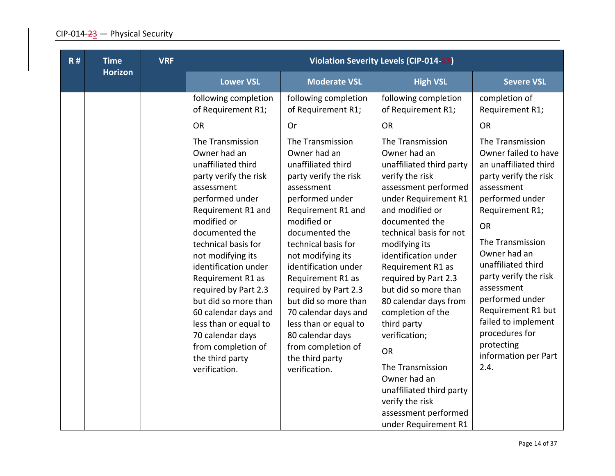| R# | <b>Time</b>    | <b>VRF</b> |                                                                                                                                                                                                                                                                                                                                                                                                                                                                                                            |                                                                                                                                                                                                                                                                                                                                                                                                                                                                                                     | <b>Violation Severity Levels (CIP-014-13)</b>                                                                                                                                                                                                                                                                                                                                                                                                                                                                                                                                                          |                                                                                                                                                                                                                                                                                                                                                                                                                                               |
|----|----------------|------------|------------------------------------------------------------------------------------------------------------------------------------------------------------------------------------------------------------------------------------------------------------------------------------------------------------------------------------------------------------------------------------------------------------------------------------------------------------------------------------------------------------|-----------------------------------------------------------------------------------------------------------------------------------------------------------------------------------------------------------------------------------------------------------------------------------------------------------------------------------------------------------------------------------------------------------------------------------------------------------------------------------------------------|--------------------------------------------------------------------------------------------------------------------------------------------------------------------------------------------------------------------------------------------------------------------------------------------------------------------------------------------------------------------------------------------------------------------------------------------------------------------------------------------------------------------------------------------------------------------------------------------------------|-----------------------------------------------------------------------------------------------------------------------------------------------------------------------------------------------------------------------------------------------------------------------------------------------------------------------------------------------------------------------------------------------------------------------------------------------|
|    | <b>Horizon</b> |            | <b>Lower VSL</b>                                                                                                                                                                                                                                                                                                                                                                                                                                                                                           | <b>Moderate VSL</b>                                                                                                                                                                                                                                                                                                                                                                                                                                                                                 | <b>High VSL</b>                                                                                                                                                                                                                                                                                                                                                                                                                                                                                                                                                                                        | <b>Severe VSL</b>                                                                                                                                                                                                                                                                                                                                                                                                                             |
|    |                |            | following completion<br>of Requirement R1;<br><b>OR</b><br>The Transmission<br>Owner had an<br>unaffiliated third<br>party verify the risk<br>assessment<br>performed under<br>Requirement R1 and<br>modified or<br>documented the<br>technical basis for<br>not modifying its<br>identification under<br>Requirement R1 as<br>required by Part 2.3<br>but did so more than<br>60 calendar days and<br>less than or equal to<br>70 calendar days<br>from completion of<br>the third party<br>verification. | following completion<br>of Requirement R1;<br>Or<br>The Transmission<br>Owner had an<br>unaffiliated third<br>party verify the risk<br>assessment<br>performed under<br>Requirement R1 and<br>modified or<br>documented the<br>technical basis for<br>not modifying its<br>identification under<br>Requirement R1 as<br>required by Part 2.3<br>but did so more than<br>70 calendar days and<br>less than or equal to<br>80 calendar days<br>from completion of<br>the third party<br>verification. | following completion<br>of Requirement R1;<br><b>OR</b><br>The Transmission<br>Owner had an<br>unaffiliated third party<br>verify the risk<br>assessment performed<br>under Requirement R1<br>and modified or<br>documented the<br>technical basis for not<br>modifying its<br>identification under<br>Requirement R1 as<br>required by Part 2.3<br>but did so more than<br>80 calendar days from<br>completion of the<br>third party<br>verification;<br><b>OR</b><br>The Transmission<br>Owner had an<br>unaffiliated third party<br>verify the risk<br>assessment performed<br>under Requirement R1 | completion of<br>Requirement R1;<br><b>OR</b><br>The Transmission<br>Owner failed to have<br>an unaffiliated third<br>party verify the risk<br>assessment<br>performed under<br>Requirement R1;<br><b>OR</b><br>The Transmission<br>Owner had an<br>unaffiliated third<br>party verify the risk<br>assessment<br>performed under<br>Requirement R1 but<br>failed to implement<br>procedures for<br>protecting<br>information per Part<br>2.4. |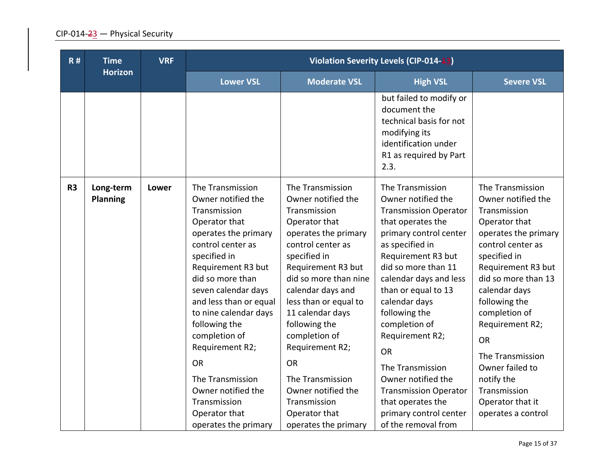| R#             | <b>Time</b>                  | <b>VRF</b> |                                                                                                                                                                                                                                                                                                                                                                                                                               |                                                                                                                                                                                                                                                                                                                                                                                                                            | Violation Severity Levels (CIP-014-13)                                                                                                                                                                                                                                                                                                                                                                                                                                    |                                                                                                                                                                                                                                                                                                                                                                                     |
|----------------|------------------------------|------------|-------------------------------------------------------------------------------------------------------------------------------------------------------------------------------------------------------------------------------------------------------------------------------------------------------------------------------------------------------------------------------------------------------------------------------|----------------------------------------------------------------------------------------------------------------------------------------------------------------------------------------------------------------------------------------------------------------------------------------------------------------------------------------------------------------------------------------------------------------------------|---------------------------------------------------------------------------------------------------------------------------------------------------------------------------------------------------------------------------------------------------------------------------------------------------------------------------------------------------------------------------------------------------------------------------------------------------------------------------|-------------------------------------------------------------------------------------------------------------------------------------------------------------------------------------------------------------------------------------------------------------------------------------------------------------------------------------------------------------------------------------|
|                | <b>Horizon</b>               |            | <b>Lower VSL</b>                                                                                                                                                                                                                                                                                                                                                                                                              | <b>Moderate VSL</b>                                                                                                                                                                                                                                                                                                                                                                                                        | <b>High VSL</b>                                                                                                                                                                                                                                                                                                                                                                                                                                                           | <b>Severe VSL</b>                                                                                                                                                                                                                                                                                                                                                                   |
|                |                              |            |                                                                                                                                                                                                                                                                                                                                                                                                                               |                                                                                                                                                                                                                                                                                                                                                                                                                            | but failed to modify or<br>document the<br>technical basis for not<br>modifying its<br>identification under<br>R1 as required by Part<br>2.3.                                                                                                                                                                                                                                                                                                                             |                                                                                                                                                                                                                                                                                                                                                                                     |
| R <sub>3</sub> | Long-term<br><b>Planning</b> | Lower      | The Transmission<br>Owner notified the<br>Transmission<br>Operator that<br>operates the primary<br>control center as<br>specified in<br>Requirement R3 but<br>did so more than<br>seven calendar days<br>and less than or equal<br>to nine calendar days<br>following the<br>completion of<br>Requirement R2;<br><b>OR</b><br>The Transmission<br>Owner notified the<br>Transmission<br>Operator that<br>operates the primary | The Transmission<br>Owner notified the<br>Transmission<br>Operator that<br>operates the primary<br>control center as<br>specified in<br>Requirement R3 but<br>did so more than nine<br>calendar days and<br>less than or equal to<br>11 calendar days<br>following the<br>completion of<br>Requirement R2;<br><b>OR</b><br>The Transmission<br>Owner notified the<br>Transmission<br>Operator that<br>operates the primary | The Transmission<br>Owner notified the<br><b>Transmission Operator</b><br>that operates the<br>primary control center<br>as specified in<br>Requirement R3 but<br>did so more than 11<br>calendar days and less<br>than or equal to 13<br>calendar days<br>following the<br>completion of<br>Requirement R2;<br><b>OR</b><br>The Transmission<br>Owner notified the<br><b>Transmission Operator</b><br>that operates the<br>primary control center<br>of the removal from | The Transmission<br>Owner notified the<br>Transmission<br>Operator that<br>operates the primary<br>control center as<br>specified in<br>Requirement R3 but<br>did so more than 13<br>calendar days<br>following the<br>completion of<br>Requirement R2;<br><b>OR</b><br>The Transmission<br>Owner failed to<br>notify the<br>Transmission<br>Operator that it<br>operates a control |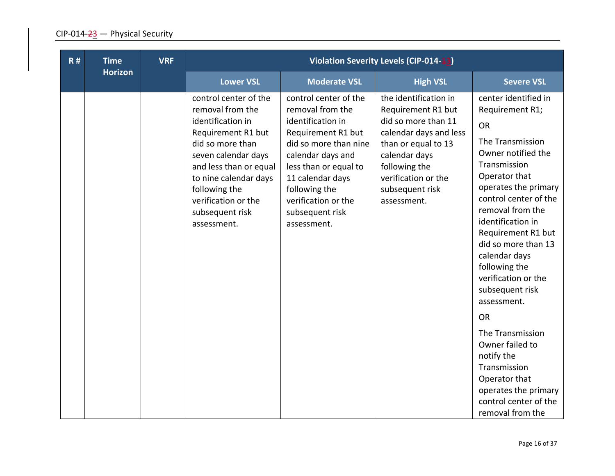| R# | <b>Time</b>    | <b>VRF</b> |                                                                                                                                                                                                                                                              |                                                                                                                                                                                                                                                           | <b>Violation Severity Levels (CIP-014-13)</b>                                                                                                                                                                  |                                                                                                                                                                                                                                                                                                                                                                   |
|----|----------------|------------|--------------------------------------------------------------------------------------------------------------------------------------------------------------------------------------------------------------------------------------------------------------|-----------------------------------------------------------------------------------------------------------------------------------------------------------------------------------------------------------------------------------------------------------|----------------------------------------------------------------------------------------------------------------------------------------------------------------------------------------------------------------|-------------------------------------------------------------------------------------------------------------------------------------------------------------------------------------------------------------------------------------------------------------------------------------------------------------------------------------------------------------------|
|    | <b>Horizon</b> |            | <b>Lower VSL</b>                                                                                                                                                                                                                                             | <b>Moderate VSL</b>                                                                                                                                                                                                                                       | <b>High VSL</b>                                                                                                                                                                                                | <b>Severe VSL</b>                                                                                                                                                                                                                                                                                                                                                 |
|    |                |            | control center of the<br>removal from the<br>identification in<br>Requirement R1 but<br>did so more than<br>seven calendar days<br>and less than or equal<br>to nine calendar days<br>following the<br>verification or the<br>subsequent risk<br>assessment. | control center of the<br>removal from the<br>identification in<br>Requirement R1 but<br>did so more than nine<br>calendar days and<br>less than or equal to<br>11 calendar days<br>following the<br>verification or the<br>subsequent risk<br>assessment. | the identification in<br>Requirement R1 but<br>did so more than 11<br>calendar days and less<br>than or equal to 13<br>calendar days<br>following the<br>verification or the<br>subsequent risk<br>assessment. | center identified in<br>Requirement R1;<br><b>OR</b><br>The Transmission<br>Owner notified the<br>Transmission<br>Operator that<br>operates the primary<br>control center of the<br>removal from the<br>identification in<br>Requirement R1 but<br>did so more than 13<br>calendar days<br>following the<br>verification or the<br>subsequent risk<br>assessment. |
|    |                |            |                                                                                                                                                                                                                                                              |                                                                                                                                                                                                                                                           |                                                                                                                                                                                                                | <b>OR</b>                                                                                                                                                                                                                                                                                                                                                         |
|    |                |            |                                                                                                                                                                                                                                                              |                                                                                                                                                                                                                                                           |                                                                                                                                                                                                                | The Transmission<br>Owner failed to<br>notify the<br>Transmission<br>Operator that<br>operates the primary<br>control center of the<br>removal from the                                                                                                                                                                                                           |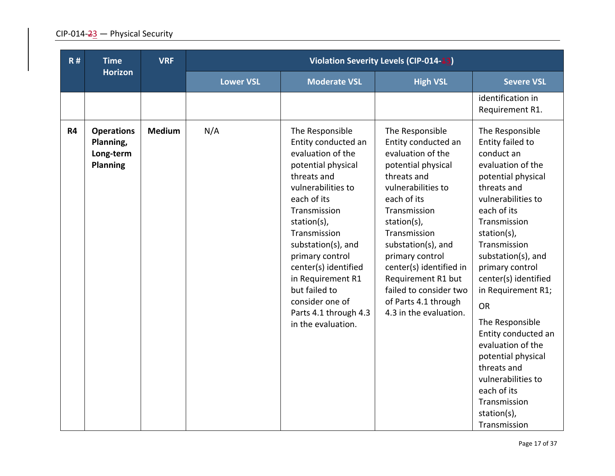| R#        | <b>Time</b>                                                    | <b>VRF</b>    | Violation Severity Levels (CIP-014-13) |                                                                                                                                                                                                                                                                                                                                                               |                                                                                                                                                                                                                                                                                                                                                            |                                                                                                                                                                                                                                                                                                                                                                                                                                                                                             |
|-----------|----------------------------------------------------------------|---------------|----------------------------------------|---------------------------------------------------------------------------------------------------------------------------------------------------------------------------------------------------------------------------------------------------------------------------------------------------------------------------------------------------------------|------------------------------------------------------------------------------------------------------------------------------------------------------------------------------------------------------------------------------------------------------------------------------------------------------------------------------------------------------------|---------------------------------------------------------------------------------------------------------------------------------------------------------------------------------------------------------------------------------------------------------------------------------------------------------------------------------------------------------------------------------------------------------------------------------------------------------------------------------------------|
|           | <b>Horizon</b>                                                 |               | <b>Lower VSL</b>                       | <b>Moderate VSL</b>                                                                                                                                                                                                                                                                                                                                           | <b>High VSL</b>                                                                                                                                                                                                                                                                                                                                            | <b>Severe VSL</b>                                                                                                                                                                                                                                                                                                                                                                                                                                                                           |
|           |                                                                |               |                                        |                                                                                                                                                                                                                                                                                                                                                               |                                                                                                                                                                                                                                                                                                                                                            | identification in<br>Requirement R1.                                                                                                                                                                                                                                                                                                                                                                                                                                                        |
| <b>R4</b> | <b>Operations</b><br>Planning,<br>Long-term<br><b>Planning</b> | <b>Medium</b> | N/A                                    | The Responsible<br>Entity conducted an<br>evaluation of the<br>potential physical<br>threats and<br>vulnerabilities to<br>each of its<br>Transmission<br>station(s),<br>Transmission<br>substation(s), and<br>primary control<br>center(s) identified<br>in Requirement R1<br>but failed to<br>consider one of<br>Parts 4.1 through 4.3<br>in the evaluation. | The Responsible<br>Entity conducted an<br>evaluation of the<br>potential physical<br>threats and<br>vulnerabilities to<br>each of its<br>Transmission<br>station(s),<br>Transmission<br>substation(s), and<br>primary control<br>center(s) identified in<br>Requirement R1 but<br>failed to consider two<br>of Parts 4.1 through<br>4.3 in the evaluation. | The Responsible<br>Entity failed to<br>conduct an<br>evaluation of the<br>potential physical<br>threats and<br>vulnerabilities to<br>each of its<br>Transmission<br>station(s),<br>Transmission<br>substation(s), and<br>primary control<br>center(s) identified<br>in Requirement R1;<br><b>OR</b><br>The Responsible<br>Entity conducted an<br>evaluation of the<br>potential physical<br>threats and<br>vulnerabilities to<br>each of its<br>Transmission<br>station(s),<br>Transmission |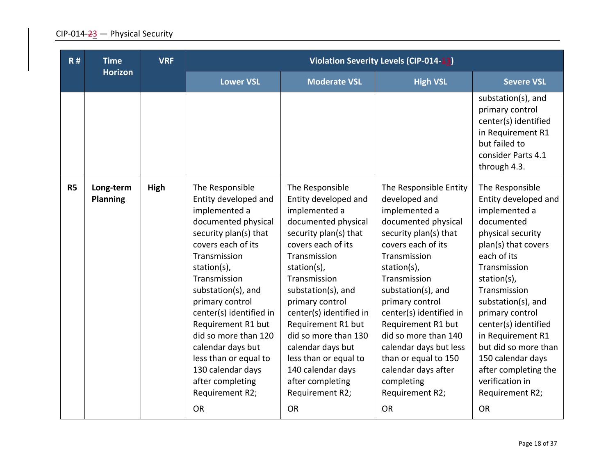| R#        | <b>Time</b><br><b>Horizon</b> | <b>VRF</b> |                                                                                                                                                                                                                                                                                                                                                                                                                        |                                                                                                                                                                                                                                                                                                                                                                                                                        | <b>Violation Severity Levels (CIP-014-13)</b>                                                                                                                                                                                                                                                                                                                                                                          |                                                                                                                                                                                                                                                                                                                                                                                                |
|-----------|-------------------------------|------------|------------------------------------------------------------------------------------------------------------------------------------------------------------------------------------------------------------------------------------------------------------------------------------------------------------------------------------------------------------------------------------------------------------------------|------------------------------------------------------------------------------------------------------------------------------------------------------------------------------------------------------------------------------------------------------------------------------------------------------------------------------------------------------------------------------------------------------------------------|------------------------------------------------------------------------------------------------------------------------------------------------------------------------------------------------------------------------------------------------------------------------------------------------------------------------------------------------------------------------------------------------------------------------|------------------------------------------------------------------------------------------------------------------------------------------------------------------------------------------------------------------------------------------------------------------------------------------------------------------------------------------------------------------------------------------------|
|           |                               |            | <b>Lower VSL</b>                                                                                                                                                                                                                                                                                                                                                                                                       | <b>Moderate VSL</b>                                                                                                                                                                                                                                                                                                                                                                                                    | <b>High VSL</b>                                                                                                                                                                                                                                                                                                                                                                                                        | <b>Severe VSL</b>                                                                                                                                                                                                                                                                                                                                                                              |
|           |                               |            |                                                                                                                                                                                                                                                                                                                                                                                                                        |                                                                                                                                                                                                                                                                                                                                                                                                                        |                                                                                                                                                                                                                                                                                                                                                                                                                        | substation(s), and<br>primary control<br>center(s) identified<br>in Requirement R1<br>but failed to<br>consider Parts 4.1<br>through 4.3.                                                                                                                                                                                                                                                      |
| <b>R5</b> | Long-term<br><b>Planning</b>  | High       | The Responsible<br>Entity developed and<br>implemented a<br>documented physical<br>security plan(s) that<br>covers each of its<br>Transmission<br>station(s),<br>Transmission<br>substation(s), and<br>primary control<br>center(s) identified in<br>Requirement R1 but<br>did so more than 120<br>calendar days but<br>less than or equal to<br>130 calendar days<br>after completing<br>Requirement R2;<br><b>OR</b> | The Responsible<br>Entity developed and<br>implemented a<br>documented physical<br>security plan(s) that<br>covers each of its<br>Transmission<br>station(s),<br>Transmission<br>substation(s), and<br>primary control<br>center(s) identified in<br>Requirement R1 but<br>did so more than 130<br>calendar days but<br>less than or equal to<br>140 calendar days<br>after completing<br>Requirement R2;<br><b>OR</b> | The Responsible Entity<br>developed and<br>implemented a<br>documented physical<br>security plan(s) that<br>covers each of its<br>Transmission<br>station(s),<br>Transmission<br>substation(s), and<br>primary control<br>center(s) identified in<br>Requirement R1 but<br>did so more than 140<br>calendar days but less<br>than or equal to 150<br>calendar days after<br>completing<br>Requirement R2;<br><b>OR</b> | The Responsible<br>Entity developed and<br>implemented a<br>documented<br>physical security<br>plan(s) that covers<br>each of its<br>Transmission<br>station(s),<br>Transmission<br>substation(s), and<br>primary control<br>center(s) identified<br>in Requirement R1<br>but did so more than<br>150 calendar days<br>after completing the<br>verification in<br>Requirement R2;<br><b>OR</b> |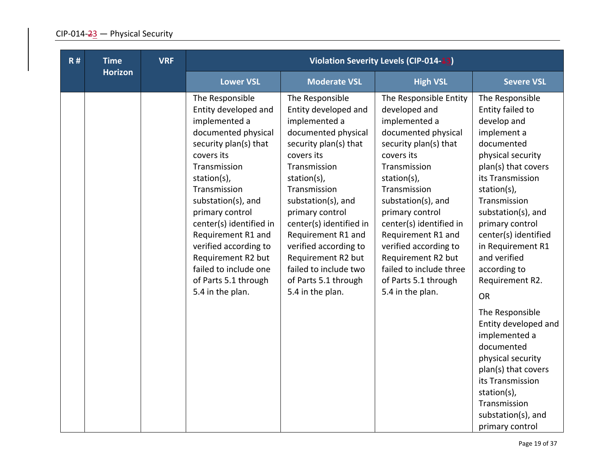| R# | <b>Time</b>    | <b>VRF</b> |                                                                                                                                                                                                                                                                                                                                                                                     |                                                                                                                                                                                                                                                                                                                                                                                     | <b>Violation Severity Levels (CIP-014-13)</b>                                                                                                                                                                                                                                                                                                                                         |                                                                                                                                                                                                                                                                                                                                      |
|----|----------------|------------|-------------------------------------------------------------------------------------------------------------------------------------------------------------------------------------------------------------------------------------------------------------------------------------------------------------------------------------------------------------------------------------|-------------------------------------------------------------------------------------------------------------------------------------------------------------------------------------------------------------------------------------------------------------------------------------------------------------------------------------------------------------------------------------|---------------------------------------------------------------------------------------------------------------------------------------------------------------------------------------------------------------------------------------------------------------------------------------------------------------------------------------------------------------------------------------|--------------------------------------------------------------------------------------------------------------------------------------------------------------------------------------------------------------------------------------------------------------------------------------------------------------------------------------|
|    | <b>Horizon</b> |            | <b>Lower VSL</b>                                                                                                                                                                                                                                                                                                                                                                    | <b>Moderate VSL</b>                                                                                                                                                                                                                                                                                                                                                                 | <b>High VSL</b>                                                                                                                                                                                                                                                                                                                                                                       | <b>Severe VSL</b>                                                                                                                                                                                                                                                                                                                    |
|    |                |            | The Responsible<br>Entity developed and<br>implemented a<br>documented physical<br>security plan(s) that<br>covers its<br>Transmission<br>station(s),<br>Transmission<br>substation(s), and<br>primary control<br>center(s) identified in<br>Requirement R1 and<br>verified according to<br>Requirement R2 but<br>failed to include one<br>of Parts 5.1 through<br>5.4 in the plan. | The Responsible<br>Entity developed and<br>implemented a<br>documented physical<br>security plan(s) that<br>covers its<br>Transmission<br>station(s),<br>Transmission<br>substation(s), and<br>primary control<br>center(s) identified in<br>Requirement R1 and<br>verified according to<br>Requirement R2 but<br>failed to include two<br>of Parts 5.1 through<br>5.4 in the plan. | The Responsible Entity<br>developed and<br>implemented a<br>documented physical<br>security plan(s) that<br>covers its<br>Transmission<br>station(s),<br>Transmission<br>substation(s), and<br>primary control<br>center(s) identified in<br>Requirement R1 and<br>verified according to<br>Requirement R2 but<br>failed to include three<br>of Parts 5.1 through<br>5.4 in the plan. | The Responsible<br>Entity failed to<br>develop and<br>implement a<br>documented<br>physical security<br>plan(s) that covers<br>its Transmission<br>station(s),<br>Transmission<br>substation(s), and<br>primary control<br>center(s) identified<br>in Requirement R1<br>and verified<br>according to<br>Requirement R2.<br><b>OR</b> |
|    |                |            |                                                                                                                                                                                                                                                                                                                                                                                     |                                                                                                                                                                                                                                                                                                                                                                                     |                                                                                                                                                                                                                                                                                                                                                                                       | The Responsible<br>Entity developed and<br>implemented a<br>documented<br>physical security<br>plan(s) that covers<br>its Transmission<br>station(s),<br>Transmission<br>substation(s), and<br>primary control                                                                                                                       |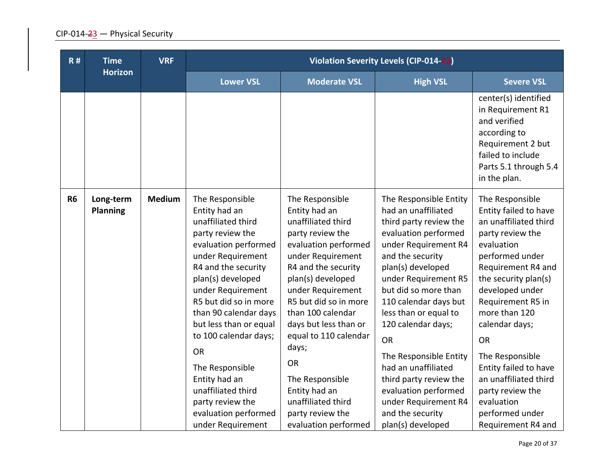| R#        | <b>Time</b>                  | <b>VRF</b>    | <b>Violation Severity Levels (CIP-014-13)</b>                                                                                                                                                                                                                                                                                                                                                                                         |                                                                                                                                                                                                                                                                                                                                                                                                                      |                                                                                                                                                                                                                                                                                                                                                                                                                                                                           |                                                                                                                                                                                                                                                                                                                                                                                                              |
|-----------|------------------------------|---------------|---------------------------------------------------------------------------------------------------------------------------------------------------------------------------------------------------------------------------------------------------------------------------------------------------------------------------------------------------------------------------------------------------------------------------------------|----------------------------------------------------------------------------------------------------------------------------------------------------------------------------------------------------------------------------------------------------------------------------------------------------------------------------------------------------------------------------------------------------------------------|---------------------------------------------------------------------------------------------------------------------------------------------------------------------------------------------------------------------------------------------------------------------------------------------------------------------------------------------------------------------------------------------------------------------------------------------------------------------------|--------------------------------------------------------------------------------------------------------------------------------------------------------------------------------------------------------------------------------------------------------------------------------------------------------------------------------------------------------------------------------------------------------------|
|           | <b>Horizon</b>               |               | <b>Lower VSL</b>                                                                                                                                                                                                                                                                                                                                                                                                                      | <b>Moderate VSL</b>                                                                                                                                                                                                                                                                                                                                                                                                  | <b>High VSL</b>                                                                                                                                                                                                                                                                                                                                                                                                                                                           | <b>Severe VSL</b>                                                                                                                                                                                                                                                                                                                                                                                            |
|           |                              |               |                                                                                                                                                                                                                                                                                                                                                                                                                                       |                                                                                                                                                                                                                                                                                                                                                                                                                      |                                                                                                                                                                                                                                                                                                                                                                                                                                                                           | center(s) identified<br>in Requirement R1<br>and verified<br>according to<br>Requirement 2 but<br>failed to include<br>Parts 5.1 through 5.4<br>in the plan.                                                                                                                                                                                                                                                 |
| <b>R6</b> | Long-term<br><b>Planning</b> | <b>Medium</b> | The Responsible<br>Entity had an<br>unaffiliated third<br>party review the<br>evaluation performed<br>under Requirement<br>R4 and the security<br>plan(s) developed<br>under Requirement<br>R5 but did so in more<br>than 90 calendar days<br>but less than or equal<br>to 100 calendar days;<br><b>OR</b><br>The Responsible<br>Entity had an<br>unaffiliated third<br>party review the<br>evaluation performed<br>under Requirement | The Responsible<br>Entity had an<br>unaffiliated third<br>party review the<br>evaluation performed<br>under Requirement<br>R4 and the security<br>plan(s) developed<br>under Requirement<br>R5 but did so in more<br>than 100 calendar<br>days but less than or<br>equal to 110 calendar<br>days;<br><b>OR</b><br>The Responsible<br>Entity had an<br>unaffiliated third<br>party review the<br>evaluation performed | The Responsible Entity<br>had an unaffiliated<br>third party review the<br>evaluation performed<br>under Requirement R4<br>and the security<br>plan(s) developed<br>under Requirement R5<br>but did so more than<br>110 calendar days but<br>less than or equal to<br>120 calendar days;<br><b>OR</b><br>The Responsible Entity<br>had an unaffiliated<br>third party review the<br>evaluation performed<br>under Requirement R4<br>and the security<br>plan(s) developed | The Responsible<br>Entity failed to have<br>an unaffiliated third<br>party review the<br>evaluation<br>performed under<br>Requirement R4 and<br>the security plan(s)<br>developed under<br>Requirement R5 in<br>more than 120<br>calendar days;<br><b>OR</b><br>The Responsible<br>Entity failed to have<br>an unaffiliated third<br>party review the<br>evaluation<br>performed under<br>Requirement R4 and |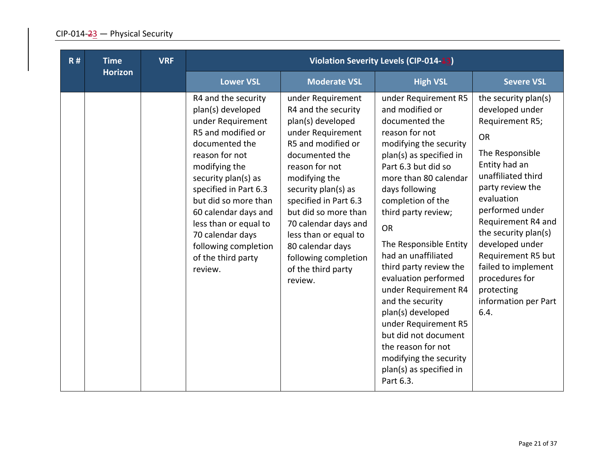| R# | <b>Time</b>    | <b>VRF</b> | <b>Violation Severity Levels (CIP-014-13)</b>                                                                                                                                                                                                                                                                                                  |                                                                                                                                                                                                                                                                                                                                                                     |                                                                                                                                                                                                                                                                                                                                                                                                                                                                                                                                                                         |                                                                                                                                                                                                                                                                                                                                                                      |
|----|----------------|------------|------------------------------------------------------------------------------------------------------------------------------------------------------------------------------------------------------------------------------------------------------------------------------------------------------------------------------------------------|---------------------------------------------------------------------------------------------------------------------------------------------------------------------------------------------------------------------------------------------------------------------------------------------------------------------------------------------------------------------|-------------------------------------------------------------------------------------------------------------------------------------------------------------------------------------------------------------------------------------------------------------------------------------------------------------------------------------------------------------------------------------------------------------------------------------------------------------------------------------------------------------------------------------------------------------------------|----------------------------------------------------------------------------------------------------------------------------------------------------------------------------------------------------------------------------------------------------------------------------------------------------------------------------------------------------------------------|
|    | <b>Horizon</b> |            | <b>Lower VSL</b>                                                                                                                                                                                                                                                                                                                               | <b>Moderate VSL</b>                                                                                                                                                                                                                                                                                                                                                 | <b>High VSL</b>                                                                                                                                                                                                                                                                                                                                                                                                                                                                                                                                                         | <b>Severe VSL</b>                                                                                                                                                                                                                                                                                                                                                    |
|    |                |            | R4 and the security<br>plan(s) developed<br>under Requirement<br>R5 and modified or<br>documented the<br>reason for not<br>modifying the<br>security plan(s) as<br>specified in Part 6.3<br>but did so more than<br>60 calendar days and<br>less than or equal to<br>70 calendar days<br>following completion<br>of the third party<br>review. | under Requirement<br>R4 and the security<br>plan(s) developed<br>under Requirement<br>R5 and modified or<br>documented the<br>reason for not<br>modifying the<br>security plan(s) as<br>specified in Part 6.3<br>but did so more than<br>70 calendar days and<br>less than or equal to<br>80 calendar days<br>following completion<br>of the third party<br>review. | under Requirement R5<br>and modified or<br>documented the<br>reason for not<br>modifying the security<br>plan(s) as specified in<br>Part 6.3 but did so<br>more than 80 calendar<br>days following<br>completion of the<br>third party review;<br><b>OR</b><br>The Responsible Entity<br>had an unaffiliated<br>third party review the<br>evaluation performed<br>under Requirement R4<br>and the security<br>plan(s) developed<br>under Requirement R5<br>but did not document<br>the reason for not<br>modifying the security<br>plan(s) as specified in<br>Part 6.3. | the security plan(s)<br>developed under<br>Requirement R5;<br><b>OR</b><br>The Responsible<br>Entity had an<br>unaffiliated third<br>party review the<br>evaluation<br>performed under<br>Requirement R4 and<br>the security plan(s)<br>developed under<br>Requirement R5 but<br>failed to implement<br>procedures for<br>protecting<br>information per Part<br>6.4. |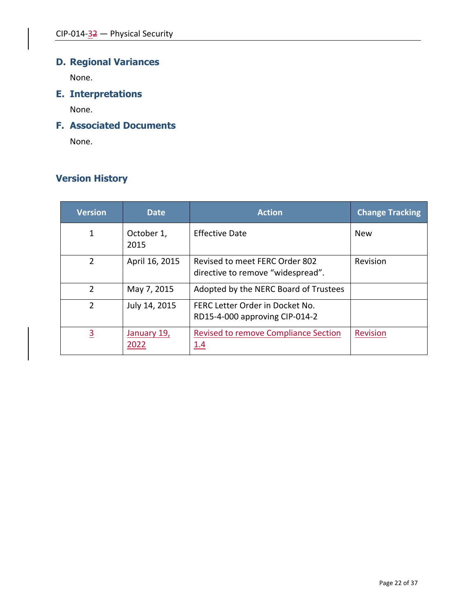# **D. Regional Variances**

None.

**E. Interpretations**

None.

## **F. Associated Documents**

None.

## **Version History**

| <b>Version</b> | <b>Date</b>         | <b>Action</b>                                                       | <b>Change Tracking</b> |
|----------------|---------------------|---------------------------------------------------------------------|------------------------|
| 1              | October 1,<br>2015  | Effective Date                                                      | <b>New</b>             |
| 2              | April 16, 2015      | Revised to meet FERC Order 802<br>directive to remove "widespread". | Revision               |
| $\overline{2}$ | May 7, 2015         | Adopted by the NERC Board of Trustees                               |                        |
| 2              | July 14, 2015       | FERC Letter Order in Docket No.<br>RD15-4-000 approving CIP-014-2   |                        |
| $\overline{3}$ | January 19,<br>2022 | <b>Revised to remove Compliance Section</b><br><u>1.4</u>           | <b>Revision</b>        |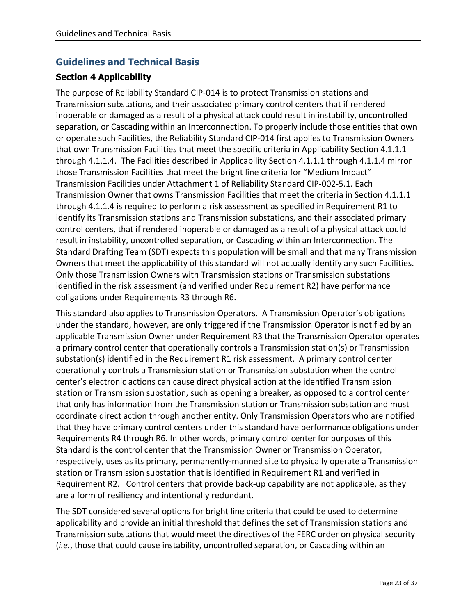## **Guidelines and Technical Basis**

#### **Section 4 Applicability**

The purpose of Reliability Standard CIP-014 is to protect Transmission stations and Transmission substations, and their associated primary control centers that if rendered inoperable or damaged as a result of a physical attack could result in instability, uncontrolled separation, or Cascading within an Interconnection. To properly include those entities that own or operate such Facilities, the Reliability Standard CIP-014 first applies to Transmission Owners that own Transmission Facilities that meet the specific criteria in Applicability Section 4.1.1.1 through 4.1.1.4. The Facilities described in Applicability Section 4.1.1.1 through 4.1.1.4 mirror those Transmission Facilities that meet the bright line criteria for "Medium Impact" Transmission Facilities under Attachment 1 of Reliability Standard CIP-002-5.1. Each Transmission Owner that owns Transmission Facilities that meet the criteria in Section 4.1.1.1 through 4.1.1.4 is required to perform a risk assessment as specified in Requirement R1 to identify its Transmission stations and Transmission substations, and their associated primary control centers, that if rendered inoperable or damaged as a result of a physical attack could result in instability, uncontrolled separation, or Cascading within an Interconnection. The Standard Drafting Team (SDT) expects this population will be small and that many Transmission Owners that meet the applicability of this standard will not actually identify any such Facilities. Only those Transmission Owners with Transmission stations or Transmission substations identified in the risk assessment (and verified under Requirement R2) have performance obligations under Requirements R3 through R6.

This standard also applies to Transmission Operators. A Transmission Operator's obligations under the standard, however, are only triggered if the Transmission Operator is notified by an applicable Transmission Owner under Requirement R3 that the Transmission Operator operates a primary control center that operationally controls a Transmission station(s) or Transmission substation(s) identified in the Requirement R1 risk assessment. A primary control center operationally controls a Transmission station or Transmission substation when the control center's electronic actions can cause direct physical action at the identified Transmission station or Transmission substation, such as opening a breaker, as opposed to a control center that only has information from the Transmission station or Transmission substation and must coordinate direct action through another entity. Only Transmission Operators who are notified that they have primary control centers under this standard have performance obligations under Requirements R4 through R6. In other words, primary control center for purposes of this Standard is the control center that the Transmission Owner or Transmission Operator, respectively, uses as its primary, permanently-manned site to physically operate a Transmission station or Transmission substation that is identified in Requirement R1 and verified in Requirement R2. Control centers that provide back-up capability are not applicable, as they are a form of resiliency and intentionally redundant.

The SDT considered several options for bright line criteria that could be used to determine applicability and provide an initial threshold that defines the set of Transmission stations and Transmission substations that would meet the directives of the FERC order on physical security (*i.e.*, those that could cause instability, uncontrolled separation, or Cascading within an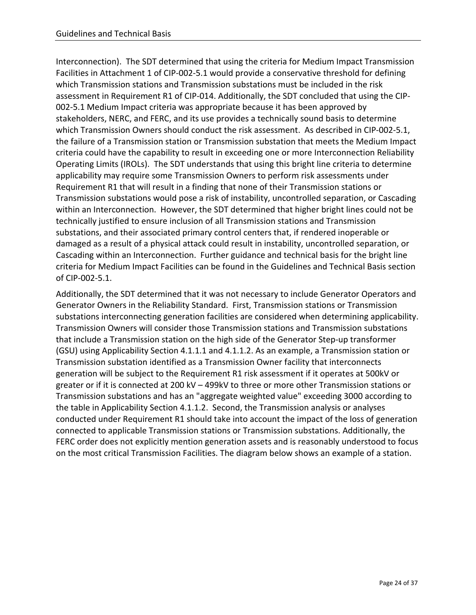Interconnection). The SDT determined that using the criteria for Medium Impact Transmission Facilities in Attachment 1 of CIP-002-5.1 would provide a conservative threshold for defining which Transmission stations and Transmission substations must be included in the risk assessment in Requirement R1 of CIP-014. Additionally, the SDT concluded that using the CIP-002-5.1 Medium Impact criteria was appropriate because it has been approved by stakeholders, NERC, and FERC, and its use provides a technically sound basis to determine which Transmission Owners should conduct the risk assessment. As described in CIP-002-5.1, the failure of a Transmission station or Transmission substation that meets the Medium Impact criteria could have the capability to result in exceeding one or more Interconnection Reliability Operating Limits (IROLs). The SDT understands that using this bright line criteria to determine applicability may require some Transmission Owners to perform risk assessments under Requirement R1 that will result in a finding that none of their Transmission stations or Transmission substations would pose a risk of instability, uncontrolled separation, or Cascading within an Interconnection. However, the SDT determined that higher bright lines could not be technically justified to ensure inclusion of all Transmission stations and Transmission substations, and their associated primary control centers that, if rendered inoperable or damaged as a result of a physical attack could result in instability, uncontrolled separation, or Cascading within an Interconnection. Further guidance and technical basis for the bright line criteria for Medium Impact Facilities can be found in the Guidelines and Technical Basis section of CIP-002-5.1.

Additionally, the SDT determined that it was not necessary to include Generator Operators and Generator Owners in the Reliability Standard. First, Transmission stations or Transmission substations interconnecting generation facilities are considered when determining applicability. Transmission Owners will consider those Transmission stations and Transmission substations that include a Transmission station on the high side of the Generator Step-up transformer (GSU) using Applicability Section 4.1.1.1 and 4.1.1.2. As an example, a Transmission station or Transmission substation identified as a Transmission Owner facility that interconnects generation will be subject to the Requirement R1 risk assessment if it operates at 500kV or greater or if it is connected at 200 kV – 499kV to three or more other Transmission stations or Transmission substations and has an "aggregate weighted value" exceeding 3000 according to the table in Applicability Section 4.1.1.2. Second, the Transmission analysis or analyses conducted under Requirement R1 should take into account the impact of the loss of generation connected to applicable Transmission stations or Transmission substations. Additionally, the FERC order does not explicitly mention generation assets and is reasonably understood to focus on the most critical Transmission Facilities. The diagram below shows an example of a station.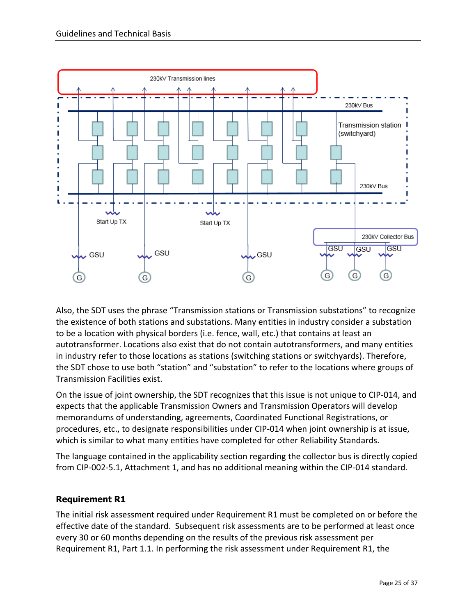

Also, the SDT uses the phrase "Transmission stations or Transmission substations" to recognize the existence of both stations and substations. Many entities in industry consider a substation to be a location with physical borders (i.e. fence, wall, etc.) that contains at least an autotransformer. Locations also exist that do not contain autotransformers, and many entities in industry refer to those locations as stations (switching stations or switchyards). Therefore, the SDT chose to use both "station" and "substation" to refer to the locations where groups of Transmission Facilities exist.

On the issue of joint ownership, the SDT recognizes that this issue is not unique to CIP-014, and expects that the applicable Transmission Owners and Transmission Operators will develop memorandums of understanding, agreements, Coordinated Functional Registrations, or procedures, etc., to designate responsibilities under CIP-014 when joint ownership is at issue, which is similar to what many entities have completed for other Reliability Standards.

The language contained in the applicability section regarding the collector bus is directly copied from CIP-002-5.1, Attachment 1, and has no additional meaning within the CIP-014 standard.

## **Requirement R1**

The initial risk assessment required under Requirement R1 must be completed on or before the effective date of the standard. Subsequent risk assessments are to be performed at least once every 30 or 60 months depending on the results of the previous risk assessment per Requirement R1, Part 1.1. In performing the risk assessment under Requirement R1, the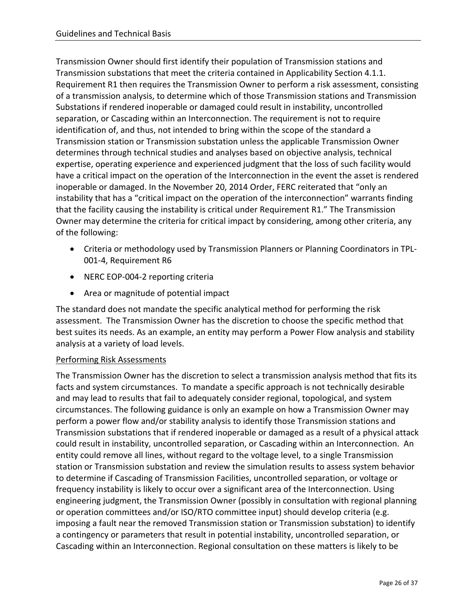Transmission Owner should first identify their population of Transmission stations and Transmission substations that meet the criteria contained in Applicability Section 4.1.1. Requirement R1 then requires the Transmission Owner to perform a risk assessment, consisting of a transmission analysis, to determine which of those Transmission stations and Transmission Substations if rendered inoperable or damaged could result in instability, uncontrolled separation, or Cascading within an Interconnection. The requirement is not to require identification of, and thus, not intended to bring within the scope of the standard a Transmission station or Transmission substation unless the applicable Transmission Owner determines through technical studies and analyses based on objective analysis, technical expertise, operating experience and experienced judgment that the loss of such facility would have a critical impact on the operation of the Interconnection in the event the asset is rendered inoperable or damaged. In the November 20, 2014 Order, FERC reiterated that "only an instability that has a "critical impact on the operation of the interconnection" warrants finding that the facility causing the instability is critical under Requirement R1." The Transmission Owner may determine the criteria for critical impact by considering, among other criteria, any of the following:

- Criteria or methodology used by Transmission Planners or Planning Coordinators in TPL-001-4, Requirement R6
- NERC EOP-004-2 reporting criteria
- Area or magnitude of potential impact

The standard does not mandate the specific analytical method for performing the risk assessment. The Transmission Owner has the discretion to choose the specific method that best suites its needs. As an example, an entity may perform a Power Flow analysis and stability analysis at a variety of load levels.

#### Performing Risk Assessments

The Transmission Owner has the discretion to select a transmission analysis method that fits its facts and system circumstances. To mandate a specific approach is not technically desirable and may lead to results that fail to adequately consider regional, topological, and system circumstances. The following guidance is only an example on how a Transmission Owner may perform a power flow and/or stability analysis to identify those Transmission stations and Transmission substations that if rendered inoperable or damaged as a result of a physical attack could result in instability, uncontrolled separation, or Cascading within an Interconnection. An entity could remove all lines, without regard to the voltage level, to a single Transmission station or Transmission substation and review the simulation results to assess system behavior to determine if Cascading of Transmission Facilities, uncontrolled separation, or voltage or frequency instability is likely to occur over a significant area of the Interconnection. Using engineering judgment, the Transmission Owner (possibly in consultation with regional planning or operation committees and/or ISO/RTO committee input) should develop criteria (e.g. imposing a fault near the removed Transmission station or Transmission substation) to identify a contingency or parameters that result in potential instability, uncontrolled separation, or Cascading within an Interconnection. Regional consultation on these matters is likely to be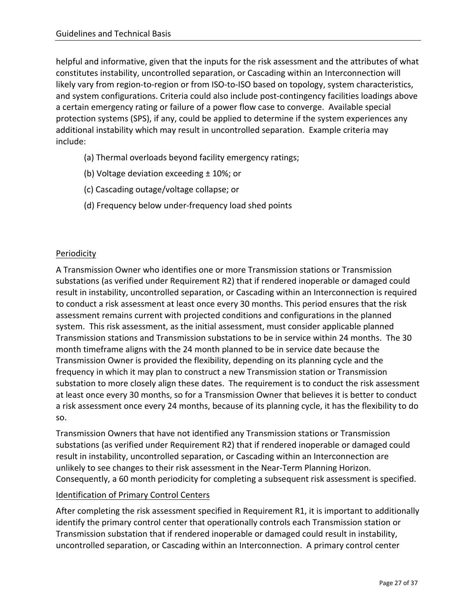helpful and informative, given that the inputs for the risk assessment and the attributes of what constitutes instability, uncontrolled separation, or Cascading within an Interconnection will likely vary from region-to-region or from ISO-to-ISO based on topology, system characteristics, and system configurations. Criteria could also include post-contingency facilities loadings above a certain emergency rating or failure of a power flow case to converge. Available special protection systems (SPS), if any, could be applied to determine if the system experiences any additional instability which may result in uncontrolled separation. Example criteria may include:

- (a) Thermal overloads beyond facility emergency ratings;
- (b) Voltage deviation exceeding ± 10%; or
- (c) Cascading outage/voltage collapse; or
- (d) Frequency below under-frequency load shed points

## Periodicity

A Transmission Owner who identifies one or more Transmission stations or Transmission substations (as verified under Requirement R2) that if rendered inoperable or damaged could result in instability, uncontrolled separation, or Cascading within an Interconnection is required to conduct a risk assessment at least once every 30 months. This period ensures that the risk assessment remains current with projected conditions and configurations in the planned system. This risk assessment, as the initial assessment, must consider applicable planned Transmission stations and Transmission substations to be in service within 24 months. The 30 month timeframe aligns with the 24 month planned to be in service date because the Transmission Owner is provided the flexibility, depending on its planning cycle and the frequency in which it may plan to construct a new Transmission station or Transmission substation to more closely align these dates. The requirement is to conduct the risk assessment at least once every 30 months, so for a Transmission Owner that believes it is better to conduct a risk assessment once every 24 months, because of its planning cycle, it has the flexibility to do so.

Transmission Owners that have not identified any Transmission stations or Transmission substations (as verified under Requirement R2) that if rendered inoperable or damaged could result in instability, uncontrolled separation, or Cascading within an Interconnection are unlikely to see changes to their risk assessment in the Near-Term Planning Horizon. Consequently, a 60 month periodicity for completing a subsequent risk assessment is specified.

#### Identification of Primary Control Centers

After completing the risk assessment specified in Requirement R1, it is important to additionally identify the primary control center that operationally controls each Transmission station or Transmission substation that if rendered inoperable or damaged could result in instability, uncontrolled separation, or Cascading within an Interconnection. A primary control center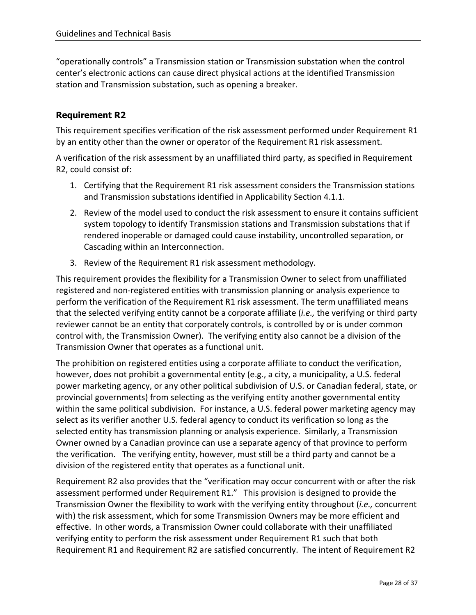"operationally controls" a Transmission station or Transmission substation when the control center's electronic actions can cause direct physical actions at the identified Transmission station and Transmission substation, such as opening a breaker.

## **Requirement R2**

This requirement specifies verification of the risk assessment performed under Requirement R1 by an entity other than the owner or operator of the Requirement R1 risk assessment.

A verification of the risk assessment by an unaffiliated third party, as specified in Requirement R2, could consist of:

- 1. Certifying that the Requirement R1 risk assessment considers the Transmission stations and Transmission substations identified in Applicability Section 4.1.1.
- 2. Review of the model used to conduct the risk assessment to ensure it contains sufficient system topology to identify Transmission stations and Transmission substations that if rendered inoperable or damaged could cause instability, uncontrolled separation, or Cascading within an Interconnection.
- 3. Review of the Requirement R1 risk assessment methodology.

This requirement provides the flexibility for a Transmission Owner to select from unaffiliated registered and non-registered entities with transmission planning or analysis experience to perform the verification of the Requirement R1 risk assessment. The term unaffiliated means that the selected verifying entity cannot be a corporate affiliate (*i.e.,* the verifying or third party reviewer cannot be an entity that corporately controls, is controlled by or is under common control with, the Transmission Owner). The verifying entity also cannot be a division of the Transmission Owner that operates as a functional unit.

The prohibition on registered entities using a corporate affiliate to conduct the verification, however, does not prohibit a governmental entity (e.g., a city, a municipality, a U.S. federal power marketing agency, or any other political subdivision of U.S. or Canadian federal, state, or provincial governments) from selecting as the verifying entity another governmental entity within the same political subdivision. For instance, a U.S. federal power marketing agency may select as its verifier another U.S. federal agency to conduct its verification so long as the selected entity has transmission planning or analysis experience. Similarly, a Transmission Owner owned by a Canadian province can use a separate agency of that province to perform the verification. The verifying entity, however, must still be a third party and cannot be a division of the registered entity that operates as a functional unit.

Requirement R2 also provides that the "verification may occur concurrent with or after the risk assessment performed under Requirement R1." This provision is designed to provide the Transmission Owner the flexibility to work with the verifying entity throughout (*i.e.,* concurrent with) the risk assessment, which for some Transmission Owners may be more efficient and effective. In other words, a Transmission Owner could collaborate with their unaffiliated verifying entity to perform the risk assessment under Requirement R1 such that both Requirement R1 and Requirement R2 are satisfied concurrently. The intent of Requirement R2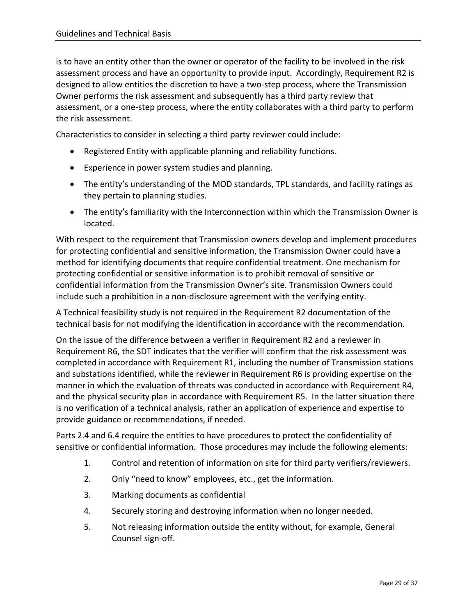is to have an entity other than the owner or operator of the facility to be involved in the risk assessment process and have an opportunity to provide input. Accordingly, Requirement R2 is designed to allow entities the discretion to have a two-step process, where the Transmission Owner performs the risk assessment and subsequently has a third party review that assessment, or a one-step process, where the entity collaborates with a third party to perform the risk assessment.

Characteristics to consider in selecting a third party reviewer could include:

- Registered Entity with applicable planning and reliability functions.
- Experience in power system studies and planning.
- The entity's understanding of the MOD standards, TPL standards, and facility ratings as they pertain to planning studies.
- The entity's familiarity with the Interconnection within which the Transmission Owner is located.

With respect to the requirement that Transmission owners develop and implement procedures for protecting confidential and sensitive information, the Transmission Owner could have a method for identifying documents that require confidential treatment. One mechanism for protecting confidential or sensitive information is to prohibit removal of sensitive or confidential information from the Transmission Owner's site. Transmission Owners could include such a prohibition in a non-disclosure agreement with the verifying entity.

A Technical feasibility study is not required in the Requirement R2 documentation of the technical basis for not modifying the identification in accordance with the recommendation.

On the issue of the difference between a verifier in Requirement R2 and a reviewer in Requirement R6, the SDT indicates that the verifier will confirm that the risk assessment was completed in accordance with Requirement R1, including the number of Transmission stations and substations identified, while the reviewer in Requirement R6 is providing expertise on the manner in which the evaluation of threats was conducted in accordance with Requirement R4, and the physical security plan in accordance with Requirement R5. In the latter situation there is no verification of a technical analysis, rather an application of experience and expertise to provide guidance or recommendations, if needed.

Parts 2.4 and 6.4 require the entities to have procedures to protect the confidentiality of sensitive or confidential information. Those procedures may include the following elements:

- 1. Control and retention of information on site for third party verifiers/reviewers.
- 2. Only "need to know" employees, etc., get the information.
- 3. Marking documents as confidential
- 4. Securely storing and destroying information when no longer needed.
- 5. Not releasing information outside the entity without, for example, General Counsel sign-off.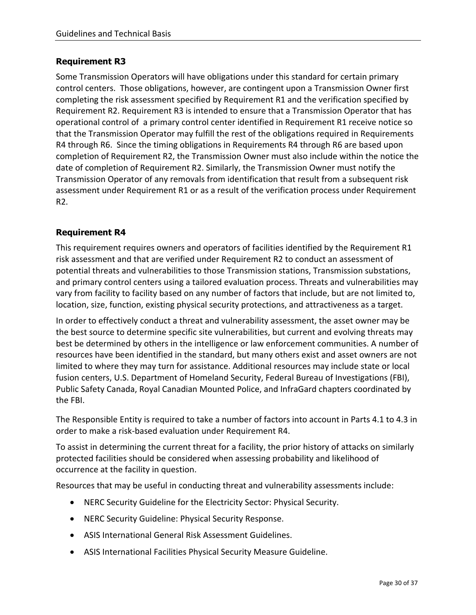#### **Requirement R3**

Some Transmission Operators will have obligations under this standard for certain primary control centers. Those obligations, however, are contingent upon a Transmission Owner first completing the risk assessment specified by Requirement R1 and the verification specified by Requirement R2. Requirement R3 is intended to ensure that a Transmission Operator that has operational control of a primary control center identified in Requirement R1 receive notice so that the Transmission Operator may fulfill the rest of the obligations required in Requirements R4 through R6. Since the timing obligations in Requirements R4 through R6 are based upon completion of Requirement R2, the Transmission Owner must also include within the notice the date of completion of Requirement R2. Similarly, the Transmission Owner must notify the Transmission Operator of any removals from identification that result from a subsequent risk assessment under Requirement R1 or as a result of the verification process under Requirement R2.

#### **Requirement R4**

This requirement requires owners and operators of facilities identified by the Requirement R1 risk assessment and that are verified under Requirement R2 to conduct an assessment of potential threats and vulnerabilities to those Transmission stations, Transmission substations, and primary control centers using a tailored evaluation process. Threats and vulnerabilities may vary from facility to facility based on any number of factors that include, but are not limited to, location, size, function, existing physical security protections, and attractiveness as a target.

In order to effectively conduct a threat and vulnerability assessment, the asset owner may be the best source to determine specific site vulnerabilities, but current and evolving threats may best be determined by others in the intelligence or law enforcement communities. A number of resources have been identified in the standard, but many others exist and asset owners are not limited to where they may turn for assistance. Additional resources may include state or local fusion centers, U.S. Department of Homeland Security, Federal Bureau of Investigations (FBI), Public Safety Canada, Royal Canadian Mounted Police, and InfraGard chapters coordinated by the FBI.

The Responsible Entity is required to take a number of factors into account in Parts 4.1 to 4.3 in order to make a risk-based evaluation under Requirement R4.

To assist in determining the current threat for a facility, the prior history of attacks on similarly protected facilities should be considered when assessing probability and likelihood of occurrence at the facility in question.

Resources that may be useful in conducting threat and vulnerability assessments include:

- NERC Security Guideline for the Electricity Sector: Physical Security.
- NERC Security Guideline: Physical Security Response.
- ASIS International General Risk Assessment Guidelines.
- ASIS International Facilities Physical Security Measure Guideline.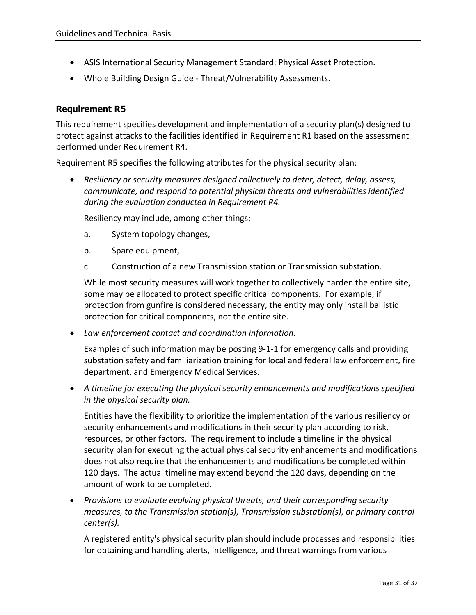- ASIS International Security Management Standard: Physical Asset Protection.
- Whole Building Design Guide Threat/Vulnerability Assessments.

#### **Requirement R5**

This requirement specifies development and implementation of a security plan(s) designed to protect against attacks to the facilities identified in Requirement R1 based on the assessment performed under Requirement R4.

Requirement R5 specifies the following attributes for the physical security plan:

• *Resiliency or security measures designed collectively to deter, detect, delay, assess, communicate, and respond to potential physical threats and vulnerabilities identified during the evaluation conducted in Requirement R4.*

Resiliency may include, among other things:

- a. System topology changes,
- b. Spare equipment,
- c. Construction of a new Transmission station or Transmission substation.

While most security measures will work together to collectively harden the entire site, some may be allocated to protect specific critical components. For example, if protection from gunfire is considered necessary, the entity may only install ballistic protection for critical components, not the entire site.

• *Law enforcement contact and coordination information.*

Examples of such information may be posting 9-1-1 for emergency calls and providing substation safety and familiarization training for local and federal law enforcement, fire department, and Emergency Medical Services.

• *A timeline for executing the physical security enhancements and modifications specified in the physical security plan.*

Entities have the flexibility to prioritize the implementation of the various resiliency or security enhancements and modifications in their security plan according to risk, resources, or other factors. The requirement to include a timeline in the physical security plan for executing the actual physical security enhancements and modifications does not also require that the enhancements and modifications be completed within 120 days. The actual timeline may extend beyond the 120 days, depending on the amount of work to be completed.

• *Provisions to evaluate evolving physical threats, and their corresponding security measures, to the Transmission station(s), Transmission substation(s), or primary control center(s).*

A registered entity's physical security plan should include processes and responsibilities for obtaining and handling alerts, intelligence, and threat warnings from various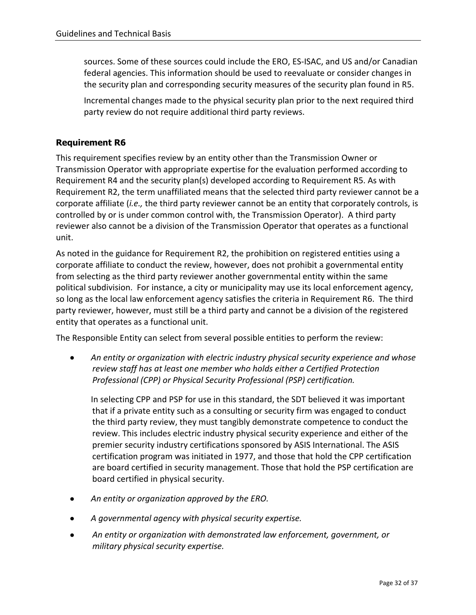sources. Some of these sources could include the ERO, ES-ISAC, and US and/or Canadian federal agencies. This information should be used to reevaluate or consider changes in the security plan and corresponding security measures of the security plan found in R5.

Incremental changes made to the physical security plan prior to the next required third party review do not require additional third party reviews.

## **Requirement R6**

This requirement specifies review by an entity other than the Transmission Owner or Transmission Operator with appropriate expertise for the evaluation performed according to Requirement R4 and the security plan(s) developed according to Requirement R5. As with Requirement R2, the term unaffiliated means that the selected third party reviewer cannot be a corporate affiliate (*i.e.,* the third party reviewer cannot be an entity that corporately controls, is controlled by or is under common control with, the Transmission Operator). A third party reviewer also cannot be a division of the Transmission Operator that operates as a functional unit.

As noted in the guidance for Requirement R2, the prohibition on registered entities using a corporate affiliate to conduct the review, however, does not prohibit a governmental entity from selecting as the third party reviewer another governmental entity within the same political subdivision. For instance, a city or municipality may use its local enforcement agency, so long as the local law enforcement agency satisfies the criteria in Requirement R6. The third party reviewer, however, must still be a third party and cannot be a division of the registered entity that operates as a functional unit.

The Responsible Entity can select from several possible entities to perform the review:

• *An entity or organization with electric industry physical security experience and whose review staff has at least one member who holds either a Certified Protection Professional (CPP) or Physical Security Professional (PSP) certification.*

In selecting CPP and PSP for use in this standard, the SDT believed it was important that if a private entity such as a consulting or security firm was engaged to conduct the third party review, they must tangibly demonstrate competence to conduct the review. This includes electric industry physical security experience and either of the premier security industry certifications sponsored by ASIS International. The ASIS certification program was initiated in 1977, and those that hold the CPP certification are board certified in security management. Those that hold the PSP certification are board certified in physical security.

- *An entity or organization approved by the ERO.*
- *A governmental agency with physical security expertise.*
- *An entity or organization with demonstrated law enforcement, government, or military physical security expertise.*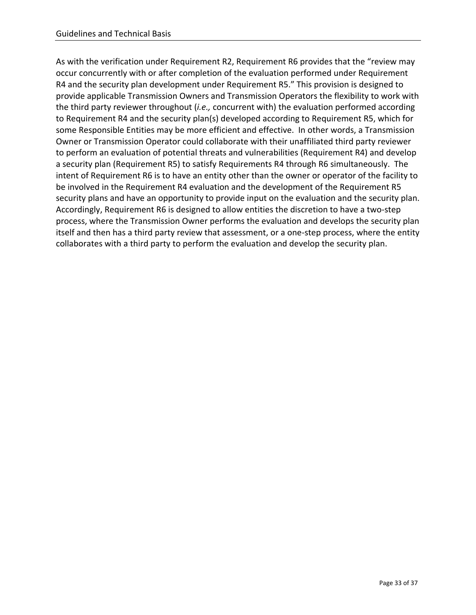As with the verification under Requirement R2, Requirement R6 provides that the "review may occur concurrently with or after completion of the evaluation performed under Requirement R4 and the security plan development under Requirement R5." This provision is designed to provide applicable Transmission Owners and Transmission Operators the flexibility to work with the third party reviewer throughout (*i.e.,* concurrent with) the evaluation performed according to Requirement R4 and the security plan(s) developed according to Requirement R5, which for some Responsible Entities may be more efficient and effective. In other words, a Transmission Owner or Transmission Operator could collaborate with their unaffiliated third party reviewer to perform an evaluation of potential threats and vulnerabilities (Requirement R4) and develop a security plan (Requirement R5) to satisfy Requirements R4 through R6 simultaneously. The intent of Requirement R6 is to have an entity other than the owner or operator of the facility to be involved in the Requirement R4 evaluation and the development of the Requirement R5 security plans and have an opportunity to provide input on the evaluation and the security plan. Accordingly, Requirement R6 is designed to allow entities the discretion to have a two-step process, where the Transmission Owner performs the evaluation and develops the security plan itself and then has a third party review that assessment, or a one-step process, where the entity collaborates with a third party to perform the evaluation and develop the security plan.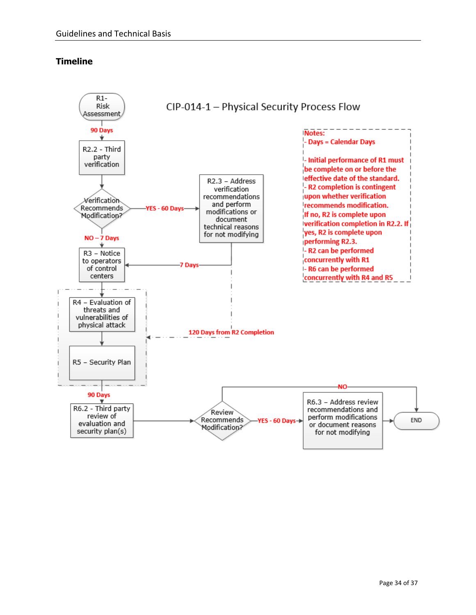## **Timeline**

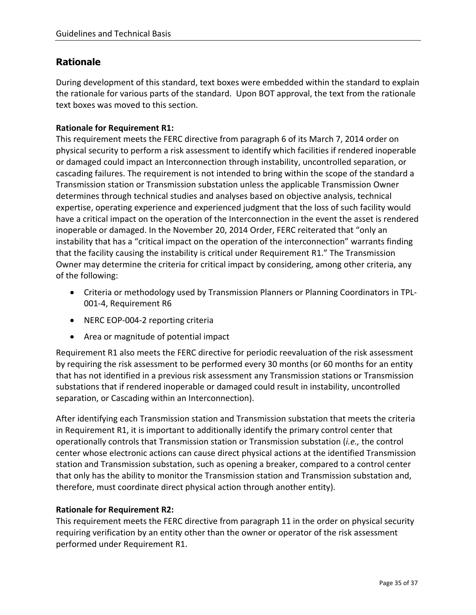# **Rationale**

During development of this standard, text boxes were embedded within the standard to explain the rationale for various parts of the standard. Upon BOT approval, the text from the rationale text boxes was moved to this section.

### **Rationale for Requirement R1:**

This requirement meets the FERC directive from paragraph 6 of its March 7, 2014 order on physical security to perform a risk assessment to identify which facilities if rendered inoperable or damaged could impact an Interconnection through instability, uncontrolled separation, or cascading failures. The requirement is not intended to bring within the scope of the standard a Transmission station or Transmission substation unless the applicable Transmission Owner determines through technical studies and analyses based on objective analysis, technical expertise, operating experience and experienced judgment that the loss of such facility would have a critical impact on the operation of the Interconnection in the event the asset is rendered inoperable or damaged. In the November 20, 2014 Order, FERC reiterated that "only an instability that has a "critical impact on the operation of the interconnection" warrants finding that the facility causing the instability is critical under Requirement R1." The Transmission Owner may determine the criteria for critical impact by considering, among other criteria, any of the following:

- Criteria or methodology used by Transmission Planners or Planning Coordinators in TPL-001-4, Requirement R6
- NERC EOP-004-2 reporting criteria
- Area or magnitude of potential impact

Requirement R1 also meets the FERC directive for periodic reevaluation of the risk assessment by requiring the risk assessment to be performed every 30 months (or 60 months for an entity that has not identified in a previous risk assessment any Transmission stations or Transmission substations that if rendered inoperable or damaged could result in instability, uncontrolled separation, or Cascading within an Interconnection).

After identifying each Transmission station and Transmission substation that meets the criteria in Requirement R1, it is important to additionally identify the primary control center that operationally controls that Transmission station or Transmission substation (*i.e.,* the control center whose electronic actions can cause direct physical actions at the identified Transmission station and Transmission substation, such as opening a breaker, compared to a control center that only has the ability to monitor the Transmission station and Transmission substation and, therefore, must coordinate direct physical action through another entity).

#### **Rationale for Requirement R2:**

This requirement meets the FERC directive from paragraph 11 in the order on physical security requiring verification by an entity other than the owner or operator of the risk assessment performed under Requirement R1.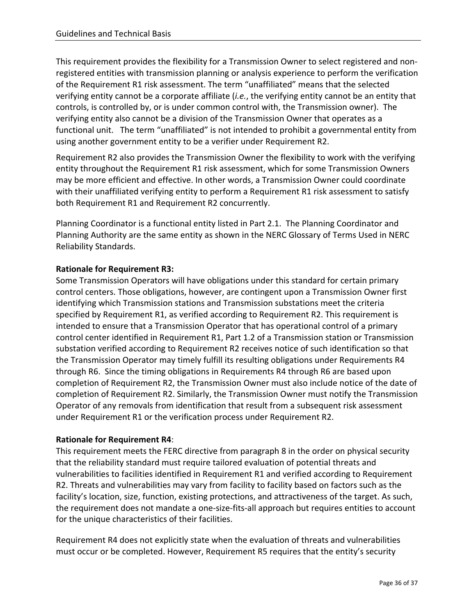This requirement provides the flexibility for a Transmission Owner to select registered and nonregistered entities with transmission planning or analysis experience to perform the verification of the Requirement R1 risk assessment. The term "unaffiliated" means that the selected verifying entity cannot be a corporate affiliate (*i.e.*, the verifying entity cannot be an entity that controls, is controlled by, or is under common control with, the Transmission owner). The verifying entity also cannot be a division of the Transmission Owner that operates as a functional unit. The term "unaffiliated" is not intended to prohibit a governmental entity from using another government entity to be a verifier under Requirement R2.

Requirement R2 also provides the Transmission Owner the flexibility to work with the verifying entity throughout the Requirement R1 risk assessment, which for some Transmission Owners may be more efficient and effective. In other words, a Transmission Owner could coordinate with their unaffiliated verifying entity to perform a Requirement R1 risk assessment to satisfy both Requirement R1 and Requirement R2 concurrently.

Planning Coordinator is a functional entity listed in Part 2.1. The Planning Coordinator and Planning Authority are the same entity as shown in the NERC Glossary of Terms Used in NERC Reliability Standards.

#### **Rationale for Requirement R3:**

Some Transmission Operators will have obligations under this standard for certain primary control centers. Those obligations, however, are contingent upon a Transmission Owner first identifying which Transmission stations and Transmission substations meet the criteria specified by Requirement R1, as verified according to Requirement R2. This requirement is intended to ensure that a Transmission Operator that has operational control of a primary control center identified in Requirement R1, Part 1.2 of a Transmission station or Transmission substation verified according to Requirement R2 receives notice of such identification so that the Transmission Operator may timely fulfill its resulting obligations under Requirements R4 through R6. Since the timing obligations in Requirements R4 through R6 are based upon completion of Requirement R2, the Transmission Owner must also include notice of the date of completion of Requirement R2. Similarly, the Transmission Owner must notify the Transmission Operator of any removals from identification that result from a subsequent risk assessment under Requirement R1 or the verification process under Requirement R2.

#### **Rationale for Requirement R4**:

This requirement meets the FERC directive from paragraph 8 in the order on physical security that the reliability standard must require tailored evaluation of potential threats and vulnerabilities to facilities identified in Requirement R1 and verified according to Requirement R2. Threats and vulnerabilities may vary from facility to facility based on factors such as the facility's location, size, function, existing protections, and attractiveness of the target. As such, the requirement does not mandate a one-size-fits-all approach but requires entities to account for the unique characteristics of their facilities.

Requirement R4 does not explicitly state when the evaluation of threats and vulnerabilities must occur or be completed. However, Requirement R5 requires that the entity's security